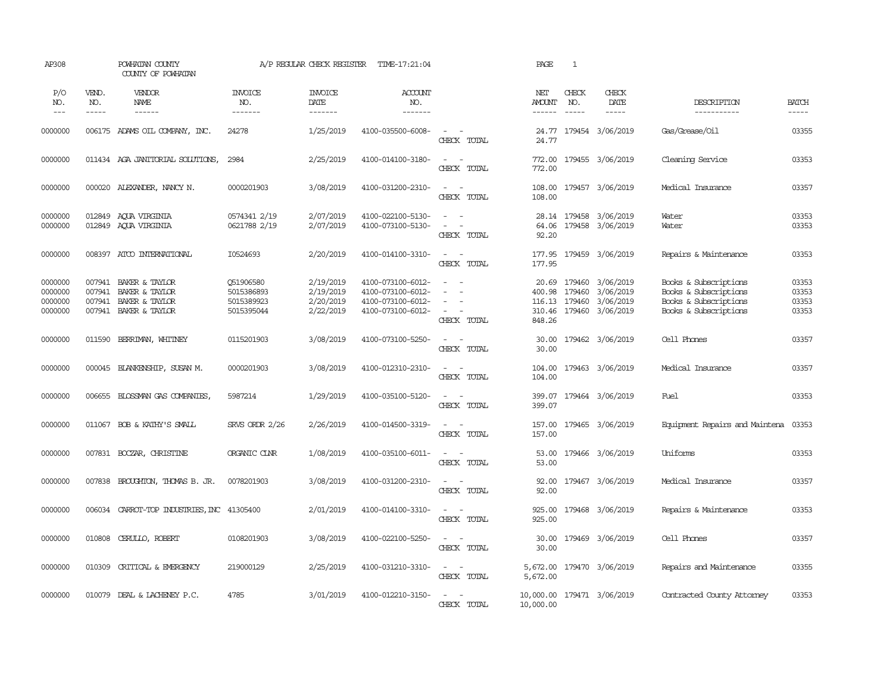| AP308                                    |                                      | POWHATAN COUNTY<br>COUNTY OF POWHATAN                                |                                                     | A/P REGULAR CHECK REGISTER                       | TIME-17:21:04                                                                    |                                                                                   | PAGE                                | $\mathbf{1}$                      |                                                         |                                                                                                  |                                  |
|------------------------------------------|--------------------------------------|----------------------------------------------------------------------|-----------------------------------------------------|--------------------------------------------------|----------------------------------------------------------------------------------|-----------------------------------------------------------------------------------|-------------------------------------|-----------------------------------|---------------------------------------------------------|--------------------------------------------------------------------------------------------------|----------------------------------|
| P/O<br>NO.<br>$---$                      | VEND.<br>NO.<br>$\frac{1}{2}$        | VENDOR<br>NAME                                                       | <b>INVOICE</b><br>NO.<br>-------                    | <b>INVOICE</b><br>DATE<br>-------                | ACCOUNT<br>NO.<br>-------                                                        |                                                                                   | NET<br>AMOUNT<br>------             | CHECK<br>NO.<br>$\frac{1}{2}$     | CHECK<br>DATE<br>$\frac{1}{2}$                          | DESCRIPTION<br>-----------                                                                       | <b>BATCH</b><br>-----            |
| 0000000                                  |                                      | 006175 ADAMS OIL COMPANY, INC.                                       | 24278                                               | 1/25/2019                                        | 4100-035500-6008-                                                                | $\sim$<br>$\sim$<br>CHECK TOTAL                                                   | 24.77<br>24.77                      |                                   | 179454 3/06/2019                                        | Gas/Grease/Oil                                                                                   | 03355                            |
| 0000000                                  |                                      | 011434 AGA JANITORIAL SOLUTIONS,                                     | 2984                                                | 2/25/2019                                        | 4100-014100-3180-                                                                | $\omega_{\rm{max}}$ and $\omega_{\rm{max}}$<br>CHECK TOTAL                        | 772.00<br>772.00                    |                                   | 179455 3/06/2019                                        | Cleaning Service                                                                                 | 03353                            |
| 0000000                                  |                                      | 000020 ALEXANDER, NANCY N.                                           | 0000201903                                          | 3/08/2019                                        | 4100-031200-2310-                                                                | $\sim$ $ \sim$<br>CHECK TOTAL                                                     | 108.00<br>108.00                    |                                   | 179457 3/06/2019                                        | Medical Insurance                                                                                | 03357                            |
| 0000000<br>0000000                       | 012849<br>012849                     | ACUA VIRGINIA<br>AQUA VIRGINIA                                       | 0574341 2/19<br>0621788 2/19                        | 2/07/2019<br>2/07/2019                           | 4100-022100-5130-<br>4100-073100-5130-                                           | $\sim$<br>$\sim$<br>$\sim$ $ \sim$<br>CHECK TOTAL                                 | 64.06<br>92.20                      |                                   | 28.14 179458 3/06/2019<br>179458 3/06/2019              | Water<br>Water                                                                                   | 03353<br>03353                   |
| 0000000                                  |                                      | 008397 ATCO INTERNATIONAL                                            | I0524693                                            | 2/20/2019                                        | 4100-014100-3310-                                                                | $\sim$ $ \sim$<br>CHECK TOTAL                                                     | 177.95                              |                                   | 177.95 179459 3/06/2019                                 | Repairs & Maintenance                                                                            | 03353                            |
| 0000000<br>0000000<br>0000000<br>0000000 | 007941<br>007941<br>007941<br>007941 | BAKER & TAYLOR<br>BAKER & TAYLOR<br>BAKER & TAYLOR<br>BAKER & TAYLOR | Q51906580<br>5015386893<br>5015389923<br>5015395044 | 2/19/2019<br>2/19/2019<br>2/20/2019<br>2/22/2019 | 4100-073100-6012-<br>4100-073100-6012-<br>4100-073100-6012-<br>4100-073100-6012- | $\sim$<br>$\sim$<br>$\sim$<br>$\sim$<br>$\sim$<br>$\sim$<br>$\sim$<br>CHECK TOTAL | 20.69<br>400.98<br>310.46<br>848.26 | 179460<br>179460<br>116.13 179460 | 3/06/2019<br>3/06/2019<br>3/06/2019<br>179460 3/06/2019 | Books & Subscriptions<br>Books & Subscriptions<br>Books & Subscriptions<br>Books & Subscriptions | 03353<br>03353<br>03353<br>03353 |
| 0000000                                  | 011590                               | BERRIMAN, WHITNEY                                                    | 0115201903                                          | 3/08/2019                                        | 4100-073100-5250-                                                                | $\overline{\phantom{a}}$<br>$\sim$<br>CHECK TOTAL                                 | 30.00<br>30.00                      |                                   | 179462 3/06/2019                                        | Cell Phones                                                                                      | 03357                            |
| 0000000                                  |                                      | 000045 BLANKENSHIP, SUSAN M.                                         | 0000201903                                          | 3/08/2019                                        | 4100-012310-2310-                                                                | $\sim$<br>$\sim$ $-$<br>CHECK TOTAL                                               | 104.00<br>104.00                    |                                   | 179463 3/06/2019                                        | Medical Insurance                                                                                | 03357                            |
| 0000000                                  |                                      | 006655 BLOSSMAN GAS COMPANIES,                                       | 5987214                                             | 1/29/2019                                        | 4100-035100-5120-                                                                | $\sim$<br>$\sim$<br>CHECK TOTAL                                                   | 399.07                              |                                   | 399.07 179464 3/06/2019                                 | Fuel                                                                                             | 03353                            |
| 0000000                                  |                                      | 011067 BOB & KATHY'S SMALL                                           | SRVS ORDR 2/26                                      | 2/26/2019                                        | 4100-014500-3319-                                                                | $\mathcal{L}_{\text{max}}$ , and $\mathcal{L}_{\text{max}}$<br>CHECK TOTAL        | 157.00<br>157.00                    |                                   | 179465 3/06/2019                                        | Equipment Repairs and Maintena                                                                   | 03353                            |
| 0000000                                  |                                      | 007831 BOCZAR, CHRISTINE                                             | ORGANIC CINR                                        | 1/08/2019                                        | 4100-035100-6011-                                                                | $\sim$ $ \sim$<br>CHECK TOTAL                                                     | 53.00<br>53.00                      |                                   | 179466 3/06/2019                                        | Uniforms                                                                                         | 03353                            |
| 0000000                                  | 007838                               | BROUGHTON, THOMAS B. JR.                                             | 0078201903                                          | 3/08/2019                                        | 4100-031200-2310-                                                                | $\sim$ $ \sim$<br>CHECK TOTAL                                                     | 92.00<br>92.00                      |                                   | 179467 3/06/2019                                        | Medical Insurance                                                                                | 03357                            |
| 0000000                                  |                                      | 006034 CARROT-TOP INDUSTRIES, INC 41305400                           |                                                     | 2/01/2019                                        | 4100-014100-3310-                                                                | $\sim$<br>$\sim$<br>CHECK TOTAL                                                   | 925.00<br>925.00                    |                                   | 179468 3/06/2019                                        | Repairs & Maintenance                                                                            | 03353                            |
| 0000000                                  | 010808                               | CERULLO, ROBERT                                                      | 0108201903                                          | 3/08/2019                                        | 4100-022100-5250-                                                                | $\sim$<br>$\sim$<br>CHECK TOTAL                                                   | 30.00<br>30.00                      |                                   | 179469 3/06/2019                                        | Cell Phones                                                                                      | 03357                            |
| 0000000                                  | 010309                               | CRITICAL & EMERGENCY                                                 | 219000129                                           | 2/25/2019                                        | 4100-031210-3310-                                                                | $\sim$ $ -$<br>CHECK TOTAL                                                        | 5,672.00<br>5,672.00                |                                   | 179470 3/06/2019                                        | Repairs and Maintenance                                                                          | 03355                            |
| 0000000                                  | 010079                               | DEAL & LACHENEY P.C.                                                 | 4785                                                | 3/01/2019                                        | 4100-012210-3150-                                                                | $\sim$<br>$\sim$<br>CHECK TOTAL                                                   | 10,000.00                           |                                   | 10,000.00 179471 3/06/2019                              | Contracted County Attorney                                                                       | 03353                            |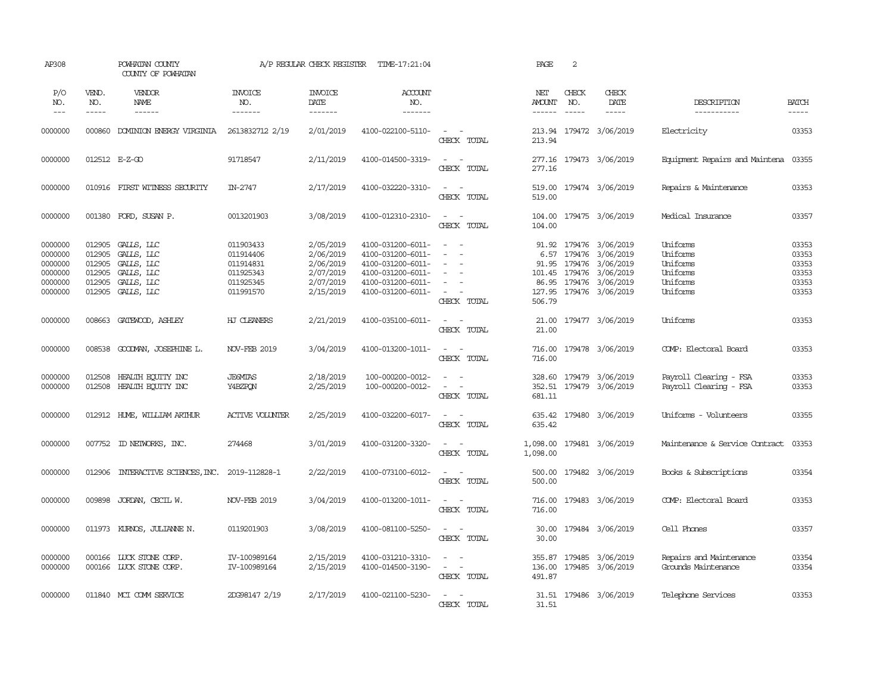| AP308                                                          |                                                | POWHATAN COUNTY<br>COUNTY OF POWHATAN                                                   |                                                                            | A/P REGULAR CHECK REGISTER                                                 | TIME-17:21:04                                                                                                              |                                                                                                                                     | PAGE                    | 2                             |                                                                                                                                                           |                                                                      |                                                    |
|----------------------------------------------------------------|------------------------------------------------|-----------------------------------------------------------------------------------------|----------------------------------------------------------------------------|----------------------------------------------------------------------------|----------------------------------------------------------------------------------------------------------------------------|-------------------------------------------------------------------------------------------------------------------------------------|-------------------------|-------------------------------|-----------------------------------------------------------------------------------------------------------------------------------------------------------|----------------------------------------------------------------------|----------------------------------------------------|
| P/O<br>NO.<br>$---$                                            | VEND.<br>NO.<br>$- - - - -$                    | VENDOR<br>NAME<br>$- - - - - -$                                                         | <b>INVOICE</b><br>NO.<br>-------                                           | <b>INVOICE</b><br>DATE<br>-------                                          | <b>ACCOUNT</b><br>NO.<br>-------                                                                                           |                                                                                                                                     | NET<br>AMOUNT<br>------ | CHECK<br>NO.<br>$\frac{1}{2}$ | CHECK<br>DATE<br>-----                                                                                                                                    | DESCRIPTION<br>-----------                                           | <b>BATCH</b><br>$- - - - -$                        |
| 0000000                                                        |                                                | 000860 DOMINION ENERGY VIRGINIA                                                         | 2613832712 2/19                                                            | 2/01/2019                                                                  | 4100-022100-5110-                                                                                                          | $\sim$ $ \sim$<br>CHECK TOTAL                                                                                                       | 213.94                  |                               | 213.94 179472 3/06/2019                                                                                                                                   | Electricity                                                          | 03353                                              |
| 0000000                                                        |                                                | 012512 E-Z-GO                                                                           | 91718547                                                                   | 2/11/2019                                                                  | 4100-014500-3319-                                                                                                          | $\sim$<br>$\sim$<br>CHECK TOTAL                                                                                                     | 277.16                  |                               | 277.16 179473 3/06/2019                                                                                                                                   | Equipment Repairs and Maintena 03355                                 |                                                    |
| 0000000                                                        |                                                | 010916 FIRST WITNESS SECURITY                                                           | IN-2747                                                                    | 2/17/2019                                                                  | 4100-032220-3310-                                                                                                          | $\sim$ $ \sim$<br>CHECK TOTAL                                                                                                       | 519.00                  |                               | 519.00 179474 3/06/2019                                                                                                                                   | Repairs & Maintenance                                                | 03353                                              |
| 0000000                                                        |                                                | 001380 FORD, SUSAN P.                                                                   | 0013201903                                                                 | 3/08/2019                                                                  | 4100-012310-2310-                                                                                                          | $\sim$<br>$\sim$ $-$<br>CHECK TOTAL                                                                                                 | 104.00                  |                               | 104.00 179475 3/06/2019                                                                                                                                   | Medical Insurance                                                    | 03357                                              |
| 0000000<br>0000000<br>0000000<br>0000000<br>0000000<br>0000000 | 012905<br>012905<br>012905<br>012905<br>012905 | GALLS, LLC<br>GALLS, LLC<br>GALLS, LLC<br>GALLS, LLC<br>GALLS, LLC<br>012905 GALLS, LLC | 011903433<br>011914406<br>011914831<br>011925343<br>011925345<br>011991570 | 2/05/2019<br>2/06/2019<br>2/06/2019<br>2/07/2019<br>2/07/2019<br>2/15/2019 | 4100-031200-6011-<br>4100-031200-6011-<br>4100-031200-6011-<br>4100-031200-6011-<br>4100-031200-6011-<br>4100-031200-6011- | $\sim$<br>- -<br>$\equiv$<br>$\sim$<br>$\overline{\phantom{a}}$<br>$\sim$<br>$\overline{\phantom{a}}$<br>$\sim$ $ -$<br>CHECK TOTAL | 506.79                  |                               | 91.92 179476 3/06/2019<br>6.57 179476 3/06/2019<br>91.95 179476 3/06/2019<br>101.45 179476 3/06/2019<br>86.95 179476 3/06/2019<br>127.95 179476 3/06/2019 | Uniforms<br>Uniforms<br>Uniforms<br>Uniforms<br>Uniforms<br>Uniforms | 03353<br>03353<br>03353<br>03353<br>03353<br>03353 |
| 0000000                                                        |                                                | 008663 GATEWOOD, ASHLEY                                                                 | HJ CLEANERS                                                                | 2/21/2019                                                                  | 4100-035100-6011-                                                                                                          | $\sim$ $ -$<br>CHECK TOTAL                                                                                                          | 21.00<br>21.00          |                               | 179477 3/06/2019                                                                                                                                          | Uniforms                                                             | 03353                                              |
| 0000000                                                        |                                                | 008538 GOODMAN, JOSEPHINE L.                                                            | <b>NOV-FEB 2019</b>                                                        | 3/04/2019                                                                  | 4100-013200-1011-                                                                                                          | $\alpha = 1$ , $\alpha = 1$<br>CHECK TOTAL                                                                                          | 716.00                  |                               | 716.00 179478 3/06/2019                                                                                                                                   | COMP: Electoral Board                                                | 03353                                              |
| 0000000<br>0000000                                             | 012508                                         | HEALTH EQUITY INC<br>012508 HEALTH EQUITY INC                                           | <b>JEGMIAS</b><br>Y4BZPON                                                  | 2/18/2019<br>2/25/2019                                                     | 100-000200-0012-<br>100-000200-0012-                                                                                       | $\overline{\phantom{a}}$<br>$\sim$<br>$\sim$<br>$\sim$<br>CHECK TOTAL                                                               | 681.11                  |                               | 328.60 179479 3/06/2019<br>352.51 179479 3/06/2019                                                                                                        | Payroll Clearing - FSA<br>Payroll Clearing - FSA                     | 03353<br>03353                                     |
| 0000000                                                        |                                                | 012912 HUME, WILLIAM ARTHUR                                                             | <b>ACTIVE VOLUNTER</b>                                                     | 2/25/2019                                                                  | 4100-032200-6017-                                                                                                          | $\sim$ $ \sim$<br>CHECK TOTAL                                                                                                       | 635.42                  |                               | 635.42 179480 3/06/2019                                                                                                                                   | Uniforms - Volunteers                                                | 03355                                              |
| 0000000                                                        |                                                | 007752 ID NEIWORKS, INC.                                                                | 274468                                                                     | 3/01/2019                                                                  | 4100-031200-3320-                                                                                                          | $\omega_{\rm{max}}$ and $\omega_{\rm{max}}$<br>CHECK TOTAL                                                                          | 1,098.00                |                               | 1,098.00 179481 3/06/2019                                                                                                                                 | Maintenance & Service Contract                                       | 03353                                              |
| 0000000                                                        | 012906                                         | INTERACTIVE SCIENCES, INC.                                                              | 2019-112828-1                                                              | 2/22/2019                                                                  | 4100-073100-6012-                                                                                                          | $\sim$ $ -$<br>CHECK TOTAL                                                                                                          | 500.00                  |                               | 500.00 179482 3/06/2019                                                                                                                                   | Books & Subscriptions                                                | 03354                                              |
| 0000000                                                        | 009898                                         | JORDAN, CECIL W.                                                                        | <b>NOV-FEB 2019</b>                                                        | 3/04/2019                                                                  | 4100-013200-1011-                                                                                                          | $\frac{1}{2} \left( \frac{1}{2} \right) \left( \frac{1}{2} \right) \left( \frac{1}{2} \right)$<br>CHECK TOTAL                       | 716.00                  |                               | 716.00 179483 3/06/2019                                                                                                                                   | COMP: Electoral Board                                                | 03353                                              |
| 0000000                                                        |                                                | 011973 KURNOS, JULIANNE N.                                                              | 0119201903                                                                 | 3/08/2019                                                                  | 4100-081100-5250-                                                                                                          | $\frac{1}{2} \left( \frac{1}{2} \right) \left( \frac{1}{2} \right) = \frac{1}{2} \left( \frac{1}{2} \right)$<br>CHECK TOTAL         | 30.00                   |                               | 30.00 179484 3/06/2019                                                                                                                                    | Cell Phones                                                          | 03357                                              |
| 0000000<br>0000000                                             |                                                | 000166 LUCK STONE CORP.<br>000166 LUCK STONE CORP.                                      | IV-100989164<br>IV-100989164                                               | 2/15/2019<br>2/15/2019                                                     | 4100-031210-3310-<br>4100-014500-3190-                                                                                     | $\sim$ $ \sim$<br>$\alpha = 1$ , $\alpha = 1$<br>CHECK TOTAL                                                                        | 491.87                  |                               | 355.87 179485 3/06/2019<br>136.00 179485 3/06/2019                                                                                                        | Repairs and Maintenance<br>Grounds Maintenance                       | 03354<br>03354                                     |
| 0000000                                                        |                                                | 011840 MCI COMM SERVICE                                                                 | 2DG98147 2/19                                                              | 2/17/2019                                                                  | 4100-021100-5230-                                                                                                          | $\sim$ $ -$<br>CHECK TOTAL                                                                                                          | 31.51                   |                               | 31.51 179486 3/06/2019                                                                                                                                    | Telephone Services                                                   | 03353                                              |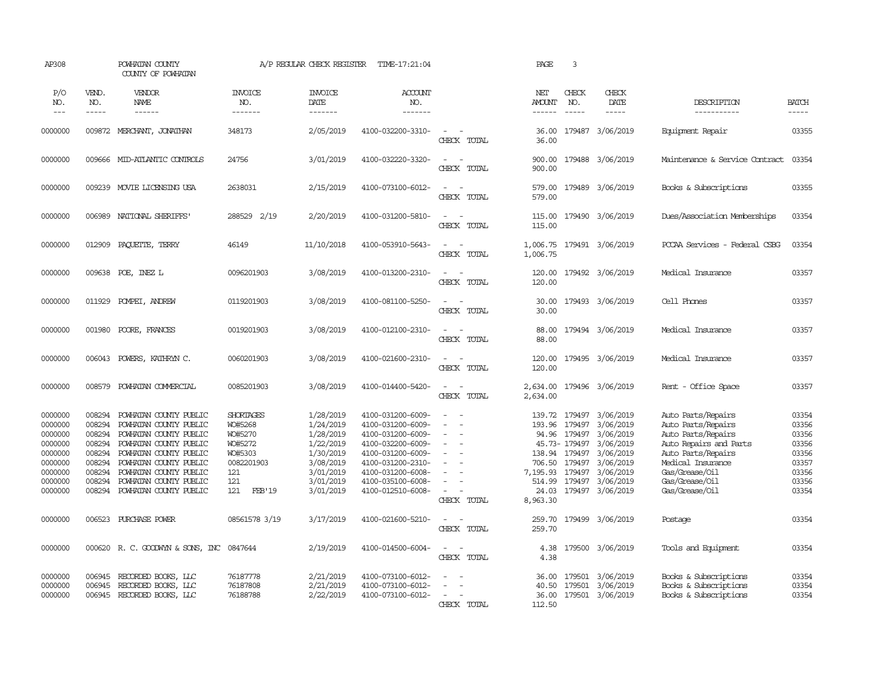| AP308                                                                                           |                                                                                        | POWHATAN COUNTY<br>COUNTY OF POWHATAN                                                                                                                                                                                                  |                                                                                                           | A/P REGULAR CHECK REGISTER                                                                                        | TIME-17:21:04                                                                                                                                                                             |                                                                                               | PAGE                                                                  | 3                                                                                               |                                                                                                                          |                                                                                                                                                                                           |                                                                               |
|-------------------------------------------------------------------------------------------------|----------------------------------------------------------------------------------------|----------------------------------------------------------------------------------------------------------------------------------------------------------------------------------------------------------------------------------------|-----------------------------------------------------------------------------------------------------------|-------------------------------------------------------------------------------------------------------------------|-------------------------------------------------------------------------------------------------------------------------------------------------------------------------------------------|-----------------------------------------------------------------------------------------------|-----------------------------------------------------------------------|-------------------------------------------------------------------------------------------------|--------------------------------------------------------------------------------------------------------------------------|-------------------------------------------------------------------------------------------------------------------------------------------------------------------------------------------|-------------------------------------------------------------------------------|
| P/O<br>NO.<br>$---$                                                                             | VEND.<br>NO.<br>$\frac{1}{2}$                                                          | VENDOR<br>NAME                                                                                                                                                                                                                         | <b>INVOICE</b><br>NO.<br>-------                                                                          | <b>INVOICE</b><br>DATE<br>-------                                                                                 | ACCOUNT<br>NO.<br>--------                                                                                                                                                                |                                                                                               | NET<br><b>AMOUNT</b><br>$- - - - - -$                                 | CHECK<br>NO.<br>$\frac{1}{2}$                                                                   | CHECK<br>DATE<br>$\frac{1}{2}$                                                                                           | DESCRIPTION<br>-----------                                                                                                                                                                | <b>BATCH</b><br>-----                                                         |
| 0000000                                                                                         |                                                                                        | 009872 MERCHANT, JONATHAN                                                                                                                                                                                                              | 348173                                                                                                    | 2/05/2019                                                                                                         | 4100-032200-3310-                                                                                                                                                                         | $\overline{\phantom{a}}$<br>CHECK TOTAL                                                       | 36.00<br>36.00                                                        |                                                                                                 | 179487 3/06/2019                                                                                                         | Equipment Repair                                                                                                                                                                          | 03355                                                                         |
| 0000000                                                                                         |                                                                                        | 009666 MID-ATLANTIC CONTROLS                                                                                                                                                                                                           | 24756                                                                                                     | 3/01/2019                                                                                                         | 4100-032220-3320-                                                                                                                                                                         | $\sim$<br>$\sim$<br>CHECK TOTAL                                                               | 900.00<br>900.00                                                      |                                                                                                 | 179488 3/06/2019                                                                                                         | Maintenance & Service Contract                                                                                                                                                            | 03354                                                                         |
| 0000000                                                                                         |                                                                                        | 009239 MOVIE LICENSING USA                                                                                                                                                                                                             | 2638031                                                                                                   | 2/15/2019                                                                                                         | 4100-073100-6012-                                                                                                                                                                         | $\sim$<br>$\equiv$<br>CHECK TOTAL                                                             | 579.00<br>579.00                                                      |                                                                                                 | 179489 3/06/2019                                                                                                         | Books & Subscriptions                                                                                                                                                                     | 03355                                                                         |
| 0000000                                                                                         |                                                                                        | 006989 NATIONAL SHERIFFS                                                                                                                                                                                                               | 288529 2/19                                                                                               | 2/20/2019                                                                                                         | 4100-031200-5810-                                                                                                                                                                         | $\sim$<br>$\sim$<br>CHECK TOTAL                                                               | 115.00<br>115.00                                                      |                                                                                                 | 179490 3/06/2019                                                                                                         | Dues/Association Memberships                                                                                                                                                              | 03354                                                                         |
| 0000000                                                                                         | 012909                                                                                 | PAQUETTE, TERRY                                                                                                                                                                                                                        | 46149                                                                                                     | 11/10/2018                                                                                                        | 4100-053910-5643-                                                                                                                                                                         | $\sim$<br>$\sim$<br>CHECK TOTAL                                                               | 1,006.75                                                              |                                                                                                 | 1,006.75 179491 3/06/2019                                                                                                | PCCAA Services - Federal CSBG                                                                                                                                                             | 03354                                                                         |
| 0000000                                                                                         | 009638                                                                                 | POE, INEZ L                                                                                                                                                                                                                            | 0096201903                                                                                                | 3/08/2019                                                                                                         | 4100-013200-2310-                                                                                                                                                                         | $\sim$<br>$\sim$<br>CHECK TOTAL                                                               | 120.00<br>120.00                                                      |                                                                                                 | 179492 3/06/2019                                                                                                         | Medical Insurance                                                                                                                                                                         | 03357                                                                         |
| 0000000                                                                                         | 011929                                                                                 | POMPEI, ANDREW                                                                                                                                                                                                                         | 0119201903                                                                                                | 3/08/2019                                                                                                         | 4100-081100-5250-                                                                                                                                                                         | $\sim$<br>$\sim$<br>CHECK TOTAL                                                               | 30.00<br>30.00                                                        |                                                                                                 | 179493 3/06/2019                                                                                                         | Cell Phones                                                                                                                                                                               | 03357                                                                         |
| 0000000                                                                                         | 001980                                                                                 | POORE, FRANCES                                                                                                                                                                                                                         | 0019201903                                                                                                | 3/08/2019                                                                                                         | 4100-012100-2310-                                                                                                                                                                         | $\sim$<br>$\sim$<br>CHECK TOTAL                                                               | 88.00<br>88.00                                                        |                                                                                                 | 179494 3/06/2019                                                                                                         | Medical Insurance                                                                                                                                                                         | 03357                                                                         |
| 0000000                                                                                         | 006043                                                                                 | POWERS, KATHRYN C.                                                                                                                                                                                                                     | 0060201903                                                                                                | 3/08/2019                                                                                                         | 4100-021600-2310-                                                                                                                                                                         | $\sim$<br>$\sim$<br>CHECK TOTAL                                                               | 120.00<br>120.00                                                      |                                                                                                 | 179495 3/06/2019                                                                                                         | Medical Insurance                                                                                                                                                                         | 03357                                                                         |
| 0000000                                                                                         | 008579                                                                                 | POWHATAN COMMERCIAL                                                                                                                                                                                                                    | 0085201903                                                                                                | 3/08/2019                                                                                                         | 4100-014400-5420-                                                                                                                                                                         | $\overline{\phantom{a}}$<br>$\sim$<br>CHECK TOTAL                                             | 2,634.00<br>2,634.00                                                  |                                                                                                 | 179496 3/06/2019                                                                                                         | Rent - Office Space                                                                                                                                                                       | 03357                                                                         |
| 0000000<br>0000000<br>0000000<br>0000000<br>0000000<br>0000000<br>0000000<br>0000000<br>0000000 | 008294<br>008294<br>008294<br>008294<br>008294<br>008294<br>008294<br>008294<br>008294 | POWHATAN COUNTY PUBLIC<br>POWHATAN COUNTY PUBLIC<br>POWHATAN COUNTY PUBLIC<br>POWHATAN COUNTY PUBLIC<br>POWHATAN COUNTY PUBLIC<br>POWHATAN COUNTY PUBLIC<br>POWHATAN COUNTY PUBLIC<br>POWHATAN COUNTY PUBLIC<br>POWHATAN COUNTY PUBLIC | SHORTAGES<br>WO#5268<br>WO#5270<br>WO#5272<br>WO#5303<br>0082201903<br>121<br>121<br>121<br><b>FEB'19</b> | 1/28/2019<br>1/24/2019<br>1/28/2019<br>1/22/2019<br>1/30/2019<br>3/08/2019<br>3/01/2019<br>3/01/2019<br>3/01/2019 | 4100-031200-6009-<br>4100-031200-6009-<br>4100-031200-6009-<br>4100-032200-6009-<br>4100-031200-6009-<br>4100-031200-2310-<br>4100-031200-6008-<br>4100-035100-6008-<br>4100-012510-6008- | $\sim$<br>$\sim$<br>$\equiv$<br>$\equiv$<br>$\blacksquare$<br>$\sim$<br>$\sim$<br>CHECK TOTAL | 139.72<br>193.96<br>706.50<br>7,195.93<br>514.99<br>24.03<br>8,963.30 | 179497<br>179497<br>94.96 179497<br>45.73-179497<br>138.94 179497<br>179497<br>179497<br>179497 | 3/06/2019<br>3/06/2019<br>3/06/2019<br>3/06/2019<br>3/06/2019<br>3/06/2019<br>3/06/2019<br>3/06/2019<br>179497 3/06/2019 | Auto Parts/Repairs<br>Auto Parts/Repairs<br>Auto Parts/Repairs<br>Auto Repairs and Parts<br>Auto Parts/Repairs<br>Medical Insurance<br>Gas/Grease/Oil<br>Gas/Grease/Oil<br>Gas/Grease/Oil | 03354<br>03356<br>03356<br>03356<br>03356<br>03357<br>03356<br>03356<br>03354 |
| 0000000                                                                                         | 006523                                                                                 | PURCHASE POWER                                                                                                                                                                                                                         | 08561578 3/19                                                                                             | 3/17/2019                                                                                                         | 4100-021600-5210-                                                                                                                                                                         | $\sim$<br>$\sim$<br>CHECK TOTAL                                                               | 259.70<br>259.70                                                      |                                                                                                 | 179499 3/06/2019                                                                                                         | Postage                                                                                                                                                                                   | 03354                                                                         |
| 0000000                                                                                         |                                                                                        | 000620 R.C. GOODWYN & SONS, INC 0847644                                                                                                                                                                                                |                                                                                                           | 2/19/2019                                                                                                         | 4100-014500-6004-                                                                                                                                                                         | $\sim$<br>$\sim$<br>CHECK TOTAL                                                               | 4.38<br>4.38                                                          |                                                                                                 | 179500 3/06/2019                                                                                                         | Tools and Equipment                                                                                                                                                                       | 03354                                                                         |
| 0000000<br>0000000<br>0000000                                                                   | 006945<br>006945<br>006945                                                             | RECORDED BOOKS, LLC<br>RECORDED BOOKS, LLC<br>RECORDED BOOKS, LLC                                                                                                                                                                      | 76187778<br>76187808<br>76188788                                                                          | 2/21/2019<br>2/21/2019<br>2/22/2019                                                                               | 4100-073100-6012-<br>4100-073100-6012-<br>4100-073100-6012-                                                                                                                               | $\equiv$<br>$\sim$<br>$\overline{\phantom{a}}$<br>$\overline{a}$<br>$\sim$<br>CHECK TOTAL     | 36.00<br>40.50<br>36.00<br>112.50                                     | 179501<br>179501                                                                                | 3/06/2019<br>3/06/2019<br>179501 3/06/2019                                                                               | Books & Subscriptions<br>Books & Subscriptions<br>Books & Subscriptions                                                                                                                   | 03354<br>03354<br>03354                                                       |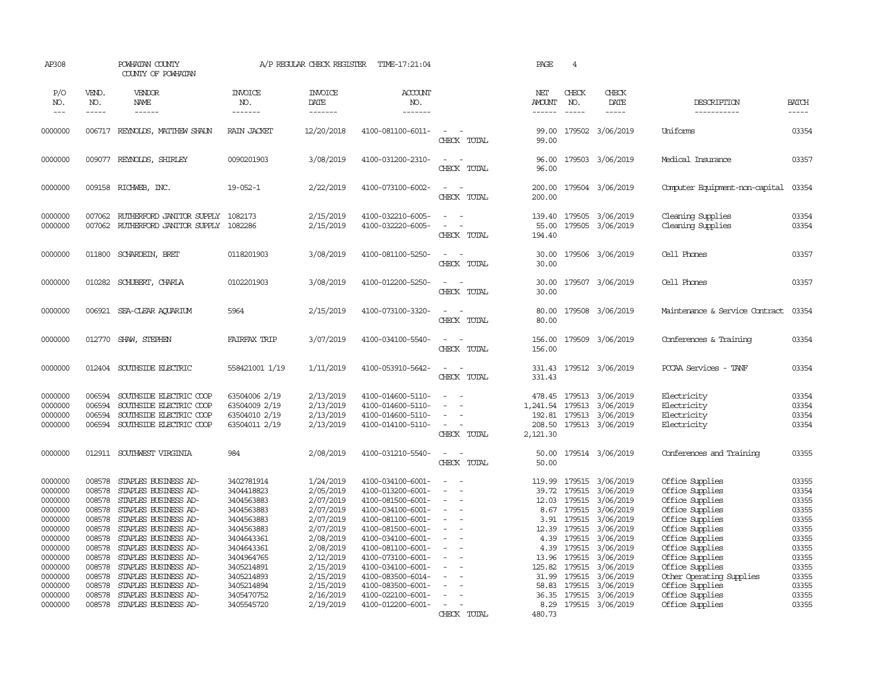| AP308               |                             | POWHATAN COUNTY<br>COUNTY OF POWHATAN        |                                  | A/P REGULAR CHECK REGISTER         | TIME-17:21:04                          |                                                   | PAGE                 | $\overline{4}$                |                              |                                    |                       |
|---------------------|-----------------------------|----------------------------------------------|----------------------------------|------------------------------------|----------------------------------------|---------------------------------------------------|----------------------|-------------------------------|------------------------------|------------------------------------|-----------------------|
| P/O<br>NO.<br>$---$ | VEND.<br>NO.<br>$- - - - -$ | VENDOR<br>NAME                               | <b>INVOICE</b><br>NO.<br>------- | <b>INVOICE</b><br>DATE<br>-------- | ACCOUNT<br>NO.                         |                                                   | NET<br><b>AMOUNT</b> | CHECK<br>NO.<br>$\frac{1}{2}$ | CHECK<br>DATE<br>$- - - - -$ | DESCRIPTION                        | <b>BATCH</b><br>----- |
|                     |                             | $- - - - - -$                                |                                  |                                    | -------                                |                                                   | $- - - - - -$        |                               |                              | -----------                        |                       |
| 0000000             |                             | 006717 REYNOLDS, MATTHEW SHAUN               | <b>RAIN JACKET</b>               | 12/20/2018                         | 4100-081100-6011-                      | $\sim$<br>CHECK TOTAL                             | 99.00<br>99.00       |                               | 179502 3/06/2019             | Uniforms                           | 03354                 |
| 0000000             | 009077                      | REYNOLDS, SHIRLEY                            | 0090201903                       | 3/08/2019                          | 4100-031200-2310-                      | $\sim$<br>$\sim$<br>CHECK TOTAL                   | 96.00<br>96.00       |                               | 179503 3/06/2019             | Medical Insurance                  | 03357                 |
| 0000000             | 009158                      | RICHWEB, INC.                                | $19 - 052 - 1$                   | 2/22/2019                          | 4100-073100-6002-                      | $\sim$<br>$\sim$<br>CHECK TOTAL                   | 200.00<br>200.00     |                               | 179504 3/06/2019             | Computer Equipment-non-capital     | 03354                 |
| 0000000             | 007062                      | RUIHERFORD JANITOR SUPPLY                    | 1082173                          | 2/15/2019                          | 4100-032210-6005-                      | $\overline{a}$                                    | 139.40               | 179505                        | 3/06/2019                    | Cleaning Supplies                  | 03354                 |
| 0000000             | 007062                      | RUIHERFORD JANITOR SUPPLY 1082286            |                                  | 2/15/2019                          | 4100-032220-6005-                      | $\overline{\phantom{a}}$                          | 55.00                |                               | 179505 3/06/2019             | Cleaning Supplies                  | 03354                 |
|                     |                             |                                              |                                  |                                    |                                        | CHECK TOTAL                                       | 194.40               |                               |                              |                                    |                       |
| 0000000             | 011800                      | SCHARDEIN, BRET                              | 0118201903                       | 3/08/2019                          | 4100-081100-5250-                      | $\equiv$<br>CHECK TOTAL                           | 30.00<br>30.00       |                               | 179506 3/06/2019             | Cell Phones                        | 03357                 |
| 0000000             | 010282                      | SCHUBERT, CHARLA                             | 0102201903                       | 3/08/2019                          | 4100-012200-5250-                      | $\sim$                                            | 30.00                |                               | 179507 3/06/2019             | Cell Phones                        | 03357                 |
|                     |                             |                                              |                                  |                                    |                                        | CHECK TOTAL                                       | 30.00                |                               |                              |                                    |                       |
| 0000000             |                             | 006921 SEA-CLEAR ACUARIUM                    | 5964                             | 2/15/2019                          | 4100-073100-3320-                      | $\sim$<br>$\overline{\phantom{a}}$                | 80.00                |                               | 179508 3/06/2019             | Maintenance & Service Contract     | 03354                 |
|                     |                             |                                              |                                  |                                    |                                        | CHECK TOTAL                                       | 80.00                |                               |                              |                                    |                       |
| 0000000             | 012770                      | SHAW, STEPHEN                                | FAIRFAX TRIP                     | 3/07/2019                          | 4100-034100-5540-                      | $\sim$<br>$\sim$                                  | 156.00               |                               | 179509 3/06/2019             | Conferences & Training             | 03354                 |
|                     |                             |                                              |                                  |                                    |                                        | CHECK TOTAL                                       | 156.00               |                               |                              |                                    |                       |
| 0000000             |                             | 012404 SOUTHSIDE ELECTRIC                    | 558421001 1/19                   | 1/11/2019                          | 4100-053910-5642-                      | $\sim$<br>$\sim$                                  | 331.43               |                               | 179512 3/06/2019             | PCCAA Services - TANF              | 03354                 |
|                     |                             |                                              |                                  |                                    |                                        | CHECK TOTAL                                       | 331.43               |                               |                              |                                    |                       |
| 0000000             | 006594                      | SOUTHSIDE ELECTRIC COOP                      | 63504006 2/19                    | 2/13/2019                          | 4100-014600-5110-                      | $\sim$                                            | 478.45               | 179513                        | 3/06/2019                    | Electricity                        | 03354                 |
| 0000000             | 006594                      | SOUTHSIDE ELECTRIC COOP                      | 63504009 2/19                    | 2/13/2019                          | 4100-014600-5110-                      |                                                   | 1,241.54 179513      |                               | 3/06/2019                    | Electricity                        | 03354                 |
| 0000000             | 006594                      | SOUTHSIDE ELECTRIC COOP                      | 63504010 2/19                    | 2/13/2019                          | 4100-014600-5110-                      | $\sim$<br>i.                                      | 192.81               | 179513                        | 3/06/2019                    | Electricity                        | 03354                 |
| 0000000             | 006594                      | SOUTHSIDE ELECTRIC COOP                      | 63504011 2/19                    | 2/13/2019                          | 4100-014100-5110-                      | $\overline{\phantom{a}}$<br>CHECK TOTAL           | 208.50<br>2,121.30   |                               | 179513 3/06/2019             | Electricity                        | 03354                 |
|                     |                             |                                              |                                  |                                    |                                        |                                                   |                      |                               |                              |                                    |                       |
| 0000000             |                             | 012911 SOUTHWEST VIRGINIA                    | 984                              | 2/08/2019                          | 4100-031210-5540-                      | $\overline{\phantom{a}}$<br>$\sim$<br>CHECK TOTAL | 50.00<br>50.00       |                               | 179514 3/06/2019             | Conferences and Training           | 03355                 |
|                     |                             |                                              |                                  |                                    |                                        |                                                   |                      |                               |                              |                                    |                       |
| 0000000             | 008578                      | STAPLES BUSINESS AD-                         | 3402781914                       | 1/24/2019                          | 4100-034100-6001-                      |                                                   | 119.99               | 179515                        | 3/06/2019                    | Office Supplies                    | 03355                 |
| 0000000             | 008578                      | STAPLES BUSINESS AD-                         | 3404418823                       | 2/05/2019                          | 4100-013200-6001-                      | $\overline{\phantom{a}}$<br>$\sim$                | 39.72                | 179515                        | 3/06/2019                    | Office Supplies                    | 03354                 |
| 0000000             | 008578                      | STAPLES BUSINESS AD-                         | 3404563883                       | 2/07/2019                          | 4100-081500-6001-                      | $\sim$                                            | 12.03                | 179515                        | 3/06/2019                    | Office Supplies                    | 03355                 |
| 0000000             | 008578                      | STAPLES BUSINESS AD-                         | 3404563883                       | 2/07/2019                          | 4100-034100-6001-                      | $\sim$                                            | 8.67                 | 179515                        | 3/06/2019                    | Office Supplies                    | 03355                 |
| 0000000<br>0000000  | 008578<br>008578            | STAPLES BUSINESS AD-<br>STAPLES BUSINESS AD- | 3404563883<br>3404563883         | 2/07/2019                          | 4100-081100-6001-<br>4100-081500-6001- | $\overline{\phantom{a}}$                          | 3.91<br>12.39        | 179515<br>179515              | 3/06/2019                    | Office Supplies                    | 03355<br>03355        |
| 0000000             | 008578                      | STAPLES BUSINESS AD-                         | 3404643361                       | 2/07/2019<br>2/08/2019             | 4100-034100-6001-                      | $\sim$                                            | 4.39                 | 179515                        | 3/06/2019<br>3/06/2019       | Office Supplies<br>Office Supplies | 03355                 |
| 0000000             | 008578                      | STAPLES BUSINESS AD-                         | 3404643361                       | 2/08/2019                          | 4100-081100-6001-                      | $\equiv$                                          | 4.39                 | 179515                        | 3/06/2019                    | Office Supplies                    | 03355                 |
| 0000000             | 008578                      | STAPLES BUSINESS AD-                         | 3404964765                       | 2/12/2019                          | 4100-073100-6001-                      | $\sim$                                            | 13.96                | 179515                        | 3/06/2019                    | Office Supplies                    | 03355                 |
| 0000000             | 008578                      | STAPLES BUSINESS AD-                         | 3405214891                       | 2/15/2019                          | 4100-034100-6001-                      | $\overline{\phantom{a}}$                          | 125.82               | 179515                        | 3/06/2019                    | Office Supplies                    | 03355                 |
| 0000000             | 008578                      | STAPLES BUSINESS AD-                         | 3405214893                       | 2/15/2019                          | 4100-083500-6014-                      |                                                   | 31.99                | 179515                        | 3/06/2019                    | Other Operating Supplies           | 03355                 |
| 0000000             | 008578                      | STAPLES BUSINESS AD-                         | 3405214894                       | 2/15/2019                          | 4100-083500-6001-                      |                                                   | 58.83                | 179515                        | 3/06/2019                    | Office Supplies                    | 03355                 |
| 0000000             | 008578                      | STAPLES BUSINESS AD-                         | 3405470752                       | 2/16/2019                          | 4100-022100-6001-                      |                                                   |                      | 36.35 179515                  | 3/06/2019                    | Office Supplies                    | 03355                 |
| 0000000             | 008578                      | STAPLES BUSINESS AD-                         | 3405545720                       | 2/19/2019                          | 4100-012200-6001-                      | $\sim$                                            | 8.29                 |                               | 179515 3/06/2019             | Office Supplies                    | 03355                 |
|                     |                             |                                              |                                  |                                    |                                        | CHECK TOTAL                                       | 480.73               |                               |                              |                                    |                       |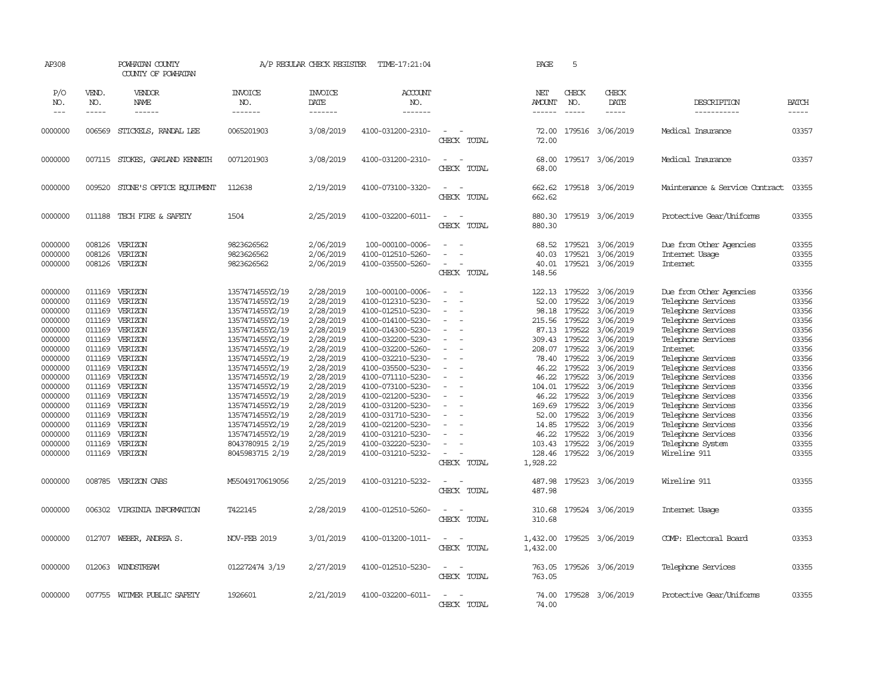| AP308                                                                                                                                                                                              |                                                                                                                                                                                  | POWHATAN COUNTY<br>COUNTY OF POWHATAN                                                                                                                                                              |                                                                                                                                                                                                                                                                                                                                                    | A/P REGULAR CHECK REGISTER                                                                                                                                                                                                             | TIME-17:21:04                                                                                                                                                                                                                                                                                                                                                                         |                                                                                                                                     | PAGE                                                                                                                               | 5                                                                                                                                                                                                       |                                                                                                                                                                                                                                               |                                                                                                                                                                                                                                                                                                                                                                                             |                                                                                                                                                                |
|----------------------------------------------------------------------------------------------------------------------------------------------------------------------------------------------------|----------------------------------------------------------------------------------------------------------------------------------------------------------------------------------|----------------------------------------------------------------------------------------------------------------------------------------------------------------------------------------------------|----------------------------------------------------------------------------------------------------------------------------------------------------------------------------------------------------------------------------------------------------------------------------------------------------------------------------------------------------|----------------------------------------------------------------------------------------------------------------------------------------------------------------------------------------------------------------------------------------|---------------------------------------------------------------------------------------------------------------------------------------------------------------------------------------------------------------------------------------------------------------------------------------------------------------------------------------------------------------------------------------|-------------------------------------------------------------------------------------------------------------------------------------|------------------------------------------------------------------------------------------------------------------------------------|---------------------------------------------------------------------------------------------------------------------------------------------------------------------------------------------------------|-----------------------------------------------------------------------------------------------------------------------------------------------------------------------------------------------------------------------------------------------|---------------------------------------------------------------------------------------------------------------------------------------------------------------------------------------------------------------------------------------------------------------------------------------------------------------------------------------------------------------------------------------------|----------------------------------------------------------------------------------------------------------------------------------------------------------------|
| P/O<br>NO.<br>$---$                                                                                                                                                                                | VEND.<br>NO.<br>$- - - - -$                                                                                                                                                      | VENDOR<br>NAME<br>$- - - - - -$                                                                                                                                                                    | <b>INVOICE</b><br>NO.<br>-------                                                                                                                                                                                                                                                                                                                   | <b>INVOICE</b><br>DATE<br>-------                                                                                                                                                                                                      | ACCOUNT<br>NO.<br>-------                                                                                                                                                                                                                                                                                                                                                             |                                                                                                                                     | NET<br><b>AMOUNT</b><br>$- - - - - -$                                                                                              | CHECK<br>NO.<br>$\frac{1}{2}$                                                                                                                                                                           | CHECK<br>DATE<br>$- - - - -$                                                                                                                                                                                                                  | DESCRIPTION<br>-----------                                                                                                                                                                                                                                                                                                                                                                  | <b>BATCH</b><br>$- - - - -$                                                                                                                                    |
| 0000000                                                                                                                                                                                            | 006569                                                                                                                                                                           | STICKELS, RANDAL LEE                                                                                                                                                                               | 0065201903                                                                                                                                                                                                                                                                                                                                         | 3/08/2019                                                                                                                                                                                                                              | 4100-031200-2310-                                                                                                                                                                                                                                                                                                                                                                     | CHECK TOTAL                                                                                                                         | 72.00<br>72.00                                                                                                                     |                                                                                                                                                                                                         | 179516 3/06/2019                                                                                                                                                                                                                              | Medical Insurance                                                                                                                                                                                                                                                                                                                                                                           | 03357                                                                                                                                                          |
| 0000000                                                                                                                                                                                            |                                                                                                                                                                                  | 007115 STOKES, GARLAND KENNETH                                                                                                                                                                     | 0071201903                                                                                                                                                                                                                                                                                                                                         | 3/08/2019                                                                                                                                                                                                                              | 4100-031200-2310-                                                                                                                                                                                                                                                                                                                                                                     | $\sim$<br>$\sim$<br>CHECK TOTAL                                                                                                     | 68.00<br>68.00                                                                                                                     |                                                                                                                                                                                                         | 179517 3/06/2019                                                                                                                                                                                                                              | Medical Insurance                                                                                                                                                                                                                                                                                                                                                                           | 03357                                                                                                                                                          |
| 0000000                                                                                                                                                                                            | 009520                                                                                                                                                                           | STONE'S OFFICE EQUIPMENT                                                                                                                                                                           | 112638                                                                                                                                                                                                                                                                                                                                             | 2/19/2019                                                                                                                                                                                                                              | 4100-073100-3320-                                                                                                                                                                                                                                                                                                                                                                     | $\sim$<br>$\sim$<br>CHECK TOTAL                                                                                                     | 662.62<br>662.62                                                                                                                   |                                                                                                                                                                                                         | 179518 3/06/2019                                                                                                                                                                                                                              | Maintenance & Service Contract                                                                                                                                                                                                                                                                                                                                                              | 03355                                                                                                                                                          |
| 0000000                                                                                                                                                                                            | 011188                                                                                                                                                                           | TECH FIRE & SAFETY                                                                                                                                                                                 | 1504                                                                                                                                                                                                                                                                                                                                               | 2/25/2019                                                                                                                                                                                                                              | 4100-032200-6011-                                                                                                                                                                                                                                                                                                                                                                     | $\sim$<br>$\sim$<br>CHECK TOTAL                                                                                                     | 880.30<br>880.30                                                                                                                   |                                                                                                                                                                                                         | 179519 3/06/2019                                                                                                                                                                                                                              | Protective Gear/Uniforms                                                                                                                                                                                                                                                                                                                                                                    | 03355                                                                                                                                                          |
| 0000000<br>0000000<br>0000000                                                                                                                                                                      | 008126<br>008126<br>008126                                                                                                                                                       | VERIZON<br>VERIZON<br>VERIZON                                                                                                                                                                      | 9823626562<br>9823626562<br>9823626562                                                                                                                                                                                                                                                                                                             | 2/06/2019<br>2/06/2019<br>2/06/2019                                                                                                                                                                                                    | 100-000100-0006-<br>4100-012510-5260-<br>4100-035500-5260-                                                                                                                                                                                                                                                                                                                            | $\sim$<br>$\sim$<br>$\equiv$<br>$\overline{\phantom{a}}$<br>$\sim$<br>CHECK TOTAL                                                   | 68.52<br>40.03<br>40.01<br>148.56                                                                                                  | 179521<br>179521                                                                                                                                                                                        | 3/06/2019<br>3/06/2019<br>179521 3/06/2019                                                                                                                                                                                                    | Due from Other Agencies<br>Internet Usage<br>Internet                                                                                                                                                                                                                                                                                                                                       | 03355<br>03355<br>03355                                                                                                                                        |
| 0000000<br>0000000<br>0000000<br>0000000<br>0000000<br>0000000<br>0000000<br>0000000<br>0000000<br>0000000<br>0000000<br>0000000<br>0000000<br>0000000<br>0000000<br>0000000<br>0000000<br>0000000 | 011169<br>011169<br>011169<br>011169<br>011169<br>011169<br>011169<br>011169<br>011169<br>011169<br>011169<br>011169<br>011169<br>011169<br>011169<br>011169<br>011169<br>011169 | VERIZON<br>VERIZON<br>VERIZON<br>VERIZON<br>VERIZON<br>VERIZON<br>VERIZON<br>VERIZON<br>VERIZON<br>VERIZON<br>VERIZON<br>VERIZON<br>VERIZON<br>VERIZON<br>VERIZON<br>VERIZON<br>VERIZON<br>VERIZON | 1357471455Y2/19<br>1357471455Y2/19<br>1357471455Y2/19<br>1357471455Y2/19<br>1357471455Y2/19<br>1357471455Y2/19<br>1357471455Y2/19<br>1357471455Y2/19<br>1357471455Y2/19<br>1357471455Y2/19<br>1357471455Y2/19<br>1357471455Y2/19<br>1357471455Y2/19<br>1357471455Y2/19<br>1357471455Y2/19<br>1357471455Y2/19<br>8043780915 2/19<br>8045983715 2/19 | 2/28/2019<br>2/28/2019<br>2/28/2019<br>2/28/2019<br>2/28/2019<br>2/28/2019<br>2/28/2019<br>2/28/2019<br>2/28/2019<br>2/28/2019<br>2/28/2019<br>2/28/2019<br>2/28/2019<br>2/28/2019<br>2/28/2019<br>2/28/2019<br>2/25/2019<br>2/28/2019 | 100-000100-0006-<br>4100-012310-5230-<br>4100-012510-5230-<br>4100-014100-5230-<br>4100-014300-5230-<br>4100-032200-5230-<br>4100-032200-5260-<br>4100-032210-5230-<br>4100-035500-5230-<br>4100-071110-5230-<br>4100-073100-5230-<br>4100-021200-5230-<br>4100-031200-5230-<br>4100-031710-5230-<br>4100-021200-5230-<br>4100-031210-5230-<br>4100-032220-5230-<br>4100-031210-5232- | $\overline{\phantom{a}}$<br>$\sim$<br>$\sim$<br>$\overline{\phantom{a}}$<br>$\sim$<br>$\sim$<br>$\equiv$<br>$\equiv$<br>CHECK TOTAL | 52.00<br>98.18<br>215.56<br>309.43<br>46.22<br>46.22<br>104.01<br>46.22<br>169.69<br>52.00<br>14.85<br>46.22<br>128.46<br>1,928.22 | 122.13 179522<br>179522<br>179522<br>179522<br>87.13 179522<br>179522<br>208.07 179522<br>78.40 179522<br>179522<br>179522<br>179522<br>179522<br>179522<br>179522<br>179522<br>179522<br>103.43 179522 | 3/06/2019<br>3/06/2019<br>3/06/2019<br>3/06/2019<br>3/06/2019<br>3/06/2019<br>3/06/2019<br>3/06/2019<br>3/06/2019<br>3/06/2019<br>3/06/2019<br>3/06/2019<br>3/06/2019<br>3/06/2019<br>3/06/2019<br>3/06/2019<br>3/06/2019<br>179522 3/06/2019 | Due from Other Agencies<br>Telephone Services<br>Telephone Services<br>Telephone Services<br>Telephone Services<br>Telephone Services<br>Internet<br>Telephone Services<br>Telephone Services<br>Telephone Services<br>Telephone Services<br>Telephone Services<br>Telephone Services<br>Telephone Services<br>Telephone Services<br>Telephone Services<br>Telephone System<br>Wireline 911 | 03356<br>03356<br>03356<br>03356<br>03356<br>03356<br>03356<br>03356<br>03356<br>03356<br>03356<br>03356<br>03356<br>03356<br>03356<br>03356<br>03355<br>03355 |
| 0000000                                                                                                                                                                                            |                                                                                                                                                                                  | 008785 VERIZON CABS                                                                                                                                                                                | M55049170619056                                                                                                                                                                                                                                                                                                                                    | 2/25/2019                                                                                                                                                                                                                              | 4100-031210-5232-                                                                                                                                                                                                                                                                                                                                                                     | $\overline{\phantom{a}}$<br>$\sim$<br>CHECK TOTAL                                                                                   | 487.98<br>487.98                                                                                                                   |                                                                                                                                                                                                         | 179523 3/06/2019                                                                                                                                                                                                                              | Wireline 911                                                                                                                                                                                                                                                                                                                                                                                | 03355                                                                                                                                                          |
| 0000000                                                                                                                                                                                            | 006302                                                                                                                                                                           | VIRGINIA INFORMATION                                                                                                                                                                               | T422145                                                                                                                                                                                                                                                                                                                                            | 2/28/2019                                                                                                                                                                                                                              | 4100-012510-5260-                                                                                                                                                                                                                                                                                                                                                                     | CHECK TOTAL                                                                                                                         | 310.68<br>310.68                                                                                                                   |                                                                                                                                                                                                         | 179524 3/06/2019                                                                                                                                                                                                                              | Internet Usage                                                                                                                                                                                                                                                                                                                                                                              | 03355                                                                                                                                                          |
| 0000000                                                                                                                                                                                            | 012707                                                                                                                                                                           | WEBER, ANDREA S.                                                                                                                                                                                   | <b>NOV-FEB 2019</b>                                                                                                                                                                                                                                                                                                                                | 3/01/2019                                                                                                                                                                                                                              | 4100-013200-1011-                                                                                                                                                                                                                                                                                                                                                                     | $\sim$<br>$\sim$<br>CHECK TOTAL                                                                                                     | 1,432.00<br>1,432.00                                                                                                               |                                                                                                                                                                                                         | 179525 3/06/2019                                                                                                                                                                                                                              | COMP: Electoral Board                                                                                                                                                                                                                                                                                                                                                                       | 03353                                                                                                                                                          |
| 0000000                                                                                                                                                                                            | 012063                                                                                                                                                                           | WINDSTREAM                                                                                                                                                                                         | 012272474 3/19                                                                                                                                                                                                                                                                                                                                     | 2/27/2019                                                                                                                                                                                                                              | 4100-012510-5230-                                                                                                                                                                                                                                                                                                                                                                     | $\overline{\phantom{a}}$<br>CHECK TOTAL                                                                                             | 763.05<br>763.05                                                                                                                   |                                                                                                                                                                                                         | 179526 3/06/2019                                                                                                                                                                                                                              | Telephone Services                                                                                                                                                                                                                                                                                                                                                                          | 03355                                                                                                                                                          |
| 0000000                                                                                                                                                                                            |                                                                                                                                                                                  | 007755 WITMER PUBLIC SAFETY                                                                                                                                                                        | 1926601                                                                                                                                                                                                                                                                                                                                            | 2/21/2019                                                                                                                                                                                                                              | 4100-032200-6011-                                                                                                                                                                                                                                                                                                                                                                     | $\overline{\phantom{a}}$<br>CHECK TOTAL                                                                                             | 74.00<br>74.00                                                                                                                     |                                                                                                                                                                                                         | 179528 3/06/2019                                                                                                                                                                                                                              | Protective Gear/Uniforms                                                                                                                                                                                                                                                                                                                                                                    | 03355                                                                                                                                                          |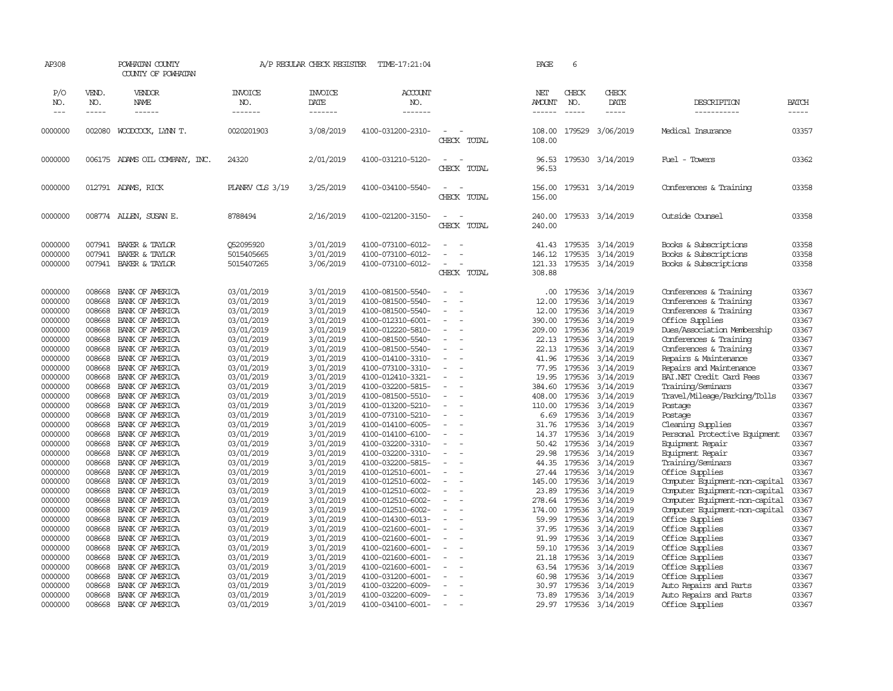| AP308                         |                             | POWHATAN COUNTY<br>COUNTY OF POWHATAN                 |                                        | A/P REGULAR CHECK REGISTER          | TIME-17:21:04                                               |                                                                |             | PAGE                            | 6                           |                                     |                                                                                 |                             |
|-------------------------------|-----------------------------|-------------------------------------------------------|----------------------------------------|-------------------------------------|-------------------------------------------------------------|----------------------------------------------------------------|-------------|---------------------------------|-----------------------------|-------------------------------------|---------------------------------------------------------------------------------|-----------------------------|
| P/O<br>NO.<br>$---$           | VEND.<br>NO.<br>$- - - - -$ | VENDOR<br>NAME<br>------                              | <b>INVOICE</b><br>NO.<br>-------       | <b>INVOICE</b><br>DATE<br>-------   | <b>ACCOUNT</b><br>NO.<br>-------                            |                                                                |             | NET<br><b>AMOUNT</b><br>------- | CHECK<br>NO.<br>$- - - - -$ | CHECK<br>DATE<br>-----              | DESCRIPTION<br>-----------                                                      | <b>BATCH</b><br>$- - - - -$ |
| 0000000                       | 002080                      | WOODCOCK, LYNN T.                                     | 0020201903                             | 3/08/2019                           | 4100-031200-2310-                                           |                                                                | CHECK TOTAL | 108.00<br>108.00                | 179529                      | 3/06/2019                           | Medical Insurance                                                               | 03357                       |
| 0000000                       |                             | 006175 ADAMS OIL COMPANY, INC.                        | 24320                                  | 2/01/2019                           | 4100-031210-5120-                                           | $\sim$<br>$\overline{\phantom{a}}$<br>CHECK                    | TOTAL       | 96.53<br>96.53                  |                             | 179530 3/14/2019                    | Fuel - Towers                                                                   | 03362                       |
| 0000000                       |                             | 012791 ADAMS, RICK                                    | PLANRV CLS 3/19                        | 3/25/2019                           | 4100-034100-5540-                                           | $\sim$<br>$\sim$<br>CHECK                                      | TOTAL       | 156.00<br>156.00                |                             | 179531 3/14/2019                    | Conferences & Training                                                          | 03358                       |
| 0000000                       |                             | 008774 ALLEN, SUSAN E.                                | 8788494                                | 2/16/2019                           | 4100-021200-3150-                                           | $\sim$<br>$\sim$<br>CHECK TOTAL                                |             | 240.00<br>240.00                |                             | 179533 3/14/2019                    | Outside Counsel                                                                 | 03358                       |
| 0000000<br>0000000<br>0000000 | 007941<br>007941<br>007941  | BAKER & TAYLOR<br>BAKER & TAYLOR<br>BAKER & TAYLOR    | 052095920<br>5015405665<br>5015407265  | 3/01/2019<br>3/01/2019<br>3/06/2019 | 4100-073100-6012-<br>4100-073100-6012-<br>4100-073100-6012- | $\sim$<br>$\sim$<br>$\sim$                                     |             | 41.43<br>146.12<br>121.33       | 179535<br>179535<br>179535  | 3/14/2019<br>3/14/2019<br>3/14/2019 | Books & Subscriptions<br>Books & Subscriptions<br>Books & Subscriptions         | 03358<br>03358<br>03358     |
|                               |                             |                                                       |                                        |                                     |                                                             |                                                                | CHECK TOTAL | 308.88                          |                             |                                     |                                                                                 |                             |
| 0000000<br>0000000            | 008668<br>008668            | BANK OF AMERICA<br>BANK OF AMERICA                    | 03/01/2019<br>03/01/2019               | 3/01/2019<br>3/01/2019              | 4100-081500-5540-<br>4100-081500-5540-                      | $\sim$<br>. —<br>$\overline{\phantom{a}}$                      |             | $.00 \cdot$<br>12.00            | 179536<br>179536            | 3/14/2019<br>3/14/2019              | Conferences & Training<br>Conferences & Training                                | 03367<br>03367              |
| 0000000<br>0000000            | 008668<br>008668            | BANK OF AMERICA<br>BANK OF AMERICA                    | 03/01/2019<br>03/01/2019               | 3/01/2019<br>3/01/2019              | 4100-081500-5540-<br>4100-012310-6001-                      | $\sim$<br>$\overline{\phantom{0}}$                             |             | 12.00<br>390.00                 | 179536<br>179536            | 3/14/2019<br>3/14/2019              | Conferences & Training<br>Office Supplies                                       | 03367<br>03367              |
| 0000000<br>0000000<br>0000000 | 008668<br>008668<br>008668  | BANK OF AMERICA<br>BANK OF AMERICA<br>BANK OF AMERICA | 03/01/2019<br>03/01/2019<br>03/01/2019 | 3/01/2019<br>3/01/2019<br>3/01/2019 | 4100-012220-5810-<br>4100-081500-5540-<br>4100-081500-5540- | $\sim$<br>$\sim$                                               |             | 209.00<br>22.13<br>22.13        | 179536<br>179536<br>179536  | 3/14/2019<br>3/14/2019<br>3/14/2019 | Dues/Association Membership<br>Conferences & Training<br>Conferences & Training | 03367<br>03367<br>03367     |
| 0000000<br>0000000            | 008668<br>008668            | BANK OF AMERICA<br>BANK OF AMERICA                    | 03/01/2019<br>03/01/2019               | 3/01/2019<br>3/01/2019              | 4100-014100-3310-<br>4100-073100-3310-                      | $\sim$<br>$\sim$                                               |             | 41.96<br>77.95                  | 179536<br>179536            | 3/14/2019<br>3/14/2019              | Repairs & Maintenance<br>Repairs and Maintenance                                | 03367<br>03367              |
| 0000000<br>0000000            | 008668<br>008668            | BANK OF AMERICA<br>BANK OF AMERICA                    | 03/01/2019<br>03/01/2019               | 3/01/2019<br>3/01/2019              | 4100-012410-3321-<br>4100-032200-5815-                      | $\sim$<br>$\overline{\phantom{a}}$                             |             | 19.95<br>384.60                 | 179536<br>179536            | 3/14/2019<br>3/14/2019              | BAI.NET Credit Card Fees<br>Training/Seminars                                   | 03367<br>03367              |
| 0000000<br>0000000            | 008668<br>008668            | BANK OF AMERICA<br>BANK OF AMERICA                    | 03/01/2019<br>03/01/2019               | 3/01/2019<br>3/01/2019              | 4100-081500-5510-<br>4100-013200-5210-                      | $\sim$                                                         |             | 408.00<br>110.00                | 179536<br>179536            | 3/14/2019<br>3/14/2019              | Travel/Mileage/Parking/Tolls<br>Postage                                         | 03367<br>03367              |
| 0000000<br>0000000            | 008668<br>008668            | BANK OF AMERICA<br>BANK OF AMERICA                    | 03/01/2019<br>03/01/2019               | 3/01/2019<br>3/01/2019              | 4100-073100-5210-<br>4100-014100-6005-                      | $\sim$                                                         |             | 6.69<br>31.76                   | 179536<br>179536            | 3/14/2019<br>3/14/2019              | Postage<br>Cleaning Supplies                                                    | 03367<br>03367              |
| 0000000<br>0000000            | 008668<br>008668            | BANK OF AMERICA<br>BANK OF AMERICA                    | 03/01/2019<br>03/01/2019               | 3/01/2019<br>3/01/2019              | 4100-014100-6100-<br>4100-032200-3310-                      | $\sim$                                                         |             | 14.37<br>50.42                  | 179536<br>179536            | 3/14/2019<br>3/14/2019              | Personal Protective Equipment<br>Equipment Repair                               | 03367<br>03367              |
| 0000000<br>0000000            | 008668<br>008668            | BANK OF AMERICA<br>BANK OF AMERICA                    | 03/01/2019<br>03/01/2019               | 3/01/2019<br>3/01/2019              | 4100-032200-3310-<br>4100-032200-5815-                      | $\overline{\phantom{a}}$<br>$\overline{\phantom{a}}$<br>$\sim$ |             | 29.98<br>44.35                  | 179536<br>179536            | 3/14/2019<br>3/14/2019              | Equipment Repair<br>Training/Seminars                                           | 03367<br>03367              |
| 0000000<br>0000000            | 008668<br>008668            | BANK OF AMERICA<br>BANK OF AMERICA                    | 03/01/2019<br>03/01/2019               | 3/01/2019<br>3/01/2019              | 4100-012510-6001-<br>4100-012510-6002-                      | $\overline{\phantom{a}}$<br>$\overline{\phantom{a}}$           |             | 27.44<br>145.00                 | 179536<br>179536            | 3/14/2019<br>3/14/2019              | Office Supplies<br>Computer Equipment-non-capital                               | 03367<br>03367              |
| 0000000<br>0000000            | 008668<br>008668            | BANK OF AMERICA<br>BANK OF AMERICA                    | 03/01/2019<br>03/01/2019               | 3/01/2019<br>3/01/2019              | 4100-012510-6002-<br>4100-012510-6002-                      | $\sim$<br>$\sim$                                               |             | 23.89<br>278.64                 | 179536<br>179536            | 3/14/2019<br>3/14/2019              | Computer Equipment-non-capital<br>Computer Equipment-non-capital                | 03367<br>03367              |
| 0000000<br>0000000            | 008668<br>008668            | BANK OF AMERICA<br>BANK OF AMERICA                    | 03/01/2019<br>03/01/2019               | 3/01/2019<br>3/01/2019              | 4100-012510-6002-<br>4100-014300-6013-                      | $\sim$<br>$\sim$                                               |             | 174.00<br>59.99                 | 179536<br>179536            | 3/14/2019<br>3/14/2019              | Computer Equipment-non-capital<br>Office Supplies                               | 03367<br>03367              |
| 0000000<br>0000000<br>0000000 | 008668<br>008668<br>008668  | BANK OF AMERICA<br>BANK OF AMERICA<br>BANK OF AMERICA | 03/01/2019<br>03/01/2019<br>03/01/2019 | 3/01/2019<br>3/01/2019<br>3/01/2019 | 4100-021600-6001-<br>4100-021600-6001-<br>4100-021600-6001- | $\overline{\phantom{a}}$                                       |             | 37.95<br>91.99<br>59.10         | 179536<br>179536<br>179536  | 3/14/2019<br>3/14/2019<br>3/14/2019 | Office Supplies<br>Office Supplies                                              | 03367<br>03367<br>03367     |
| 0000000<br>0000000            | 008668<br>008668            | BANK OF AMERICA<br>BANK OF AMERICA                    | 03/01/2019<br>03/01/2019               | 3/01/2019<br>3/01/2019              | 4100-021600-6001-<br>4100-021600-6001-                      |                                                                |             | 21.18<br>63.54                  | 179536<br>179536            | 3/14/2019<br>3/14/2019              | Office Supplies<br>Office Supplies<br>Office Supplies                           | 03367<br>03367              |
| 0000000<br>0000000            | 008668<br>008668            | BANK OF AMERICA<br>BANK OF AMERICA                    | 03/01/2019<br>03/01/2019               | 3/01/2019<br>3/01/2019              | 4100-031200-6001-<br>4100-032200-6009-                      |                                                                |             | 60.98<br>30.97                  | 179536<br>179536            | 3/14/2019<br>3/14/2019              | Office Supplies<br>Auto Repairs and Parts                                       | 03367<br>03367              |
| 0000000<br>0000000            | 008668<br>008668            | BANK OF AMERICA<br>BANK OF AMERICA                    | 03/01/2019<br>03/01/2019               | 3/01/2019<br>3/01/2019              | 4100-032200-6009-<br>4100-034100-6001-                      | $\overline{\phantom{a}}$<br>$\sim$                             |             | 73.89                           | 179536                      | 3/14/2019<br>29.97 179536 3/14/2019 | Auto Repairs and Parts<br>Office Supplies                                       | 03367<br>03367              |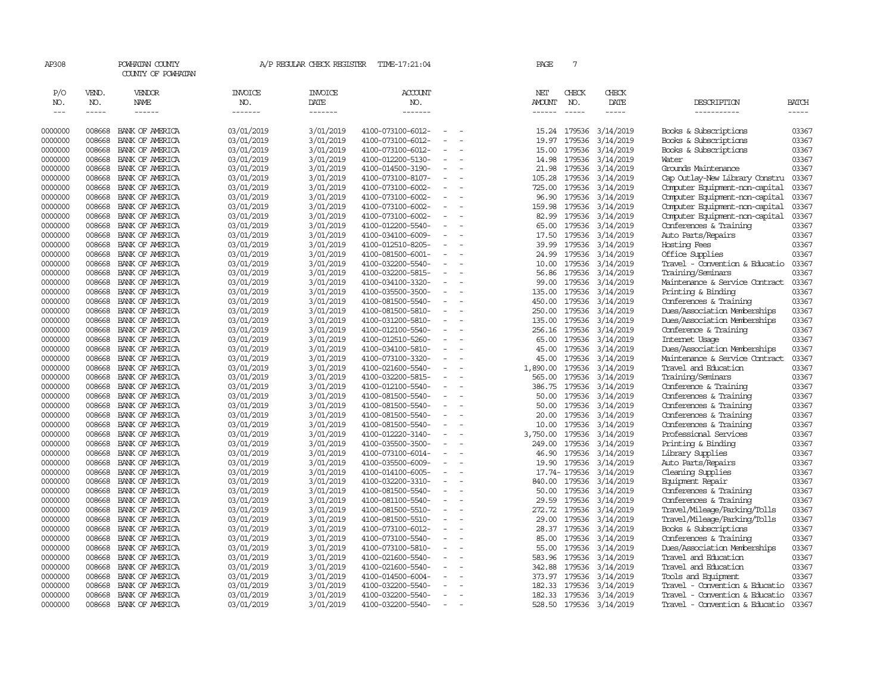| AP308                              |                             | POWHATAN COUNTY<br>COUNTY OF POWHATAN |                                  | A/P REGULAR CHECK REGISTER        | TIME-17:21:04                          |                     | PAGE                                  | 7                             |                              |                                                        |                |
|------------------------------------|-----------------------------|---------------------------------------|----------------------------------|-----------------------------------|----------------------------------------|---------------------|---------------------------------------|-------------------------------|------------------------------|--------------------------------------------------------|----------------|
| P/O<br>NO.<br>$\sim$ $\sim$ $\sim$ | VEND.<br>NO.<br>$- - - - -$ | VENDOR<br>NAME<br>------              | <b>INVOICE</b><br>NO.<br>------- | <b>INVOICE</b><br>DATE<br>------- | ACCOUNT<br>NO.<br>-------              |                     | NET<br><b>AMOUNT</b><br>$- - - - - -$ | CHECK<br>NO.<br>$\frac{1}{2}$ | CHECK<br>DATE<br>$- - - - -$ | DESCRIPTION<br>-----------                             | BATCH<br>----- |
| 0000000                            | 008668                      | BANK OF AMERICA                       | 03/01/2019                       | 3/01/2019                         | 4100-073100-6012-                      |                     | 15.24                                 | 179536                        | 3/14/2019                    | Books & Subscriptions                                  | 03367          |
| 0000000                            | 008668                      | BANK OF AMERICA                       | 03/01/2019                       | 3/01/2019                         | 4100-073100-6012-                      | $\equiv$            | 19.97                                 | 179536                        | 3/14/2019                    | Books & Subscriptions                                  | 03367          |
| 0000000                            | 008668                      | BANK OF AMERICA                       | 03/01/2019                       | 3/01/2019                         | 4100-073100-6012-                      |                     | 15.00                                 | 179536                        | 3/14/2019                    | Books & Subscriptions                                  | 03367          |
| 0000000                            | 008668                      | BANK OF AMERICA                       | 03/01/2019                       | 3/01/2019                         | 4100-012200-5130-                      | $\equiv$            | 14.98                                 | 179536                        | 3/14/2019                    | Water                                                  | 03367          |
| 0000000                            | 008668                      | BANK OF AMERICA                       | 03/01/2019                       | 3/01/2019                         | 4100-014500-3190-                      |                     | 21.98                                 | 179536                        | 3/14/2019                    | Grounds Maintenance                                    | 03367          |
| 0000000                            | 008668                      | BANK OF AMERICA                       | 03/01/2019                       | 3/01/2019                         | 4100-073100-8107-                      | $\sim$              | 105.28                                | 179536                        | 3/14/2019                    | Cap Outlay-New Library Constru                         | 03367          |
| 0000000                            | 008668                      | BANK OF AMERICA                       | 03/01/2019                       | 3/01/2019                         | 4100-073100-6002-                      | $\sim$              | 725.00                                | 179536                        | 3/14/2019                    | Computer Equipment-non-capital                         | 03367          |
| 0000000                            | 008668                      | BANK OF AMERICA                       | 03/01/2019                       | 3/01/2019                         | 4100-073100-6002-                      |                     | 96.90                                 | 179536                        | 3/14/2019                    | Computer Equipment-non-capital                         | 03367          |
| 0000000                            | 008668                      | BANK OF AMERICA                       | 03/01/2019                       | 3/01/2019                         | 4100-073100-6002-                      | $\sim$              | 159.98                                | 179536                        | 3/14/2019                    | Computer Equipment-non-capital                         | 03367          |
| 0000000                            | 008668                      | BANK OF AMERICA                       | 03/01/2019                       | 3/01/2019                         | 4100-073100-6002-                      | $\equiv$            | 82.99                                 | 179536                        | 3/14/2019                    | Computer Equipment-non-capital                         | 03367          |
| 0000000                            | 008668                      | BANK OF AMERICA                       | 03/01/2019                       | 3/01/2019                         | 4100-012200-5540-                      |                     | 65.00                                 | 179536                        | 3/14/2019                    | Conferences & Training                                 | 03367          |
| 0000000                            | 008668                      | BANK OF AMERICA                       | 03/01/2019                       | 3/01/2019                         | 4100-034100-6009-                      |                     | 17.50                                 | 179536                        | 3/14/2019                    | Auto Parts/Repairs                                     | 03367          |
| 0000000                            | 008668                      | BANK OF AMERICA                       | 03/01/2019                       | 3/01/2019                         | 4100-012510-8205-                      | $\equiv$            | 39.99                                 | 179536                        | 3/14/2019                    | Hosting Fees                                           | 03367          |
| 0000000                            | 008668                      | BANK OF AMERICA                       | 03/01/2019                       | 3/01/2019                         | 4100-081500-6001-                      |                     | 24.99                                 | 179536                        | 3/14/2019                    | Office Supplies                                        | 03367          |
| 0000000                            | 008668                      | BANK OF AMERICA                       | 03/01/2019                       | 3/01/2019                         | 4100-032200-5540-                      | $\equiv$            | 10.00                                 | 179536                        | 3/14/2019                    | Travel - Convention & Educatio                         | 03367          |
| 0000000                            | 008668                      | BANK OF AMERICA                       | 03/01/2019                       | 3/01/2019                         | 4100-032200-5815-                      |                     | 56.86                                 | 179536                        | 3/14/2019                    | Training/Seminars                                      | 03367          |
| 0000000                            | 008668                      | BANK OF AMERICA                       | 03/01/2019                       | 3/01/2019                         | 4100-034100-3320-                      | $\equiv$            | 99.00                                 | 179536                        | 3/14/2019                    | Maintenance & Service Contract                         | 03367          |
| 0000000                            | 008668                      | BANK OF AMERICA                       | 03/01/2019                       | 3/01/2019                         | 4100-035500-3500-                      |                     | 135.00                                | 179536                        | 3/14/2019                    | Printing & Binding                                     | 03367          |
| 0000000                            | 008668                      | BANK OF AMERICA                       | 03/01/2019                       | 3/01/2019                         | 4100-081500-5540-                      |                     | 450.00                                | 179536                        | 3/14/2019                    | Conferences & Training                                 | 03367          |
| 0000000                            | 008668                      | BANK OF AMERICA                       | 03/01/2019                       | 3/01/2019                         | 4100-081500-5810-                      | $\sim$              | 250.00                                | 179536                        | 3/14/2019                    | Dues/Association Memberships                           | 03367          |
| 0000000                            | 008668                      | BANK OF AMERICA                       | 03/01/2019                       | 3/01/2019                         | 4100-031200-5810-                      |                     | 135.00                                | 179536                        | 3/14/2019                    | Dues/Association Memberships                           | 03367          |
| 0000000                            | 008668                      | BANK OF AMERICA                       | 03/01/2019                       | 3/01/2019                         | 4100-012100-5540-                      | $\equiv$            | 256.16                                | 179536                        | 3/14/2019                    | Conference & Training                                  | 03367          |
| 0000000                            | 008668                      | BANK OF AMERICA                       | 03/01/2019                       | 3/01/2019                         | 4100-012510-5260-                      |                     |                                       | 65.00 179536                  | 3/14/2019                    | Internet Usage                                         | 03367          |
| 0000000                            | 008668                      | BANK OF AMERICA                       | 03/01/2019                       | 3/01/2019                         | 4100-034100-5810-                      | $\sim$              | 45.00                                 | 179536                        | 3/14/2019                    | Dues/Association Memberships                           | 03367          |
| 0000000                            | 008668<br>008668            | BANK OF AMERICA                       | 03/01/2019                       | 3/01/2019                         | 4100-073100-3320-                      | $\equiv$            | 45.00                                 | 179536                        | 3/14/2019                    | Maintenance & Service Contract<br>Travel and Education | 03367<br>03367 |
| 0000000<br>0000000                 | 008668                      | BANK OF AMERICA<br>BANK OF AMERICA    | 03/01/2019<br>03/01/2019         | 3/01/2019<br>3/01/2019            | 4100-021600-5540-<br>4100-032200-5815- | $\equiv$            | 1,890.00<br>565.00                    | 179536<br>179536              | 3/14/2019<br>3/14/2019       | Training/Seminars                                      | 03367          |
| 0000000                            | 008668                      | BANK OF AMERICA                       | 03/01/2019                       | 3/01/2019                         | 4100-012100-5540-                      | $\equiv$            | 386.75                                | 179536                        | 3/14/2019                    | Conference & Training                                  | 03367          |
| 0000000                            | 008668                      | BANK OF AMERICA                       | 03/01/2019                       | 3/01/2019                         | 4100-081500-5540-                      | $\equiv$            | 50.00                                 | 179536                        | 3/14/2019                    | Conferences & Training                                 | 03367          |
| 0000000                            | 008668                      | BANK OF AMERICA                       | 03/01/2019                       | 3/01/2019                         | 4100-081500-5540-                      | $\equiv$            | 50.00                                 | 179536                        | 3/14/2019                    | Conferences & Training                                 | 03367          |
| 0000000                            | 008668                      | BANK OF AMERICA                       | 03/01/2019                       | 3/01/2019                         | 4100-081500-5540-                      | $\sim$              | 20.00                                 | 179536                        | 3/14/2019                    | Conferences & Training                                 | 03367          |
| 0000000                            | 008668                      | BANK OF AMERICA                       | 03/01/2019                       | 3/01/2019                         | 4100-081500-5540-                      | $\sim$              | 10.00                                 | 179536                        | 3/14/2019                    | Conferences & Training                                 | 03367          |
| 0000000                            | 008668                      | BANK OF AMERICA                       | 03/01/2019                       | 3/01/2019                         | 4100-012220-3140-                      |                     | 3,750.00                              | 179536                        | 3/14/2019                    | Professional Services                                  | 03367          |
| 0000000                            | 008668                      | BANK OF AMERICA                       | 03/01/2019                       | 3/01/2019                         | 4100-035500-3500-                      | $\equiv$            | 249.00                                | 179536                        | 3/14/2019                    | Printing & Binding                                     | 03367          |
| 0000000                            | 008668                      | BANK OF AMERICA                       | 03/01/2019                       | 3/01/2019                         | 4100-073100-6014-                      |                     | 46.90                                 | 179536                        | 3/14/2019                    | Library Supplies                                       | 03367          |
| 0000000                            | 008668                      | BANK OF AMERICA                       | 03/01/2019                       | 3/01/2019                         | 4100-035500-6009-                      | $\equiv$            | 19.90                                 | 179536                        | 3/14/2019                    | Auto Parts/Repairs                                     | 03367          |
| 0000000                            | 008668                      | BANK OF AMERICA                       | 03/01/2019                       | 3/01/2019                         | 4100-014100-6005-                      | $\equiv$            |                                       | 17.74- 179536                 | 3/14/2019                    | Cleaning Supplies                                      | 03367          |
| 0000000                            | 008668                      | BANK OF AMERICA                       | 03/01/2019                       | 3/01/2019                         | 4100-032200-3310-                      | $\sim$              | 840.00                                | 179536                        | 3/14/2019                    | Equipment Repair                                       | 03367          |
| 0000000                            | 008668                      | BANK OF AMERICA                       | 03/01/2019                       | 3/01/2019                         | 4100-081500-5540-                      | $\sim$              | 50.00                                 | 179536                        | 3/14/2019                    | Conferences & Training                                 | 03367          |
| 0000000                            | 008668                      | BANK OF AMERICA                       | 03/01/2019                       | 3/01/2019                         | 4100-081100-5540-                      | $\sim$              | 29.59                                 | 179536                        | 3/14/2019                    | Conferences & Training                                 | 03367          |
| 0000000                            | 008668                      | BANK OF AMERICA                       | 03/01/2019                       | 3/01/2019                         | 4100-081500-5510-                      | $\bar{\phantom{a}}$ | 272.72                                | 179536                        | 3/14/2019                    | Travel/Mileage/Parking/Tolls                           | 03367          |
| 0000000                            | 008668                      | BANK OF AMERICA                       | 03/01/2019                       | 3/01/2019                         | 4100-081500-5510-                      |                     | 29.00                                 | 179536                        | 3/14/2019                    | Travel/Mileage/Parking/Tolls                           | 03367          |
| 0000000                            | 008668                      | BANK OF AMERICA                       | 03/01/2019                       | 3/01/2019                         | 4100-073100-6012-                      | $\sim$              | 28.37                                 | 179536                        | 3/14/2019                    | Books & Subscriptions                                  | 03367          |
| 0000000                            | 008668                      | BANK OF AMERICA                       | 03/01/2019                       | 3/01/2019                         | 4100-073100-5540-                      |                     | 85.00                                 | 179536                        | 3/14/2019                    | Conferences & Training                                 | 03367          |
| 0000000                            | 008668                      | BANK OF AMERICA                       | 03/01/2019                       | 3/01/2019                         | 4100-073100-5810-                      | $\equiv$            | 55.00                                 | 179536                        | 3/14/2019                    | Dues/Association Memberships                           | 03367          |
| 0000000                            | 008668                      | BANK OF AMERICA                       | 03/01/2019                       | 3/01/2019                         | 4100-021600-5540-                      |                     | 583.96                                | 179536                        | 3/14/2019                    | Travel and Education                                   | 03367          |
| 0000000                            | 008668                      | BANK OF AMERICA                       | 03/01/2019                       | 3/01/2019                         | 4100-021600-5540-                      |                     | 342.88                                | 179536                        | 3/14/2019                    | Travel and Education                                   | 03367          |
| 0000000                            | 008668                      | BANK OF AMERICA                       | 03/01/2019                       | 3/01/2019                         | 4100-014500-6004-                      |                     | 373.97                                | 179536                        | 3/14/2019                    | Tools and Equipment                                    | 03367          |
| 0000000                            | 008668                      | BANK OF AMERICA                       | 03/01/2019                       | 3/01/2019                         | 4100-032200-5540-                      |                     | 182.33                                | 179536                        | 3/14/2019                    | Travel - Convention & Educatio                         | 03367          |
| 0000000                            | 008668                      | BANK OF AMERICA                       | 03/01/2019                       | 3/01/2019                         | 4100-032200-5540-                      | $\equiv$            | 182.33                                | 179536                        | 3/14/2019                    | Travel - Convention & Educatio                         | 03367          |
| 0000000                            | 008668                      | BANK OF AMERICA                       | 03/01/2019                       | 3/01/2019                         | 4100-032200-5540-                      | $\sim$              |                                       |                               | 528.50 179536 3/14/2019      | Travel - Convention & Educatio                         | 03367          |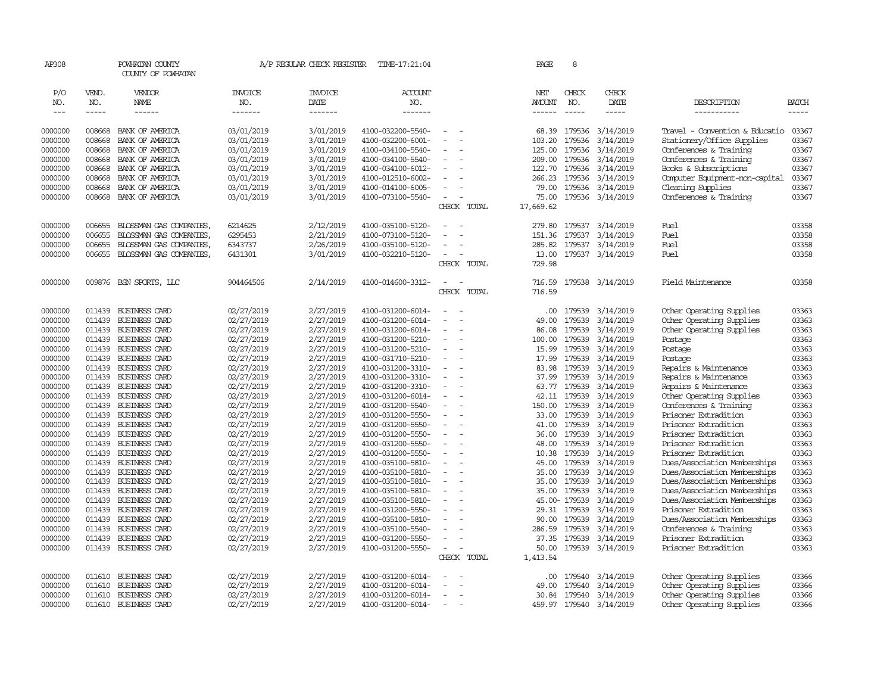| AP308              |                  | POWHATAN COUNTY<br>COUNTY OF POWHATAN |                          | A/P REGULAR CHECK REGISTER | TIME-17:21:04                          |                                            | PAGE            | 8                |                         |                                                |                |
|--------------------|------------------|---------------------------------------|--------------------------|----------------------------|----------------------------------------|--------------------------------------------|-----------------|------------------|-------------------------|------------------------------------------------|----------------|
| P/O<br>NO.         | VEND.<br>NO.     | VENDOR<br>NAME                        | <b>INVOICE</b><br>NO.    | <b>INVOICE</b><br>DATE     | <b>ACCOUNT</b><br>NO.                  |                                            | NET<br>AMOUNT   | CHECK<br>NO.     | CHECK<br>DATE           | DESCRIPTION                                    | BATCH          |
| $  -$              | $- - - - -$      | ------                                | -------                  | -------                    | -------                                |                                            | ------          | $\frac{1}{2}$    | -----                   | -----------                                    | -----          |
| 0000000            | 008668           | BANK OF AMERICA                       | 03/01/2019               | 3/01/2019                  | 4100-032200-5540-                      | ÷.                                         | 68.39           | 179536           | 3/14/2019               | Travel - Convention & Educatio                 | 03367          |
| 0000000            | 008668           | BANK OF AMERICA                       | 03/01/2019               | 3/01/2019                  | 4100-032200-6001-                      |                                            | 103.20          | 179536           | 3/14/2019               | Stationery/Office Supplies                     | 03367          |
| 0000000            | 008668           | BANK OF AMERICA                       | 03/01/2019               | 3/01/2019                  | 4100-034100-5540-                      |                                            | 125.00          | 179536           | 3/14/2019               | Conferences & Training                         | 03367          |
| 0000000            | 008668           | BANK OF AMERICA                       | 03/01/2019               | 3/01/2019                  | 4100-034100-5540-                      |                                            | 209.00          | 179536           | 3/14/2019               | Conferences & Training                         | 03367          |
| 0000000            | 008668           | BANK OF AMERICA                       | 03/01/2019               | 3/01/2019                  | 4100-034100-6012-                      |                                            | 122.70          | 179536           | 3/14/2019               | Books & Subscriptions                          | 03367          |
| 0000000            | 008668           | BANK OF AMERICA                       | 03/01/2019               | 3/01/2019                  | 4100-012510-6002-                      |                                            | 266.23          | 179536           | 3/14/2019               | Computer Equipment-non-capital                 | 03367          |
| 0000000            | 008668           | BANK OF AMERICA                       | 03/01/2019               | 3/01/2019                  | 4100-014100-6005-                      |                                            | 79.00           | 179536           | 3/14/2019               | Cleaning Supplies                              | 03367          |
| 0000000            | 008668           | BANK OF AMERICA                       | 03/01/2019               | 3/01/2019                  | 4100-073100-5540-                      | $\sim$                                     | 75.00           |                  | 179536 3/14/2019        | Conferences & Training                         | 03367          |
|                    |                  |                                       |                          |                            |                                        | CHECK<br>TOTAL                             | 17,669.62       |                  |                         |                                                |                |
|                    | 006655           | BLOSSMAN GAS COMPANIES                | 6214625                  | 2/12/2019                  | 4100-035100-5120-                      |                                            | 279.80          | 179537           | 3/14/2019               | Fuel                                           | 03358          |
| 0000000<br>0000000 | 006655           | BLOSSMAN GAS COMPANIES                | 6295453                  | 2/21/2019                  | 4100-073100-5120-                      |                                            | 151.36          | 179537           | 3/14/2019               | Fuel                                           | 03358          |
| 0000000            | 006655           | BLOSSMAN GAS COMPANIES                | 6343737                  | 2/26/2019                  | 4100-035100-5120-                      | $\equiv$                                   | 285.82          | 179537           | 3/14/2019               | Fuel                                           | 03358          |
| 0000000            | 006655           | BLOSSMAN GAS COMPANIES                | 6431301                  | 3/01/2019                  | 4100-032210-5120-                      |                                            | 13.00           |                  | 179537 3/14/2019        | Fuel                                           | 03358          |
|                    |                  |                                       |                          |                            |                                        | CHECK TOTAL                                | 729.98          |                  |                         |                                                |                |
|                    |                  |                                       |                          |                            |                                        |                                            |                 |                  |                         |                                                |                |
| 0000000            |                  | 009876 BSN SPORTS, LLC                | 904464506                | 2/14/2019                  | 4100-014600-3312-                      | . —                                        | 716.59          |                  | 179538 3/14/2019        | Field Maintenance                              | 03358          |
|                    |                  |                                       |                          |                            |                                        | CHECK TOTAL                                | 716.59          |                  |                         |                                                |                |
| 0000000            | 011439           | <b>BUSINESS CARD</b>                  | 02/27/2019               | 2/27/2019                  | 4100-031200-6014-                      |                                            | .00             | 179539           | 3/14/2019               | Other Operating Supplies                       | 03363          |
| 0000000            | 011439           | BUSINESS CARD                         | 02/27/2019               | 2/27/2019                  | 4100-031200-6014-                      |                                            | 49.00           | 179539           | 3/14/2019               | Other Operating Supplies                       | 03363          |
| 0000000            | 011439           | <b>BUSINESS CARD</b>                  | 02/27/2019               | 2/27/2019                  | 4100-031200-6014-                      | $\sim$                                     | 86.08           | 179539           | 3/14/2019               | Other Operating Supplies                       | 03363          |
| 0000000            | 011439           | BUSINESS CARD                         | 02/27/2019               | 2/27/2019                  | 4100-031200-5210-                      |                                            | 100.00          | 179539           | 3/14/2019               | Postage                                        | 03363          |
| 0000000            | 011439           | BUSINESS CARD                         | 02/27/2019               | 2/27/2019                  | 4100-031200-5210-                      |                                            | 15.99           | 179539           | 3/14/2019               | Postage                                        | 03363          |
| 0000000            | 011439           | BUSINESS CARD                         | 02/27/2019               | 2/27/2019                  | 4100-031710-5210-                      | $\blacksquare$<br>$\overline{\phantom{a}}$ | 17.99           | 179539           | 3/14/2019               | Postage                                        | 03363          |
| 0000000            | 011439           | BUSINESS CARD                         | 02/27/2019               | 2/27/2019                  | 4100-031200-3310-                      | $\sim$                                     | 83.98           | 179539           | 3/14/2019               | Repairs & Maintenance                          | 03363          |
| 0000000            | 011439           | BUSINESS CARD                         | 02/27/2019               | 2/27/2019                  | 4100-031200-3310-                      |                                            | 37.99           | 179539           | 3/14/2019               | Repairs & Maintenance                          | 03363          |
| 0000000            | 011439           | BUSINESS CARD                         | 02/27/2019               | 2/27/2019                  | 4100-031200-3310-                      | $\equiv$<br>÷,                             | 63.77           | 179539           | 3/14/2019               | Repairs & Maintenance                          | 03363          |
| 0000000            | 011439           | <b>BUSINESS CARD</b>                  | 02/27/2019               | 2/27/2019                  | 4100-031200-6014-                      |                                            | 42.11           | 179539           | 3/14/2019               | Other Operating Supplies                       | 03363          |
| 0000000            | 011439           | BUSINESS CARD                         | 02/27/2019               | 2/27/2019                  | 4100-031200-5540-                      | $\equiv$                                   | 150.00          | 179539           | 3/14/2019               | Conferences & Training                         | 03363          |
| 0000000            | 011439           | BUSINESS CARD                         | 02/27/2019               | 2/27/2019                  | 4100-031200-5550-                      |                                            | 33.00           | 179539           | 3/14/2019               | Prisoner Extradition                           | 03363          |
| 0000000            | 011439           | BUSINESS CARD                         | 02/27/2019               | 2/27/2019                  | 4100-031200-5550-                      | $\equiv$<br>÷.                             | 41.00           | 179539           | 3/14/2019               | Prisoner Extradition                           | 03363          |
| 0000000            | 011439           | BUSINESS CARD                         | 02/27/2019               | 2/27/2019                  | 4100-031200-5550-                      | $\sim$                                     | 36.00           | 179539           | 3/14/2019               | Prisoner Extradition                           | 03363          |
| 0000000            | 011439           | BUSINESS CARD                         | 02/27/2019               | 2/27/2019                  | 4100-031200-5550-                      |                                            | 48.00           | 179539           | 3/14/2019               | Prisoner Extradition                           | 03363          |
| 0000000            | 011439           | BUSINESS CARD                         | 02/27/2019               | 2/27/2019                  | 4100-031200-5550-                      | $\equiv$<br>÷,                             | 10.38           | 179539           | 3/14/2019               | Prisoner Extradition                           | 03363          |
| 0000000            | 011439           | <b>BUSINESS CARD</b>                  | 02/27/2019               | 2/27/2019                  | 4100-035100-5810-                      |                                            | 45.00           | 179539           | 3/14/2019               | Dues/Association Memberships                   | 03363          |
| 0000000            | 011439           | BUSINESS CARD                         | 02/27/2019               | 2/27/2019                  | 4100-035100-5810-                      | $\sim$                                     | 35.00           | 179539           | 3/14/2019               | Dues/Association Memberships                   | 03363          |
| 0000000            | 011439           | BUSINESS CARD                         | 02/27/2019               | 2/27/2019                  | 4100-035100-5810-                      |                                            | 35.00           | 179539           | 3/14/2019               | Dues/Association Memberships                   | 03363          |
| 0000000            | 011439           | BUSINESS CARD                         | 02/27/2019               | 2/27/2019                  | 4100-035100-5810-                      |                                            | 35.00           | 179539           | 3/14/2019               | Dues/Association Memberships                   | 03363          |
| 0000000            | 011439           | BUSINESS CARD                         | 02/27/2019               | 2/27/2019                  | 4100-035100-5810-                      | $\overline{\phantom{a}}$                   |                 | 45.00-179539     | 3/14/2019               | Dues/Association Memberships                   | 03363          |
| 0000000            | 011439<br>011439 | BUSINESS CARD<br>BUSINESS CARD        | 02/27/2019               | 2/27/2019                  | 4100-031200-5550-                      |                                            |                 | 29.31 179539     | 3/14/2019               | Prisoner Extradition                           | 03363          |
| 0000000<br>0000000 | 011439           | <b>BUSINESS CARD</b>                  | 02/27/2019               | 2/27/2019<br>2/27/2019     | 4100-035100-5810-<br>4100-035100-5540- |                                            | 90.00<br>286.59 | 179539<br>179539 | 3/14/2019<br>3/14/2019  | Dues/Association Memberships                   | 03363<br>03363 |
| 0000000            | 011439           | BUSINESS CARD                         | 02/27/2019<br>02/27/2019 | 2/27/2019                  | 4100-031200-5550-                      |                                            | 37.35           | 179539           | 3/14/2019               | Conferences & Training<br>Prisoner Extradition | 03363          |
| 0000000            | 011439           | BUSINESS CARD                         | 02/27/2019               | 2/27/2019                  | 4100-031200-5550-                      | $\overline{\phantom{a}}$                   | 50.00           |                  | 179539 3/14/2019        | Prisoner Extradition                           | 03363          |
|                    |                  |                                       |                          |                            |                                        | CHECK TOTAL                                | 1,413.54        |                  |                         |                                                |                |
|                    |                  |                                       |                          |                            |                                        |                                            |                 |                  |                         |                                                |                |
| 0000000            | 011610           | BUSINESS CARD                         | 02/27/2019               | 2/27/2019                  | 4100-031200-6014-                      |                                            | .00             | 179540           | 3/14/2019               | Other Operating Supplies                       | 03366          |
| 0000000            | 011610           | BUSINESS CARD                         | 02/27/2019               | 2/27/2019                  | 4100-031200-6014-                      | $\sim$<br>÷,                               | 49.00           | 179540           | 3/14/2019               | Other Operating Supplies                       | 03366          |
| 0000000            | 011610           | <b>BUSINESS CARD</b>                  | 02/27/2019               | 2/27/2019                  | 4100-031200-6014-                      | $\sim$                                     | 30.84           | 179540           | 3/14/2019               | Other Operating Supplies                       | 03366          |
| 0000000            | 011610           | <b>BUSINESS CARD</b>                  | 02/27/2019               | 2/27/2019                  | 4100-031200-6014-                      | $\sim$<br>$\overline{\phantom{a}}$         |                 |                  | 459.97 179540 3/14/2019 | Other Operating Supplies                       | 03366          |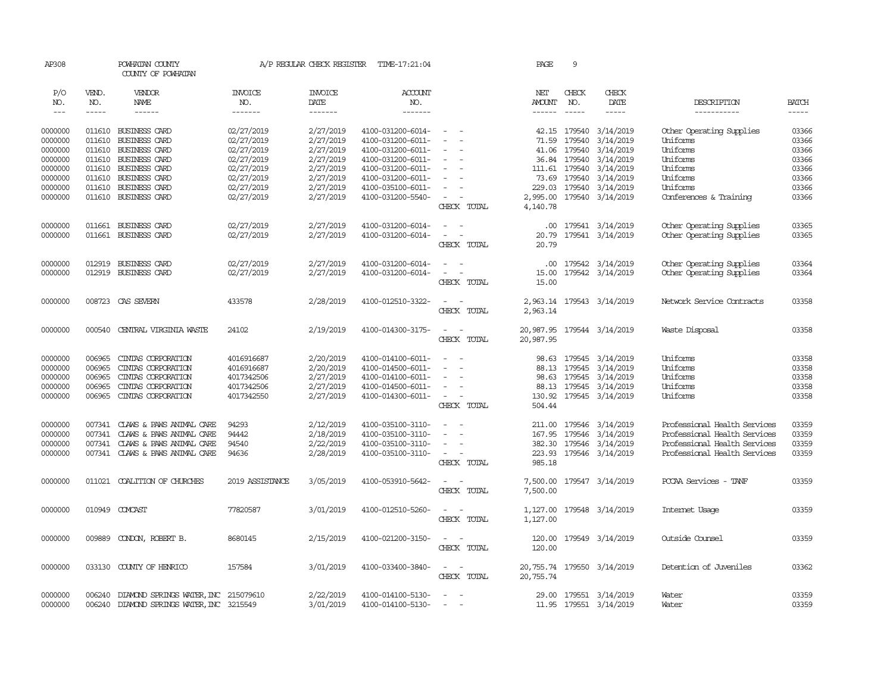| AP308         |              | POWHATAN COUNTY<br>COUNTY OF POWHATAN       |                       | A/P REGULAR CHECK REGISTER | TIME-17:21:04     |                                                                                                              | PAGE          | 9             |                            |                              |              |
|---------------|--------------|---------------------------------------------|-----------------------|----------------------------|-------------------|--------------------------------------------------------------------------------------------------------------|---------------|---------------|----------------------------|------------------------------|--------------|
| P/O<br>NO.    | VEND.<br>NO. | VENDOR<br>NAME                              | <b>INVOICE</b><br>NO. | <b>INVOICE</b><br>DATE     | ACCOUNT<br>NO.    |                                                                                                              | NET<br>AMOUNT | CHECK<br>NO.  | CHECK<br>DATE              | DESCRIPTION                  | <b>BATCH</b> |
| $\frac{1}{2}$ | -----        | $- - - - - -$                               | -------               | -------                    | $- - - - - - -$   |                                                                                                              | ------        | $\frac{1}{2}$ | $- - - - -$                | -----------                  |              |
| 0000000       |              | 011610 BUSINESS CARD                        | 02/27/2019            | 2/27/2019                  | 4100-031200-6014- | $\sim$ $ \sim$                                                                                               |               |               | 42.15 179540 3/14/2019     | Other Operating Supplies     | 03366        |
| 0000000       | 011610       | <b>BUSINESS CARD</b>                        | 02/27/2019            | 2/27/2019                  | 4100-031200-6011- | $\sim$                                                                                                       | 71.59         | 179540        | 3/14/2019                  | Uniforms                     | 03366        |
| 0000000       | 011610       | <b>BUSINESS CARD</b>                        | 02/27/2019            | 2/27/2019                  | 4100-031200-6011- |                                                                                                              |               |               | 41.06 179540 3/14/2019     | Uniforms                     | 03366        |
| 0000000       | 011610       | BUSINESS CARD                               | 02/27/2019            | 2/27/2019                  | 4100-031200-6011- | $\overline{\phantom{a}}$                                                                                     |               |               | 36.84 179540 3/14/2019     | Uniforms                     | 03366        |
| 0000000       | 011610       | BUSINESS CARD                               | 02/27/2019            | 2/27/2019                  | 4100-031200-6011- | $\equiv$                                                                                                     |               |               | 111.61 179540 3/14/2019    | Uniforms                     | 03366        |
| 0000000       | 011610       | BUSINESS CARD                               | 02/27/2019            | 2/27/2019                  | 4100-031200-6011- |                                                                                                              |               |               | 73.69 179540 3/14/2019     | Uniforms                     | 03366        |
| 0000000       | 011610       | BUSINESS CARD                               | 02/27/2019            | 2/27/2019                  | 4100-035100-6011- |                                                                                                              |               |               | 229.03 179540 3/14/2019    | Uniforms                     | 03366        |
| 0000000       |              | 011610 BUSINESS CARD                        | 02/27/2019            | 2/27/2019                  | 4100-031200-5540- | $\sim$                                                                                                       |               |               | 2,995.00 179540 3/14/2019  | Conferences & Training       | 03366        |
|               |              |                                             |                       |                            |                   | CHECK TOTAL                                                                                                  | 4,140.78      |               |                            |                              |              |
| 0000000       |              | 011661 BUSINESS CARD                        | 02/27/2019            | 2/27/2019                  | 4100-031200-6014- | $\frac{1}{2} \left( \frac{1}{2} \right) \left( \frac{1}{2} \right) = \frac{1}{2} \left( \frac{1}{2} \right)$ |               |               | .00 179541 3/14/2019       | Other Operating Supplies     | 03365        |
| 0000000       |              | 011661 BUSINESS CARD                        | 02/27/2019            | 2/27/2019                  | 4100-031200-6014- | $\sim$ $ \sim$                                                                                               | 20.79         |               | 179541 3/14/2019           | Other Operating Supplies     | 03365        |
|               |              |                                             |                       |                            |                   | CHECK TOTAL                                                                                                  | 20.79         |               |                            |                              |              |
| 0000000       |              | 012919 BUSINESS CARD                        | 02/27/2019            | 2/27/2019                  | 4100-031200-6014- | $\sim$ $ \sim$                                                                                               |               |               | .00 179542 3/14/2019       | Other Operating Supplies     | 03364        |
| 0000000       |              | 012919 BUSINESS CARD                        | 02/27/2019            | 2/27/2019                  | 4100-031200-6014- | $\sim$ $ \sim$                                                                                               |               |               | 15.00 179542 3/14/2019     | Other Operating Supplies     | 03364        |
|               |              |                                             |                       |                            |                   | CHECK TOTAL                                                                                                  | 15.00         |               |                            |                              |              |
| 0000000       |              | 008723 CAS SEVERN                           | 433578                | 2/28/2019                  | 4100-012510-3322- | $\sim$<br>$\sim$                                                                                             |               |               | 2,963.14 179543 3/14/2019  | Network Service Contracts    | 03358        |
|               |              |                                             |                       |                            |                   | CHECK TOTAL                                                                                                  | 2,963.14      |               |                            |                              |              |
| 0000000       | 000540       | CENTRAL VIRGINIA WASTE                      | 24102                 | 2/19/2019                  | 4100-014300-3175- | $\sim$<br>$\sim$ $-$                                                                                         |               |               | 20,987.95 179544 3/14/2019 | Waste Disposal               | 03358        |
|               |              |                                             |                       |                            |                   | CHECK TOTAL                                                                                                  | 20,987.95     |               |                            |                              |              |
| 0000000       | 006965       | CINIAS CORPORATION                          | 4016916687            | 2/20/2019                  | 4100-014100-6011- | $\frac{1}{2} \left( \frac{1}{2} \right) \left( \frac{1}{2} \right) = \frac{1}{2} \left( \frac{1}{2} \right)$ |               |               | 98.63 179545 3/14/2019     | Uniforms                     | 03358        |
| 0000000       | 006965       | CINIAS CORPORATION                          | 4016916687            | 2/20/2019                  | 4100-014500-6011- |                                                                                                              |               | 88.13 179545  | 3/14/2019                  | Uniforms                     | 03358        |
| 0000000       | 006965       | CINIAS CORPORATION                          | 4017342506            | 2/27/2019                  | 4100-014100-6011- |                                                                                                              |               |               | 98.63 179545 3/14/2019     | Uniforms                     | 03358        |
| 0000000       | 006965       | CINIAS CORPORATION                          | 4017342506            | 2/27/2019                  | 4100-014500-6011- | $\sim$                                                                                                       |               |               | 88.13 179545 3/14/2019     | Uniforms                     | 03358        |
| 0000000       | 006965       | CINIAS CORPORATION                          | 4017342550            | 2/27/2019                  | 4100-014300-6011- | $\sim$ $ \sim$                                                                                               |               |               | 130.92 179545 3/14/2019    | Uniforms                     | 03358        |
|               |              |                                             |                       |                            |                   | CHECK TOTAL                                                                                                  | 504.44        |               |                            |                              |              |
| 0000000       | 007341       | CLAWS & PAWS ANIMAL CARE                    | 94293                 | 2/12/2019                  | 4100-035100-3110- | $\sim$ $ \sim$                                                                                               |               |               | 211.00 179546 3/14/2019    | Professional Health Services | 03359        |
| 0000000       | 007341       | CLAWS & PAWS ANIMAL CARE                    | 94442                 | 2/18/2019                  | 4100-035100-3110- |                                                                                                              |               |               | 167.95 179546 3/14/2019    | Professional Health Services | 03359        |
| 0000000       | 007341       | CLAWS & PAWS ANIMAL CARE                    | 94540                 | 2/22/2019                  | 4100-035100-3110- | $\sim$ 100 $\mu$                                                                                             |               |               | 382.30 179546 3/14/2019    | Professional Health Services | 03359        |
| 0000000       |              | 007341 CLAWS & PAWS ANIMAL CARE             | 94636                 | 2/28/2019                  | 4100-035100-3110- | $\sim$ $-$                                                                                                   |               |               | 223.93 179546 3/14/2019    | Professional Health Services | 03359        |
|               |              |                                             |                       |                            |                   | CHECK TOTAL                                                                                                  | 985.18        |               |                            |                              |              |
| 0000000       |              | 011021 COALITION OF CHURCHES                | 2019 ASSISTANCE       | 3/05/2019                  | 4100-053910-5642- | $\sim$ $\sim$                                                                                                |               |               |                            | PCCAA Services - TANF        | 03359        |
|               |              |                                             |                       |                            |                   | CHECK TOTAL                                                                                                  | 7,500.00      |               | 7,500.00 179547 3/14/2019  |                              |              |
|               |              |                                             |                       |                            |                   |                                                                                                              |               |               |                            |                              |              |
| 0000000       |              | 010949 COMCAST                              | 77820587              | 3/01/2019                  | 4100-012510-5260- | $\sim$ $ \sim$<br>CHECK TOTAL                                                                                | 1,127.00      |               | 1,127.00 179548 3/14/2019  | Internet Usage               | 03359        |
|               |              |                                             |                       |                            |                   |                                                                                                              |               |               |                            |                              |              |
| 0000000       | 009889       | CONDON, ROBERT B.                           | 8680145               | 2/15/2019                  | 4100-021200-3150- | $\sim$ $\sim$                                                                                                |               |               | 120.00 179549 3/14/2019    | Outside Counsel              | 03359        |
|               |              |                                             |                       |                            |                   | CHECK TOTAL                                                                                                  | 120.00        |               |                            |                              |              |
| 0000000       |              | 033130 COUNTY OF HENRICO                    | 157584                | 3/01/2019                  | 4100-033400-3840- | $\sim$ $\sim$                                                                                                |               |               | 20,755.74 179550 3/14/2019 | Detention of Juveniles       | 03362        |
|               |              |                                             |                       |                            |                   | CHECK TOTAL                                                                                                  | 20,755.74     |               |                            |                              |              |
| 0000000       |              | 006240 DIAMOND SPRINGS WATER, INC 215079610 |                       | 2/22/2019                  | 4100-014100-5130- | $\sim$                                                                                                       |               |               | 29.00 179551 3/14/2019     | Water                        | 03359        |
| 0000000       |              | 006240 DIAMOND SPRINGS WATER, INC 3215549   |                       | 3/01/2019                  | 4100-014100-5130- | $\sim$                                                                                                       |               |               | 11.95 179551 3/14/2019     | Water                        | 03359        |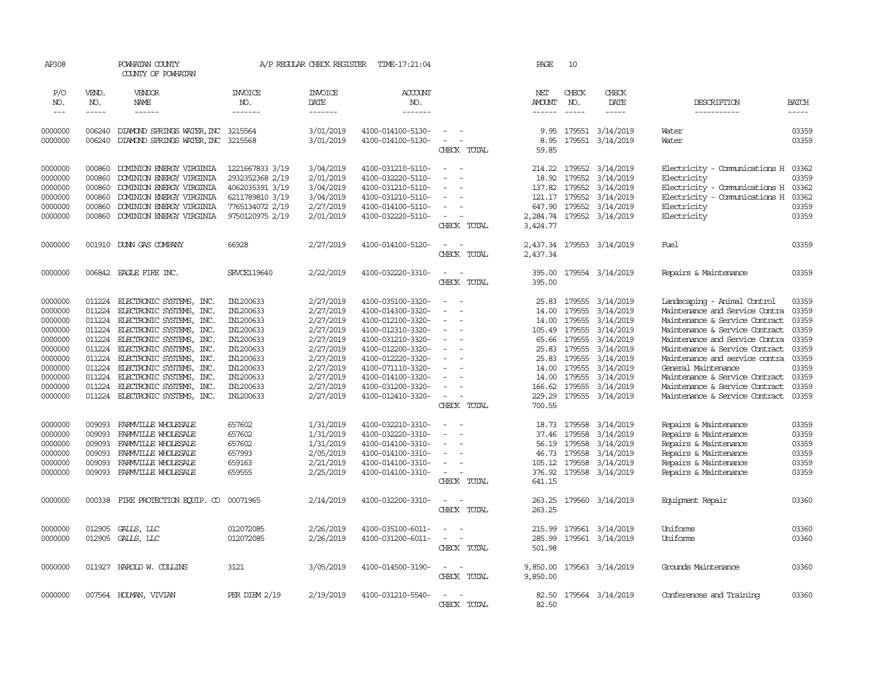| AP308               |                       | POWHATAN COUNTY<br>COUNTY OF POWHATAN                    |                                  | A/P REGULAR CHECK REGISTER                | TIME-17:21:04                          |                                                                                  | PAGE                                  | 10                            |                              |                                |                             |
|---------------------|-----------------------|----------------------------------------------------------|----------------------------------|-------------------------------------------|----------------------------------------|----------------------------------------------------------------------------------|---------------------------------------|-------------------------------|------------------------------|--------------------------------|-----------------------------|
| P/O<br>NO.<br>$---$ | VEND.<br>NO.<br>----- | VENDOR<br>NAME<br>$- - - - - -$                          | <b>INVOICE</b><br>NO.<br>------- | <b>INVOICE</b><br>DATE<br>$- - - - - - -$ | <b>ACCOUNT</b><br>NO.<br>-------       |                                                                                  | NET<br><b>AMOUNT</b><br>$- - - - - -$ | CHECK<br>NO.<br>$\frac{1}{2}$ | CHECK<br>DATE<br>$- - - - -$ | DESCRIPTION<br>-----------     | <b>BATCH</b><br>$- - - - -$ |
|                     |                       |                                                          |                                  |                                           |                                        |                                                                                  |                                       |                               |                              |                                |                             |
| 0000000<br>0000000  | 006240<br>006240      | DIAMOND SPRINGS WATER, INC<br>DIAMOND SPRINGS WATER, INC | 3215564<br>3215568               | 3/01/2019<br>3/01/2019                    | 4100-014100-5130-<br>4100-014100-5130- | $\overline{\phantom{a}}$<br>$\overline{\phantom{a}}$<br>$\overline{\phantom{a}}$ | 9.95<br>8.95                          | 179551<br>179551              | 3/14/2019<br>3/14/2019       | Water<br>Water                 | 03359<br>03359              |
|                     |                       |                                                          |                                  |                                           |                                        | CHECK TOTAL                                                                      | 59.85                                 |                               |                              |                                |                             |
| 0000000             | 000860                | DOMINION ENERGY VIRGINIA                                 | 1221667833 3/19                  | 3/04/2019                                 | 4100-031210-5110-                      | $\equiv$                                                                         | 214.22                                | 179552                        | 3/14/2019                    | Electricity - Comunications H  | 03362                       |
| 0000000             | 000860                | DOMINION ENERGY VIRGINIA                                 | 2932352368 2/19                  | 2/01/2019                                 | 4100-032220-5110-                      | $\equiv$                                                                         | 18.92                                 | 179552                        | 3/14/2019                    | Electricity                    | 03359                       |
| 0000000             | 000860                | DOMINION ENERGY VIRGINIA                                 | 4062035391 3/19                  | 3/04/2019                                 | 4100-031210-5110-                      |                                                                                  | 137.82                                | 179552                        | 3/14/2019                    | Electricity - Comunications H  | 03362                       |
| 0000000             | 000860                | DOMINION ENERGY VIRGINIA                                 | 6211789810 3/19                  | 3/04/2019                                 | 4100-031210-5110-                      | $\sim$                                                                           |                                       | 121.17 179552                 | 3/14/2019                    | Electricity - Comunications H  | 03362                       |
| 0000000             | 000860                | DOMINION ENERGY VIRGINIA                                 | 7765134072 2/19                  | 2/27/2019                                 | 4100-014100-5110-                      | $\sim$                                                                           | 647.90                                | 179552                        | 3/14/2019                    | Electricity                    | 03359                       |
| 0000000             | 000860                | DOMINION ENERGY VIRGINIA                                 | 9750120975 2/19                  | 2/01/2019                                 | 4100-032220-5110-                      | $\overline{\phantom{a}}$                                                         | 2,284.74                              |                               | 179552 3/14/2019             | Electricity                    | 03359                       |
|                     |                       |                                                          |                                  |                                           |                                        | CHECK TOTAL                                                                      | 3,424.77                              |                               |                              |                                |                             |
| 0000000             |                       | 001910 DUNN GAS COMPANY                                  | 66928                            | 2/27/2019                                 | 4100-014100-5120-                      | $\sim$<br>$\sim$                                                                 | 2,437.34                              |                               | 179553 3/14/2019             | Fuel                           | 03359                       |
|                     |                       |                                                          |                                  |                                           |                                        | CHECK TOTAL                                                                      | 2,437.34                              |                               |                              |                                |                             |
| 0000000             |                       | 006842 EAGLE FIRE INC.                                   | <b>SRVCE119640</b>               | 2/22/2019                                 | 4100-032220-3310-                      | $\overline{\phantom{a}}$<br>$\sim$                                               | 395.00                                |                               | 179554 3/14/2019             | Repairs & Maintenance          | 03359                       |
|                     |                       |                                                          |                                  |                                           |                                        | CHECK TOTAL                                                                      | 395.00                                |                               |                              |                                |                             |
|                     |                       |                                                          |                                  |                                           |                                        |                                                                                  |                                       |                               |                              |                                |                             |
| 0000000             | 011224                | ELECTRONIC SYSTEMS, INC.                                 | IN1200633                        | 2/27/2019                                 | 4100-035100-3320-                      | $\blacksquare$                                                                   | 25.83                                 | 179555                        | 3/14/2019                    | Landscaping - Animal Control   | 03359                       |
| 0000000             | 011224                | ELECTRONIC SYSTEMS, INC.                                 | IN1200633                        | 2/27/2019                                 | 4100-014300-3320-                      | $\equiv$                                                                         | 14.00                                 | 179555                        | 3/14/2019                    | Maintenance and Service Contra | 03359                       |
| 0000000             | 011224                | ELECTRONIC SYSTEMS, INC.                                 | IN1200633                        | 2/27/2019                                 | 4100-012100-3320-                      | ÷                                                                                | 14.00                                 | 179555                        | 3/14/2019                    | Maintenance & Service Contract | 03359                       |
| 0000000             | 011224                | ELECTRONIC SYSTEMS, INC.                                 | IN1200633                        | 2/27/2019                                 | 4100-012310-3320-                      | $\equiv$                                                                         | 105.49 179555                         |                               | 3/14/2019                    | Maintenance & Service Contract | 03359                       |
| 0000000             | 011224                | ELECTRONIC SYSTEMS, INC.                                 | IN1200633                        | 2/27/2019                                 | 4100-031210-3320-                      | ÷                                                                                | 65.66                                 | 179555                        | 3/14/2019                    | Maintenance and Service Contra | 03359                       |
| 0000000             | 011224                | ELECTRONIC SYSTEMS, INC.                                 | IN1200633                        | 2/27/2019                                 | 4100-012200-3320-                      |                                                                                  | 25.83                                 | 179555                        | 3/14/2019                    | Maintenance & Service Contract | 03359                       |
| 0000000             | 011224                | ELECTRONIC SYSTEMS, INC.                                 | IN1200633                        | 2/27/2019                                 | 4100-012220-3320-                      |                                                                                  |                                       | 25.83 179555                  | 3/14/2019                    | Maintenance and service contra | 03359                       |
| 0000000             | 011224                | ELECTRONIC SYSTEMS, INC.                                 | IN1200633                        | 2/27/2019                                 | 4100-071110-3320-                      |                                                                                  | 14.00                                 | 179555                        | 3/14/2019                    | General Maintenance            | 03359                       |
| 0000000             | 011224                | ELECTRONIC SYSTEMS, INC.                                 | IN1200633                        | 2/27/2019                                 | 4100-014100-3320-                      |                                                                                  | 14.00                                 | 179555                        | 3/14/2019                    | Maintenance & Service Contract | 03359                       |
| 0000000             | 011224                | ELECTRONIC SYSTEMS, INC.                                 | IN1200633                        | 2/27/2019                                 | 4100-031200-3320-                      |                                                                                  | 166.62                                | 179555                        | 3/14/2019                    | Maintenance & Service Contract | 03359                       |
| 0000000             |                       | 011224 ELECTRONIC SYSTEMS, INC.                          | IN1200633                        | 2/27/2019                                 | 4100-012410-3320-                      | $\sim$                                                                           | 229.29                                | 179555                        | 3/14/2019                    | Maintenance & Service Contract | 03359                       |
|                     |                       |                                                          |                                  |                                           |                                        | CHECK TOTAL                                                                      | 700.55                                |                               |                              |                                |                             |
| 0000000             | 009093                | FARMVILLE WHOLESALE                                      | 657602                           | 1/31/2019                                 | 4100-032210-3310-                      | $\sim$<br>$\sim$                                                                 |                                       | 18.73 179558                  | 3/14/2019                    | Repairs & Maintenance          | 03359                       |
| 0000000             | 009093                | FARMVILLE WHOLESALE                                      | 657602                           | 1/31/2019                                 | 4100-032220-3310-                      | $\overline{\phantom{a}}$                                                         | 37.46                                 | 179558                        | 3/14/2019                    | Repairs & Maintenance          | 03359                       |
| 0000000             | 009093                | FARMVILLE WHOLESALE                                      | 657602                           | 1/31/2019                                 | 4100-014100-3310-                      |                                                                                  | 56.19                                 | 179558                        | 3/14/2019                    | Repairs & Maintenance          | 03359                       |
| 0000000             | 009093                | FARMVILLE WHOLESALE                                      | 657993                           | 2/05/2019                                 | 4100-014100-3310-                      |                                                                                  | 46.73                                 | 179558                        | 3/14/2019                    | Repairs & Maintenance          | 03359                       |
| 0000000             | 009093                | FARMVILLE WHOLESALE                                      | 659163                           | 2/21/2019                                 | 4100-014100-3310-                      | $\sim$                                                                           | 105.12                                | 179558                        | 3/14/2019                    | Repairs & Maintenance          | 03359                       |
| 0000000             | 009093                | FARMVILLE WHOLESALE                                      | 659555                           | 2/25/2019                                 | 4100-014100-3310-                      | $\sim$                                                                           | 376.92                                | 179558                        | 3/14/2019                    | Repairs & Maintenance          | 03359                       |
|                     |                       |                                                          |                                  |                                           |                                        | CHECK TOTAL                                                                      | 641.15                                |                               |                              |                                |                             |
| 0000000             |                       | 000338 FIRE PROTECTION EQUIP. CO                         | 00071965                         | 2/14/2019                                 | 4100-032200-3310-                      | $\sim$<br>$\sim$                                                                 | 263.25                                |                               | 179560 3/14/2019             | Equipment Repair               | 03360                       |
|                     |                       |                                                          |                                  |                                           |                                        | CHECK TOTAL                                                                      | 263.25                                |                               |                              |                                |                             |
|                     |                       |                                                          |                                  |                                           |                                        |                                                                                  |                                       |                               |                              |                                |                             |
| 0000000             |                       | 012905 GALLS, LLC                                        | 012072085                        | 2/26/2019                                 | 4100-035100-6011-                      | $\sim$<br>$\overline{\phantom{a}}$                                               | 215.99                                |                               | 179561 3/14/2019             | Uniforms                       | 03360                       |
| 0000000             | 012905                | GALLS, LLC                                               | 012072085                        | 2/26/2019                                 | 4100-031200-6011-                      | $\sim$<br>$\sim$                                                                 | 285.99                                |                               | 179561 3/14/2019             | Uniforms                       | 03360                       |
|                     |                       |                                                          |                                  |                                           |                                        | CHECK TOTAL                                                                      | 501.98                                |                               |                              |                                |                             |
| 0000000             | 011927                | HAROLD W. COLLINS                                        | 3121                             | 3/05/2019                                 | 4100-014500-3190-                      | $\sim$<br>$\sim$                                                                 | 9,850.00                              |                               | 179563 3/14/2019             | Grounds Maintenance            | 03360                       |
|                     |                       |                                                          |                                  |                                           |                                        | CHECK TOTAL                                                                      | 9,850.00                              |                               |                              |                                |                             |
|                     |                       |                                                          |                                  |                                           |                                        |                                                                                  |                                       |                               |                              |                                |                             |
| 0000000             |                       | 007564 HOLMAN, VIVIAN                                    | $PER$ DIEM $2/19$                | 2/19/2019                                 | 4100-031210-5540-                      | $\overline{\phantom{a}}$<br>$\sim$                                               | 82.50                                 |                               | 179564 3/14/2019             | Conferences and Training       | 03360                       |
|                     |                       |                                                          |                                  |                                           |                                        | CHECK TOTAL                                                                      | 82.50                                 |                               |                              |                                |                             |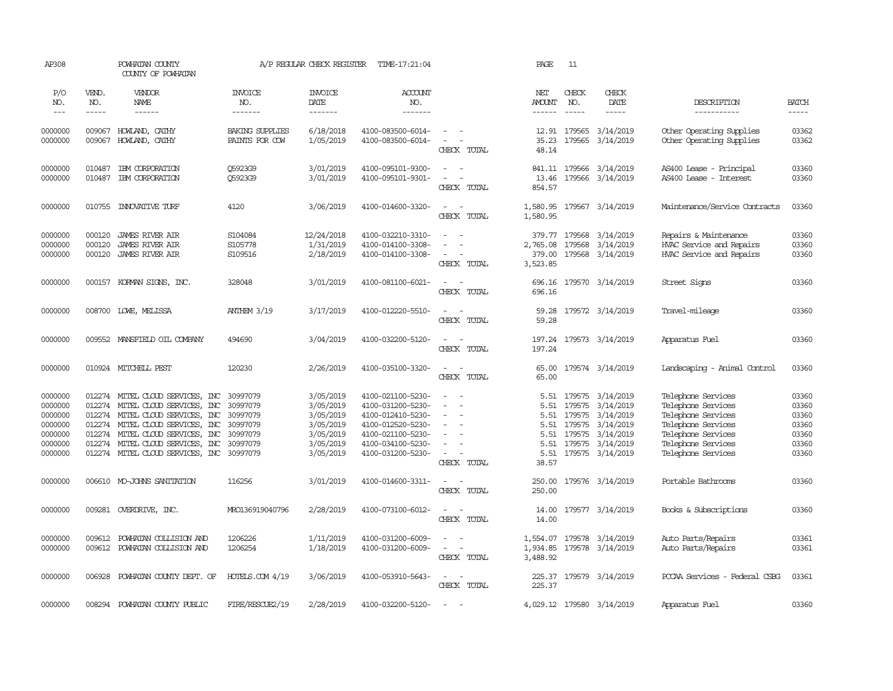| AP308                                                                     |                            | POWHATAN COUNTY<br>COUNTY OF POWHATAN                                                                                                                                                                                                                             |                                                                      | A/P REGULAR CHECK REGISTER                                                              | TIME-17:21:04                                                                                                                                   |                                                                                               | PAGE                                                          | 11                                             |                                                                                                                                                                                                                                                                                                                                                                                                                                                                          |                                                                                                                                                        |                                                             |
|---------------------------------------------------------------------------|----------------------------|-------------------------------------------------------------------------------------------------------------------------------------------------------------------------------------------------------------------------------------------------------------------|----------------------------------------------------------------------|-----------------------------------------------------------------------------------------|-------------------------------------------------------------------------------------------------------------------------------------------------|-----------------------------------------------------------------------------------------------|---------------------------------------------------------------|------------------------------------------------|--------------------------------------------------------------------------------------------------------------------------------------------------------------------------------------------------------------------------------------------------------------------------------------------------------------------------------------------------------------------------------------------------------------------------------------------------------------------------|--------------------------------------------------------------------------------------------------------------------------------------------------------|-------------------------------------------------------------|
| P/O<br>NO.<br>$\frac{1}{2}$                                               | VEND.<br>NO.<br>-----      | VENDOR<br>NAME<br>------                                                                                                                                                                                                                                          | <b>INVOICE</b><br>NO.<br>-------                                     | <b>INVOICE</b><br>DATE<br>-------                                                       | ACCOUNT<br>NO.<br>--------                                                                                                                      |                                                                                               | NET<br>AMOUNT                                                 | CHECK<br>NO.                                   | CHECK<br>DATE<br>$\begin{tabular}{ccccc} \multicolumn{2}{c }{\multicolumn{2}{c }{\multicolumn{2}{c }{\multicolumn{2}{c}}{\hspace{-2.2cm}}}} \multicolumn{2}{c }{\multicolumn{2}{c }{\hspace{-2.2cm}}\hline} \multicolumn{2}{c }{\hspace{-2.2cm}}\hline \multicolumn{2}{c }{\hspace{-2.2cm}}\hline \multicolumn{2}{c }{\hspace{-2.2cm}}\hline \multicolumn{2}{c }{\hspace{-2.2cm}}\hline \multicolumn{2}{c }{\hspace{-2.2cm}}\hline \multicolumn{2}{c }{\hspace{-2.2cm}}$ | DESCRIPTION<br>-----------                                                                                                                             | <b>BATCH</b><br>-----                                       |
| 0000000<br>0000000                                                        | 009067                     | HOWLAND, CATHY<br>009067 HOWLAND, CATHY                                                                                                                                                                                                                           | <b>BAKING SUPPLIES</b><br>PAINTS FOR COW                             | 6/18/2018<br>1/05/2019                                                                  | 4100-083500-6014-<br>4100-083500-6014-                                                                                                          | $\sim$<br>$\overline{\phantom{a}}$<br>$\sim$<br>CHECK TOTAL                                   | 35.23<br>48.14                                                | 12.91 179565                                   | 3/14/2019<br>179565 3/14/2019                                                                                                                                                                                                                                                                                                                                                                                                                                            | Other Operating Supplies<br>Other Operating Supplies                                                                                                   | 03362<br>03362                                              |
| 0000000<br>0000000                                                        | 010487<br>010487           | IBM CORPORATION<br>IBM CORPORATION                                                                                                                                                                                                                                | O5923G9<br>Q5923G9                                                   | 3/01/2019<br>3/01/2019                                                                  | 4100-095101-9300-<br>4100-095101-9301-                                                                                                          | $\equiv$<br>$\sim$<br>. —<br>CHECK TOTAL                                                      | 13.46<br>854.57                                               |                                                | 841.11 179566 3/14/2019<br>179566 3/14/2019                                                                                                                                                                                                                                                                                                                                                                                                                              | AS400 Lease - Principal<br>AS400 Lease - Interest                                                                                                      | 03360<br>03360                                              |
| 0000000                                                                   | 010755                     | <b>INIOVATIVE TURF</b>                                                                                                                                                                                                                                            | 4120                                                                 | 3/06/2019                                                                               | 4100-014600-3320-                                                                                                                               | $\sim$<br>$\sim$<br>CHECK TOTAL                                                               | 1,580.95<br>1,580.95                                          |                                                | 179567 3/14/2019                                                                                                                                                                                                                                                                                                                                                                                                                                                         | Maintenance/Service Contracts                                                                                                                          | 03360                                                       |
| 0000000<br>0000000<br>0000000                                             | 000120<br>000120<br>000120 | <b>JAMES RIVER AIR</b><br><b>JAMES RIVER AIR</b><br><b>JAMES RIVER AIR</b>                                                                                                                                                                                        | S104084<br>S105778<br>S109516                                        | 12/24/2018<br>1/31/2019<br>2/18/2019                                                    | 4100-032210-3310-<br>4100-014100-3308-<br>4100-014100-3308-                                                                                     | $\sim$<br>$\overline{\phantom{a}}$<br>CHECK TOTAL                                             | 379.77<br>2,765.08<br>379.00<br>3,523.85                      | 179568<br>179568                               | 3/14/2019<br>3/14/2019<br>179568 3/14/2019                                                                                                                                                                                                                                                                                                                                                                                                                               | Repairs & Maintenance<br>HVAC Service and Repairs<br>HVAC Service and Repairs                                                                          | 03360<br>03360<br>03360                                     |
| 0000000                                                                   |                            | 000157 KORMAN SIGNS, INC.                                                                                                                                                                                                                                         | 328048                                                               | 3/01/2019                                                                               | 4100-081100-6021-                                                                                                                               | $\sim$<br>$\sim$<br>CHECK TOTAL                                                               | 696.16<br>696.16                                              |                                                | 179570 3/14/2019                                                                                                                                                                                                                                                                                                                                                                                                                                                         | Street Signs                                                                                                                                           | 03360                                                       |
| 0000000                                                                   |                            | 008700 LOWE, MELISSA                                                                                                                                                                                                                                              | <b>ANTHEM 3/19</b>                                                   | 3/17/2019                                                                               | 4100-012220-5510-                                                                                                                               | $ -$<br>CHECK TOTAL                                                                           | 59.28<br>59.28                                                |                                                | 179572 3/14/2019                                                                                                                                                                                                                                                                                                                                                                                                                                                         | Travel-mileage                                                                                                                                         | 03360                                                       |
| 0000000                                                                   |                            | 009552 MANSFIELD OIL COMPANY                                                                                                                                                                                                                                      | 494690                                                               | 3/04/2019                                                                               | 4100-032200-5120-                                                                                                                               | $\overline{\phantom{a}}$<br>$\sim$<br>CHECK TOTAL                                             | 197.24                                                        |                                                | 197.24 179573 3/14/2019                                                                                                                                                                                                                                                                                                                                                                                                                                                  | Apparatus Fuel                                                                                                                                         | 03360                                                       |
| 0000000                                                                   |                            | 010924 MITCHELL PEST                                                                                                                                                                                                                                              | 120230                                                               | 2/26/2019                                                                               | 4100-035100-3320-                                                                                                                               | $\sim$<br>$\sim$<br>CHECK TOTAL                                                               | 65.00<br>65.00                                                |                                                | 179574 3/14/2019                                                                                                                                                                                                                                                                                                                                                                                                                                                         | Landscaping - Animal Control                                                                                                                           | 03360                                                       |
| 0000000<br>0000000<br>0000000<br>0000000<br>0000000<br>0000000<br>0000000 |                            | 012274 MITEL CLOUD SERVICES, INC<br>012274 MITEL CLOUD SERVICES, INC<br>012274 MITEL CLOUD SERVICES, INC<br>012274 MITEL CLOUD SERVICES, INC<br>012274 MITEL CLOUD SERVICES, INC<br>012274 MITEL CLOUD SERVICES, INC<br>012274 MITEL CLOUD SERVICES, INC 30997079 | 30997079<br>30997079<br>30997079<br>30997079<br>30997079<br>30997079 | 3/05/2019<br>3/05/2019<br>3/05/2019<br>3/05/2019<br>3/05/2019<br>3/05/2019<br>3/05/2019 | 4100-021100-5230-<br>4100-031200-5230-<br>4100-012410-5230-<br>4100-012520-5230-<br>4100-021100-5230-<br>4100-034100-5230-<br>4100-031200-5230- | $\equiv$<br>$\sim$<br>$\sim$<br>$\overline{\phantom{a}}$<br>$\equiv$<br>$\sim$<br>CHECK TOTAL | 5.51<br>5.51<br>5.51<br>5.51<br>5.51<br>5.51<br>5.51<br>38.57 | 179575<br>179575<br>179575<br>179575<br>179575 | 3/14/2019<br>3/14/2019<br>3/14/2019<br>3/14/2019<br>3/14/2019<br>179575 3/14/2019<br>179575 3/14/2019                                                                                                                                                                                                                                                                                                                                                                    | Telephone Services<br>Telephone Services<br>Telephone Services<br>Telephone Services<br>Telephone Services<br>Telephone Services<br>Telephone Services | 03360<br>03360<br>03360<br>03360<br>03360<br>03360<br>03360 |
| 0000000                                                                   |                            | 006610 MO-JOHNS SANITATION                                                                                                                                                                                                                                        | 116256                                                               | 3/01/2019                                                                               | 4100-014600-3311-                                                                                                                               | $\sim$ $ -$<br>CHECK TOTAL                                                                    | 250.00<br>250.00                                              |                                                | 179576 3/14/2019                                                                                                                                                                                                                                                                                                                                                                                                                                                         | Portable Bathrooms                                                                                                                                     | 03360                                                       |
| 0000000                                                                   |                            | 009281 OVERDRIVE, INC.                                                                                                                                                                                                                                            | MR0136919040796                                                      | 2/28/2019                                                                               | 4100-073100-6012-                                                                                                                               | $\sim$<br>$\sim$<br>CHECK TOTAL                                                               | 14.00<br>14.00                                                |                                                | 179577 3/14/2019                                                                                                                                                                                                                                                                                                                                                                                                                                                         | Books & Subscriptions                                                                                                                                  | 03360                                                       |
| 0000000<br>0000000                                                        | 009612                     | POWHATAN COLLISION AND<br>009612 POWHATAN COLLISION AND                                                                                                                                                                                                           | 1206226<br>1206254                                                   | 1/11/2019<br>1/18/2019                                                                  | 4100-031200-6009-<br>4100-031200-6009-                                                                                                          | $\sim$<br>$\sim$<br>$\sim$<br>$\overline{\phantom{a}}$<br>CHECK TOTAL                         | 3,488.92                                                      |                                                | 1,554.07 179578 3/14/2019<br>1,934.85 179578 3/14/2019                                                                                                                                                                                                                                                                                                                                                                                                                   | Auto Parts/Repairs<br>Auto Parts/Repairs                                                                                                               | 03361<br>03361                                              |
| 0000000                                                                   |                            | 006928 POWHATAN COUNTY DEPT. OF                                                                                                                                                                                                                                   | HOTELS.COM 4/19                                                      | 3/06/2019                                                                               | 4100-053910-5643-                                                                                                                               | $\overline{\phantom{a}}$<br>$\sim$<br>CHECK TOTAL                                             | 225.37                                                        |                                                | 225.37 179579 3/14/2019                                                                                                                                                                                                                                                                                                                                                                                                                                                  | PCCAA Services - Federal CSBG                                                                                                                          | 03361                                                       |
| 0000000                                                                   |                            | 008294 POWHATAN COUNTY PUBLIC                                                                                                                                                                                                                                     | FIRE/RESCUE2/19                                                      | 2/28/2019                                                                               | 4100-032200-5120-                                                                                                                               | $\sim$<br>. —                                                                                 |                                                               |                                                | 4,029.12 179580 3/14/2019                                                                                                                                                                                                                                                                                                                                                                                                                                                | Apparatus Fuel                                                                                                                                         | 03360                                                       |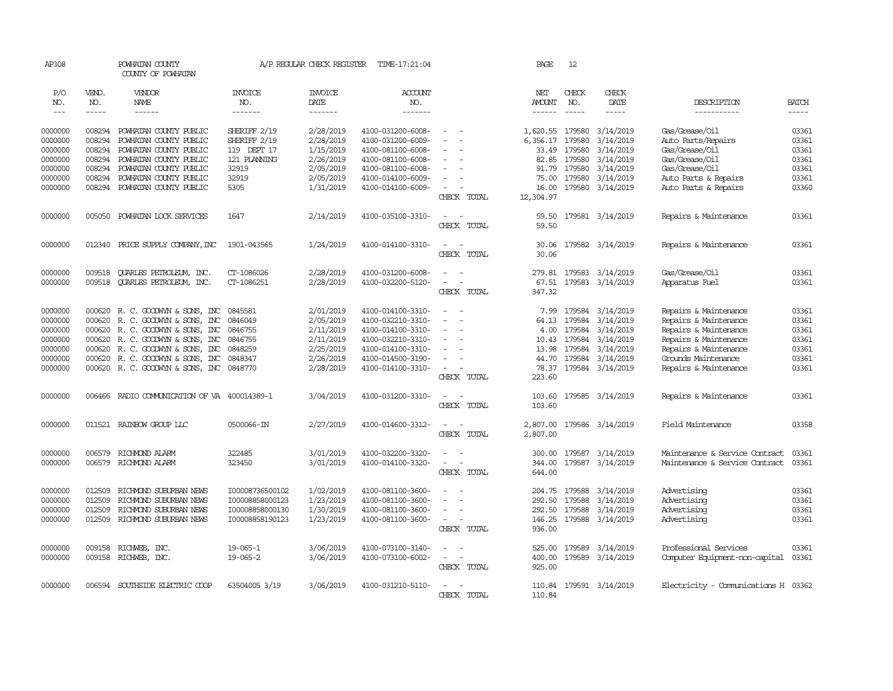| AP308      |              | POWHATAN COUNTY<br>COUNTY OF POWHATAN |                       | A/P REGULAR CHECK REGISTER | TIME-17:21:04         |                          | PAGE                 | 12            |                         |                                     |              |
|------------|--------------|---------------------------------------|-----------------------|----------------------------|-----------------------|--------------------------|----------------------|---------------|-------------------------|-------------------------------------|--------------|
| P/O<br>NO. | VEND.<br>NO. | VENDOR<br>NAME                        | <b>INVOICE</b><br>NO. | <b>INVOICE</b><br>DATE     | <b>ACCOUNT</b><br>NO. |                          | NET<br><b>AMOUNT</b> | CHECK<br>NO.  | CHECK<br>DATE           | DESCRIPTION                         | <b>BATCH</b> |
| $---$      | -----        | ------                                | -------               | -------                    | -------               |                          |                      | $\frac{1}{2}$ | -----                   | -----------                         | $- - - - -$  |
| 0000000    | 008294       | POWHATAN COUNTY PUBLIC                | SHERIFF 2/19          | 2/28/2019                  | 4100-031200-6008-     | $\equiv$                 | 1,620.55             | 179580        | 3/14/2019               | Gas/Grease/Oil                      | 03361        |
| 0000000    | 008294       | POWHATAN COUNTY PUBLIC                | SHERIFF 2/19          | 2/28/2019                  | 4100-031200-6009-     |                          | 6,356.17             | 179580        | 3/14/2019               | Auto Parts/Repairs                  | 03361        |
| 0000000    | 008294       | POWHATAN COUNTY PUBLIC                | 119 DEPT 17           | 1/15/2019                  | 4100-081100-6008-     | $\equiv$                 |                      | 33.49 179580  | 3/14/2019               | Gas/Grease/Oil                      | 03361        |
| 0000000    | 008294       | POWHATAN COUNTY PUBLIC                | 121 PLANING           | 2/26/2019                  | 4100-081100-6008-     |                          | 82.85                | 179580        | 3/14/2019               | Gas/Grease/Oil                      | 03361        |
| 0000000    | 008294       | POWHATAN COUNTY PUBLIC                | 32919                 | 2/05/2019                  | 4100-081100-6008-     |                          | 91.79                | 179580        | 3/14/2019               | Gas/Grease/Oil                      | 03361        |
| 0000000    | 008294       | POWHATAN COUNTY PUBLIC                | 32919                 | 2/05/2019                  | 4100-014100-6009-     | $\equiv$                 | 75.00                | 179580        | 3/14/2019               | Auto Parts & Repairs                | 03361        |
| 0000000    | 008294       | POWHATAN COUNTY PUBLIC                | 5305                  | 1/31/2019                  | 4100-014100-6009-     | $\equiv$                 | 16.00                | 179580        | 3/14/2019               | Auto Parts & Repairs                | 03360        |
|            |              |                                       |                       |                            |                       | CHECK TOTAL              | 12,304.97            |               |                         |                                     |              |
| 0000000    | 005050       | POWHATAN LOCK SERVICES                | 1647                  | 2/14/2019                  | 4100-035100-3310-     | $\sim$<br>$\sim$         | 59.50                |               | 179581 3/14/2019        | Repairs & Maintenance               | 03361        |
|            |              |                                       |                       |                            |                       | CHECK TOTAL              | 59.50                |               |                         |                                     |              |
| 0000000    |              | 012340 PRICE SUPPLY COMPANY, INC      | 1901-043565           | 1/24/2019                  | 4100-014100-3310-     | $\overline{\phantom{a}}$ | 30.06                |               | 179582 3/14/2019        | Repairs & Maintenance               | 03361        |
|            |              |                                       |                       |                            |                       | CHECK TOTAL              | 30.06                |               |                         |                                     |              |
| 0000000    | 009518       | QUARLES PETROLEUM, INC.               | CT-1086026            | 2/28/2019                  | 4100-031200-6008-     | $\sim$<br>$\sim$         |                      |               | 279.81 179583 3/14/2019 | Gas/Grease/Oil                      | 03361        |
| 0000000    | 009518       | QUARLES PETROLEUM, INC.               | CT-1086251            | 2/28/2019                  | 4100-032200-5120-     | $\blacksquare$           | 67.51                |               | 179583 3/14/2019        | Apparatus Fuel                      | 03361        |
|            |              |                                       |                       |                            |                       | CHECK TOTAL              | 347.32               |               |                         |                                     |              |
| 0000000    |              | 000620 R. C. GOODWIN & SONS, INC      | 0845581               | 2/01/2019                  | 4100-014100-3310-     | $\sim$                   | 7.99                 | 179584        | 3/14/2019               | Repairs & Maintenance               | 03361        |
| 0000000    |              | 000620 R. C. GOODWIN & SONS, INC      | 0846049               | 2/05/2019                  | 4100-032210-3310-     |                          | 64.13                | 179584        | 3/14/2019               | Repairs & Maintenance               | 03361        |
| 0000000    |              | 000620 R.C. GOODWYN & SONS, INC       | 0846755               | 2/11/2019                  | 4100-014100-3310-     | $\sim$<br>$\sim$         | 4.00                 | 179584        | 3/14/2019               | Repairs & Maintenance               | 03361        |
| 0000000    |              | 000620 R. C. GOODWYN & SONS, INC      | 0846755               | 2/11/2019                  | 4100-032210-3310-     | $\sim$                   | 10.43                | 179584        | 3/14/2019               | Repairs & Maintenance               | 03361        |
| 0000000    |              | 000620 R. C. GOODWIN & SONS, INC      | 0848259               | 2/25/2019                  | 4100-014100-3310-     |                          | 13.98                | 179584        | 3/14/2019               | Repairs & Maintenance               | 03361        |
| 0000000    |              | 000620 R.C. GOODWYN & SONS, INC       | 0848347               | 2/26/2019                  | 4100-014500-3190-     | $\equiv$                 | 44.70                | 179584        | 3/14/2019               | Grounds Maintenance                 | 03361        |
| 0000000    |              | 000620 R. C. GOODWIN & SONS, INC      | 0848770               | 2/28/2019                  | 4100-014100-3310-     | $\sim$<br>CHECK TOTAL    | 78.37<br>223.60      |               | 179584 3/14/2019        | Repairs & Maintenance               | 03361        |
| 0000000    | 006466       | RADIO COMUNICATION OF VA 400014389-1  |                       | 3/04/2019                  | 4100-031200-3310-     | $\sim$                   | 103.60               |               | 179585 3/14/2019        | Repairs & Maintenance               | 03361        |
|            |              |                                       |                       |                            |                       | CHECK TOTAL              | 103.60               |               |                         |                                     |              |
| 0000000    |              | 011521 RAINBOW GROUP LLC              | 0500066-IN            | 2/27/2019                  | 4100-014600-3312-     | $\equiv$                 | 2,807.00             |               | 179586 3/14/2019        | Field Maintenance                   | 03358        |
|            |              |                                       |                       |                            |                       | CHECK TOTAL              | 2,807.00             |               |                         |                                     |              |
| 0000000    | 006579       | RICHMOND ALARM                        | 322485                | 3/01/2019                  | 4100-032200-3320-     | $\sim$                   | 300.00               | 179587        | 3/14/2019               | Maintenance & Service Contract      | 03361        |
| 0000000    | 006579       | RICHMOND ALARM                        | 323450                | 3/01/2019                  | 4100-014100-3320-     | $\equiv$                 | 344.00               | 179587        | 3/14/2019               | Maintenance & Service Contract      | 03361        |
|            |              |                                       |                       |                            |                       | CHECK TOTAL              | 644.00               |               |                         |                                     |              |
| 0000000    | 012509       | RICHMOND SUBURBAN NEWS                | I00008736500102       | 1/02/2019                  | 4100-081100-3600-     |                          | 204.75               | 179588        | 3/14/2019               | Advertising                         | 03361        |
| 0000000    | 012509       | RICHMOND SUBURBAN NEWS                | I00008858000123       | 1/23/2019                  | 4100-081100-3600-     |                          | 292.50               | 179588        | 3/14/2019               | Advertising                         | 03361        |
| 0000000    | 012509       | RICHMOND SUBURBAN NEWS                | I00008858000130       | 1/30/2019                  | 4100-081100-3600-     | $\sim$                   | 292.50               | 179588        | 3/14/2019               | Advertising                         | 03361        |
| 0000000    | 012509       | RICHMOND SUBURBAN NEWS                | I00008858190123       | 1/23/2019                  | 4100-081100-3600-     | $\overline{\phantom{a}}$ | 146.25               | 179588        | 3/14/2019               | Advertising                         | 03361        |
|            |              |                                       |                       |                            |                       | CHECK TOTAL              | 936.00               |               |                         |                                     |              |
| 0000000    |              | 009158 RICHWEB, INC.                  | $19 - 065 - 1$        | 3/06/2019                  | 4100-073100-3140-     | $\equiv$                 | 525.00               | 179589        | 3/14/2019               | Professional Services               | 03361        |
| 0000000    |              | 009158 RICHWEB, INC.                  | $19 - 065 - 2$        | 3/06/2019                  | 4100-073100-6002-     | $\equiv$<br>$\sim$       | 400.00               |               | 179589 3/14/2019        | Computer Equipment-non-capital      | 03361        |
|            |              |                                       |                       |                            |                       | CHECK TOTAL              | 925.00               |               |                         |                                     |              |
| 0000000    |              | 006594 SOUTHSIDE ELECTRIC COOP        | 63504005 3/19         | 3/06/2019                  | 4100-031210-5110-     | $\sim$<br>$\sim$         | 110.84               |               | 179591 3/14/2019        | Electricity - Comunications H 03362 |              |
|            |              |                                       |                       |                            |                       | CHECK TOTAL              | 110.84               |               |                         |                                     |              |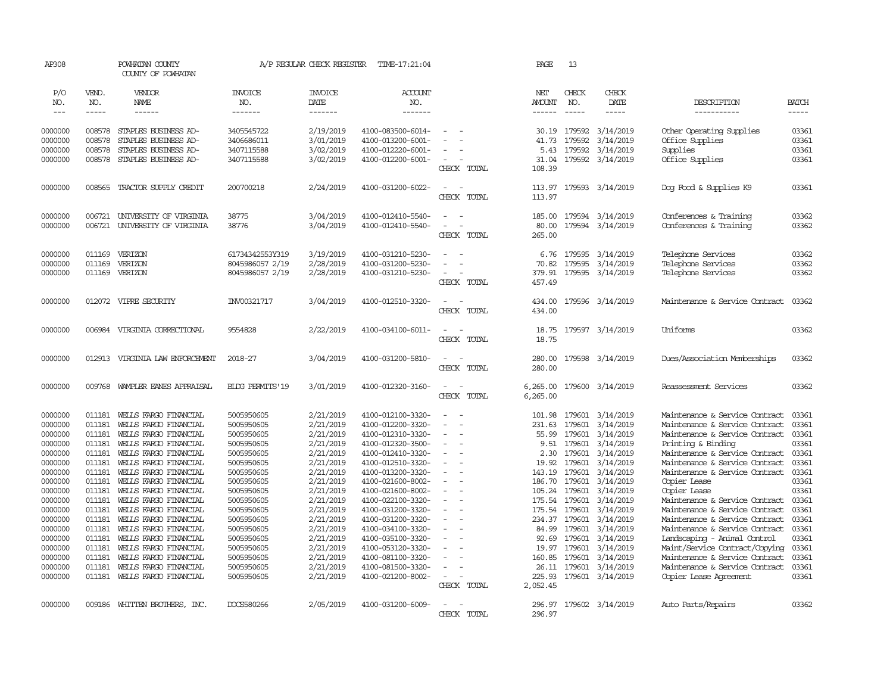| AP308              |                  | POWHATAN COUNTY<br>COUNTY OF POWHATAN        |                          | A/P REGULAR CHECK REGISTER | TIME-17:21:04                          |                                 | PAGE                 | 13               |                         |                                             |                |
|--------------------|------------------|----------------------------------------------|--------------------------|----------------------------|----------------------------------------|---------------------------------|----------------------|------------------|-------------------------|---------------------------------------------|----------------|
| P/O<br>NO.         | VEND.<br>NO.     | VENDOR<br>NAME                               | <b>INVOICE</b><br>NO.    | <b>INVOICE</b><br>DATE     | ACCOUNT<br>NO.                         |                                 | NET<br><b>AMOUNT</b> | CHECK<br>NO.     | CHECK<br>DATE           | DESCRIPTION                                 | BATCH          |
| $\frac{1}{2}$      | -----            | ------                                       | -------                  | -------                    | -------                                |                                 | ------               |                  | $- - - - -$             | -----------                                 | -----          |
| 0000000<br>0000000 | 008578<br>008578 | STAPLES BUSINESS AD-<br>STAPLES BUSINESS AD- | 3405545722<br>3406686011 | 2/19/2019<br>3/01/2019     | 4100-083500-6014-<br>4100-013200-6001- |                                 | 30.19<br>41.73       | 179592<br>179592 | 3/14/2019<br>3/14/2019  | Other Operating Supplies<br>Office Supplies | 03361<br>03361 |
| 0000000            | 008578           | STAPLES BUSINESS AD-                         | 3407115588               | 3/02/2019                  | 4100-012220-6001-                      | $\overline{\phantom{a}}$        | 5.43                 | 179592           | 3/14/2019               | Supplies                                    | 03361          |
| 0000000            | 008578           | STAPLES BUSINESS AD-                         | 3407115588               | 3/02/2019                  | 4100-012200-6001-                      | $\sim$<br>CHECK TOTAL           | 108.39               |                  | 31.04 179592 3/14/2019  | Office Supplies                             | 03361          |
| 0000000            | 008565           | TRACTOR SUPPLY CREDIT                        | 200700218                | 2/24/2019                  | 4100-031200-6022-                      | $\sim$<br>$\sim$<br>CHECK TOTAL | 113.97<br>113.97     |                  | 179593 3/14/2019        | Dog Food & Supplies K9                      | 03361          |
| 0000000            | 006721           | UNIVERSITY OF VIRGINIA                       | 38775                    | 3/04/2019                  | 4100-012410-5540-                      | $\overline{\phantom{a}}$        | 185.00               | 179594           | 3/14/2019               | Conferences & Training                      | 03362          |
| 0000000            | 006721           | UNIVERSITY OF VIRGINIA                       | 38776                    | 3/04/2019                  | 4100-012410-5540-                      |                                 | 80.00                |                  | 179594 3/14/2019        | Conferences & Training                      | 03362          |
|                    |                  |                                              |                          |                            |                                        | CHECK TOTAL                     | 265.00               |                  |                         |                                             |                |
| 0000000            | 011169           | VERIZON                                      | 61734342553Y319          | 3/19/2019                  | 4100-031210-5230-                      |                                 | 6.76                 | 179595           | 3/14/2019               | Telephone Services                          | 03362          |
| 0000000            | 011169           | VERIZON                                      | 8045986057 2/19          | 2/28/2019                  | 4100-031200-5230-                      |                                 | 70.82                | 179595           | 3/14/2019               | Telephone Services                          | 03362          |
| 0000000            | 011169           | VERIZON                                      | 8045986057 2/19          | 2/28/2019                  | 4100-031210-5230-                      | $\sim$                          | 379.91               |                  | 179595 3/14/2019        | Telephone Services                          | 03362          |
|                    |                  |                                              |                          |                            |                                        | CHECK TOTAL                     | 457.49               |                  |                         |                                             |                |
| 0000000            |                  | 012072 VIPRE SECURITY                        | INV00321717              | 3/04/2019                  | 4100-012510-3320-                      | $\sim$<br>$\sim$<br>CHECK TOTAL | 434.00<br>434.00     |                  | 179596 3/14/2019        | Maintenance & Service Contract              | 03362          |
|                    |                  |                                              |                          |                            |                                        |                                 |                      |                  |                         |                                             |                |
| 0000000            | 006984           | VIRGINIA CORRECTIONAL                        | 9554828                  | 2/22/2019                  | 4100-034100-6011-                      | $\sim$<br>- 14<br>CHECK TOTAL   | 18.75<br>18.75       |                  | 179597 3/14/2019        | Uniforms                                    | 03362          |
| 0000000            | 012913           | VIRGINIA LAW ENFORCEMENT                     | 2018-27                  | 3/04/2019                  | 4100-031200-5810-                      |                                 | 280.00               |                  | 179598 3/14/2019        | Dues/Association Memberships                | 03362          |
|                    |                  |                                              |                          |                            |                                        | CHECK TOTAL                     | 280.00               |                  |                         |                                             |                |
| 0000000            | 009768           | WAMPLER EANES APPRAISAL                      | BIDG PERMITS'19          | 3/01/2019                  | 4100-012320-3160-                      | $\sim$                          | 6,265.00             |                  | 179600 3/14/2019        | Reassessment Services                       | 03362          |
|                    |                  |                                              |                          |                            |                                        | CHECK TOTAL                     | 6,265.00             |                  |                         |                                             |                |
| 0000000            |                  | 011181 WELLS FARGO FINANCIAL                 | 5005950605               | 2/21/2019                  | 4100-012100-3320-                      | $\sim$<br>- 11                  | 101.98               | 179601           | 3/14/2019               | Maintenance & Service Contract              | 03361          |
| 0000000            | 011181           | WELLS FARGO FINANCIAL                        | 5005950605               | 2/21/2019                  | 4100-012200-3320-                      | ÷.                              | 231.63               | 179601           | 3/14/2019               | Maintenance & Service Contract              | 03361          |
| 0000000            | 011181           | WELLS FARGO FINANCIAL                        | 5005950605               | 2/21/2019                  | 4100-012310-3320-                      |                                 | 55.99                | 179601           | 3/14/2019               | Maintenance & Service Contract              | 03361          |
| 0000000            | 011181           | WELLS FARGO FINANCIAL                        | 5005950605               | 2/21/2019                  | 4100-012320-3500-                      | $\overline{a}$                  | 9.51                 | 179601           | 3/14/2019               | Printing & Binding                          | 03361          |
| 0000000            | 011181           | WELLS FARGO FINANCIAL                        | 5005950605               | 2/21/2019                  | 4100-012410-3320-                      | $\overline{a}$                  | 2.30                 | 179601           | 3/14/2019               | Maintenance & Service Contract              | 03361          |
| 0000000            | 011181           | WELLS FARGO FINANCIAL                        | 5005950605               | 2/21/2019                  | 4100-012510-3320-                      | $\sim$                          | 19.92                | 179601           | 3/14/2019               | Maintenance & Service Contract              | 03361          |
| 0000000            | 011181           | WELLS FARGO FINANCIAL                        | 5005950605               | 2/21/2019                  | 4100-013200-3320-                      |                                 | 143.19               | 179601           | 3/14/2019               | Maintenance & Service Contract              | 03361          |
| 0000000            | 011181           | WELLS FARGO FINANCIAL                        | 5005950605               | 2/21/2019                  | 4100-021600-8002-                      | $\sim$                          | 186.70               | 179601           | 3/14/2019               | Copier Lease                                | 03361          |
| 0000000            | 011181           | WEILS FARGO FINANCIAL                        | 5005950605               | 2/21/2019                  | 4100-021600-8002-                      |                                 |                      | 105.24 179601    | 3/14/2019               | Copier Lease                                | 03361          |
| 0000000            | 011181           | WELLS FARGO FINANCIAL                        | 5005950605               | 2/21/2019                  | 4100-022100-3320-                      | $\equiv$                        |                      | 175.54 179601    | 3/14/2019               | Maintenance & Service Contract              | 03361          |
| 0000000            | 011181           | WELLS FARGO FINANCIAL                        | 5005950605               | 2/21/2019                  | 4100-031200-3320-                      |                                 |                      | 175.54 179601    | 3/14/2019               | Maintenance & Service Contract              | 03361          |
| 0000000            | 011181           | WELLS FARGO FINANCIAL                        | 5005950605               | 2/21/2019                  | 4100-031200-3320-                      | $\overline{\phantom{a}}$        |                      | 234.37 179601    | 3/14/2019               | Maintenance & Service Contract              | 03361          |
| 0000000            | 011181           | WEILS FARGO FINANCIAL                        | 5005950605               | 2/21/2019                  | 4100-034100-3320-                      |                                 | 84.99                | 179601           | 3/14/2019               | Maintenance & Service Contract              | 03361          |
| 0000000            | 011181           | WELLS FARGO FINANCIAL                        | 5005950605               | 2/21/2019                  | 4100-035100-3320-                      |                                 | 92.69                | 179601           | 3/14/2019               | Landscaping - Animal Control                | 03361          |
| 0000000            | 011181           | WELLS FARGO FINANCIAL                        | 5005950605               | 2/21/2019                  | 4100-053120-3320-                      |                                 | 19.97                | 179601           | 3/14/2019               | Maint/Service Contract/Copying              | 03361          |
| 0000000            | 011181           | WELLS FARGO FINANCIAL                        | 5005950605               | 2/21/2019                  | 4100-081100-3320-                      |                                 | 160.85               | 179601           | 3/14/2019               | Maintenance & Service Contract              | 03361          |
| 0000000            | 011181           | WELLS FARGO FINANCIAL                        | 5005950605               | 2/21/2019                  | 4100-081500-3320-                      | $\sim$                          | 26.11                | 179601           | 3/14/2019               | Maintenance & Service Contract              | 03361          |
| 0000000            |                  | 011181 WELLS FARGO FINANCIAL                 | 5005950605               | 2/21/2019                  | 4100-021200-8002-                      |                                 |                      |                  | 225.93 179601 3/14/2019 | Copier Lease Agreement                      | 03361          |
|                    |                  |                                              |                          |                            |                                        | CHECK TOTAL                     | 2,052.45             |                  |                         |                                             |                |
| 0000000            |                  | 009186 WHITTEN BROTHERS, INC.                | DOCS580266               | 2/05/2019                  | 4100-031200-6009-                      | $\sim$                          | 296.97               |                  | 179602 3/14/2019        | Auto Parts/Repairs                          | 03362          |
|                    |                  |                                              |                          |                            |                                        | CHECK TOTAL                     | 296.97               |                  |                         |                                             |                |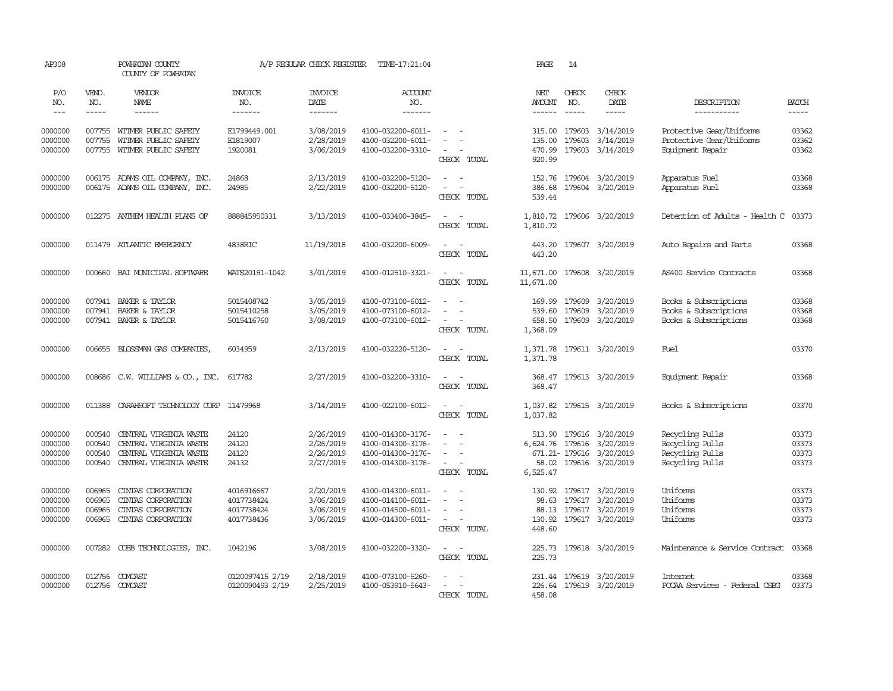| AP308                                    |                                      | POWHATAN COUNTY<br>COUNTY OF POWHATAN                                                                |                                                      | A/P REGULAR CHECK REGISTER                       | TIME-17:21:04                                                                    |                                                                                   | PAGE                                   | 14               |                                                                                                  |                                                                          |                                  |
|------------------------------------------|--------------------------------------|------------------------------------------------------------------------------------------------------|------------------------------------------------------|--------------------------------------------------|----------------------------------------------------------------------------------|-----------------------------------------------------------------------------------|----------------------------------------|------------------|--------------------------------------------------------------------------------------------------|--------------------------------------------------------------------------|----------------------------------|
| P/O<br>NO.<br>$\frac{1}{2}$              | VEND.<br>NO.<br>$- - - - -$          | VENDOR<br><b>NAME</b><br>------                                                                      | <b>INVOICE</b><br>NO.<br>-------                     | <b>INVOICE</b><br>DATE<br>-------                | <b>ACCOUNT</b><br>NO.<br>-------                                                 |                                                                                   | NET<br>AMOUNT                          | CHECK<br>NO.     | CHECK<br><b>DATE</b><br>$- - - - -$                                                              | DESCRIPTION<br>-----------                                               | <b>BATCH</b><br>-----            |
| 0000000<br>0000000<br>0000000            | 007755                               | 007755 WITMER PUBLIC SAFETY<br>WITMER PUBLIC SAFETY<br>007755 WITMER PUBLIC SAFETY                   | E1799449.001<br>E1819007<br>1920081                  | 3/08/2019<br>2/28/2019<br>3/06/2019              | 4100-032200-6011-<br>4100-032200-6011-<br>4100-032200-3310-                      | $\sim$<br>$\sim$<br>$\sim$<br>CHECK TOTAL                                         | 315.00<br>135.00<br>470.99<br>920.99   | 179603<br>179603 | 3/14/2019<br>3/14/2019<br>179603 3/14/2019                                                       | Protective Gear/Uniforms<br>Protective Gear/Uniforms<br>Equipment Repair | 03362<br>03362<br>03362          |
| 0000000<br>0000000                       |                                      | 006175 ADAMS OIL COMPANY, INC.<br>006175 ADAMS OIL COMPANY, INC.                                     | 24868<br>24985                                       | 2/13/2019<br>2/22/2019                           | 4100-032200-5120-<br>4100-032200-5120-                                           | $\sim$<br>$\sim$<br>$\sim$<br>$\sim$<br>CHECK TOTAL                               | 152.76<br>386.68<br>539.44             |                  | 179604 3/20/2019<br>179604 3/20/2019                                                             | Apparatus Fuel<br>Apparatus Fuel                                         | 03368<br>03368                   |
| 0000000                                  |                                      | 012275 ANTHEM HEALTH PLANS OF                                                                        | 888845950331                                         | 3/13/2019                                        | 4100-033400-3845-                                                                | $\sim$<br>$\sim$<br>CHECK TOTAL                                                   | 1,810.72                               |                  | 1,810.72 179606 3/20/2019                                                                        | Detention of Adults - Health C                                           | 03373                            |
| 0000000                                  |                                      | 011479 ATLANTIC EMERGENCY                                                                            | 4838RIC                                              | 11/19/2018                                       | 4100-032200-6009-                                                                | $\sim$<br>$\sim$<br>CHECK TOTAL                                                   | 443.20<br>443.20                       |                  | 179607 3/20/2019                                                                                 | Auto Repairs and Parts                                                   | 03368                            |
| 0000000                                  |                                      | 000660 BAI MUNICIPAL SOFTWARE                                                                        | WATS20191-1042                                       | 3/01/2019                                        | 4100-012510-3321-                                                                | $\omega_{\rm{max}}$ and $\omega_{\rm{max}}$<br>CHECK TOTAL                        | 11,671.00                              |                  | 11,671.00 179608 3/20/2019                                                                       | AS400 Service Contracts                                                  | 03368                            |
| 0000000<br>0000000<br>0000000            | 007941                               | BAKER & TAYLOR<br>007941 BAKER & TAYLOR<br>007941 BAKER & TAYLOR                                     | 5015408742<br>5015410258<br>5015416760               | 3/05/2019<br>3/05/2019<br>3/08/2019              | 4100-073100-6012-<br>4100-073100-6012-<br>4100-073100-6012-                      | $\sim$<br>$\sim$<br>$\equiv$<br>$\sim$<br>$\overline{\phantom{a}}$<br>CHECK TOTAL | 169.99<br>539.60<br>658.50<br>1,368.09 | 179609<br>179609 | 3/20/2019<br>3/20/2019<br>179609 3/20/2019                                                       | Books & Subscriptions<br>Books & Subscriptions<br>Books & Subscriptions  | 03368<br>03368<br>03368          |
| 0000000                                  | 006655                               | BLOSSMAN GAS COMPANIES,                                                                              | 6034959                                              | 2/13/2019                                        | 4100-032220-5120-                                                                | $\sim$<br>$\sim$<br>CHECK TOTAL                                                   | 1,371.78<br>1,371.78                   |                  | 179611 3/20/2019                                                                                 | Fuel                                                                     | 03370                            |
| 0000000                                  |                                      | 008686 C.W. WILLIAMS & CO., INC.                                                                     | 617782                                               | 2/27/2019                                        | 4100-032200-3310-                                                                | $\equiv$<br>$\overline{\phantom{a}}$<br>CHECK TOTAL                               | 368.47<br>368.47                       |                  | 179613 3/20/2019                                                                                 | Equipment Repair                                                         | 03368                            |
| 0000000                                  | 011388                               | CARAHSOFT TECHNOLOGY CORP 11479968                                                                   |                                                      | 3/14/2019                                        | 4100-022100-6012-                                                                | $\sim$<br>$\overline{\phantom{a}}$<br>CHECK TOTAL                                 | 1,037.82<br>1,037.82                   |                  | 179615 3/20/2019                                                                                 | Books & Subscriptions                                                    | 03370                            |
| 0000000<br>0000000<br>0000000<br>0000000 | 000540<br>000540<br>000540<br>000540 | CENTRAL VIRGINIA WASTE<br>CENTRAL VIRGINIA WASTE<br>CENTRAL VIRGINIA WASTE<br>CENTRAL VIRGINIA WASTE | 24120<br>24120<br>24120<br>24132                     | 2/26/2019<br>2/26/2019<br>2/26/2019<br>2/27/2019 | 4100-014300-3176-<br>4100-014300-3176-<br>4100-014300-3176-<br>4100-014300-3176- | $\sim$<br>$\sim$<br>$\sim$<br>$\sim$<br>$\sim$<br>CHECK TOTAL                     | 513.90<br>58.02<br>6,525.47            |                  | 179616 3/20/2019<br>6,624.76 179616 3/20/2019<br>671.21-179616 3/20/2019<br>179616 3/20/2019     | Recycling Pulls<br>Recycling Pulls<br>Recycling Pulls<br>Recycling Pulls | 03373<br>03373<br>03373<br>03373 |
| 0000000<br>0000000<br>0000000<br>0000000 | 006965<br>006965<br>006965<br>006965 | CINIAS CORPORATION<br>CINIAS CORPORATION<br>CINIAS CORPORATION<br>CINIAS CORPORATION                 | 4016916667<br>4017738424<br>4017738424<br>4017738436 | 2/20/2019<br>3/06/2019<br>3/06/2019<br>3/06/2019 | 4100-014300-6011-<br>4100-014100-6011-<br>4100-014500-6011-<br>4100-014300-6011- | $\sim$<br>$\sim$<br>$\sim$<br>$\sim$<br>$\sim$<br>$\sim$<br>CHECK TOTAL           | 98.63<br>448.60                        |                  | 130.92 179617 3/20/2019<br>179617 3/20/2019<br>88.13 179617 3/20/2019<br>130.92 179617 3/20/2019 | Uniforms<br>Uniforms<br>Uniforms<br>Uniforms                             | 03373<br>03373<br>03373<br>03373 |
| 0000000                                  |                                      | 007282 COBB TECHNOLOGIES, INC.                                                                       | 1042196                                              | 3/08/2019                                        | 4100-032200-3320-                                                                | $\sim$<br>$\sim$<br>CHECK TOTAL                                                   | 225.73<br>225.73                       |                  | 179618 3/20/2019                                                                                 | Maintenance & Service Contract                                           | 03368                            |
| 0000000<br>0000000                       |                                      | 012756 COMCAST<br>012756 COMCAST                                                                     | 0120097415 2/19<br>0120090493 2/19                   | 2/18/2019<br>2/25/2019                           | 4100-073100-5260-<br>4100-053910-5643-                                           | $\sim$<br>$\sim$<br>CHECK TOTAL                                                   | 458.08                                 |                  | 231.44 179619 3/20/2019<br>226.64 179619 3/20/2019                                               | Internet<br>PCCAA Services - Federal CSBG                                | 03368<br>03373                   |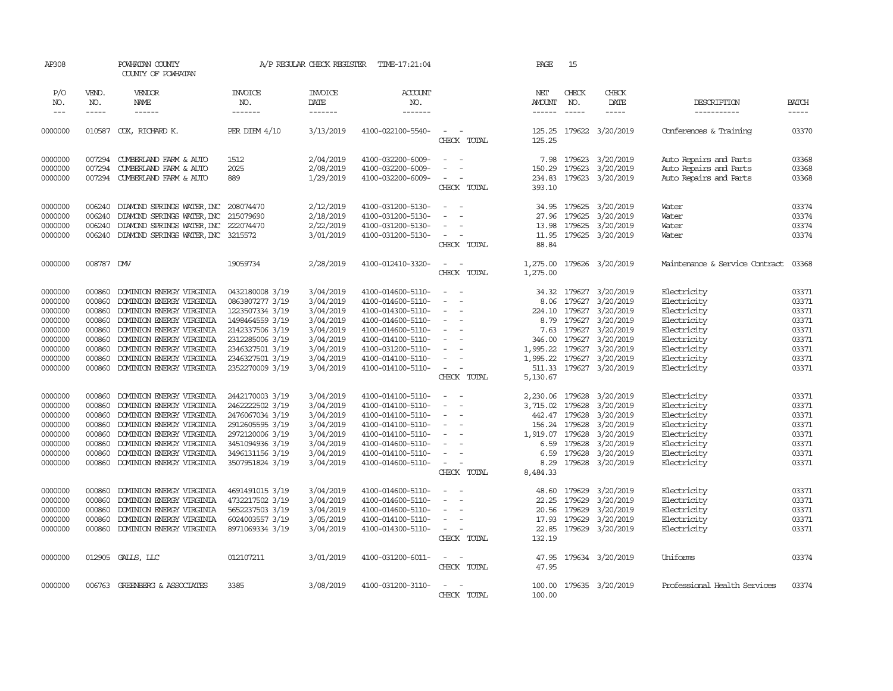| AP308              |                  | POWHATAN COUNTY<br>COUNTY OF POWHATAN                |                                    | A/P REGULAR CHECK REGISTER | TIME-17:21:04                          |                                         | PAGE                 | 15               |                        |                                |                |
|--------------------|------------------|------------------------------------------------------|------------------------------------|----------------------------|----------------------------------------|-----------------------------------------|----------------------|------------------|------------------------|--------------------------------|----------------|
| P/O<br>NO.         | VEND.<br>NO.     | VENDOR<br>NAME                                       | <b>INVOICE</b><br>NO.              | <b>INVOICE</b><br>DATE     | ACCOUNT<br>NO.                         |                                         | NET<br><b>AMOUNT</b> | CHECK<br>NO.     | CHECK<br>DATE          | DESCRIPTION                    | <b>BATCH</b>   |
| $ -$               | $\frac{1}{2}$    | ------                                               | -------                            | --------                   | --------                               |                                         | $- - - - - -$        |                  | $\frac{1}{2}$          | -----------                    | -----          |
| 0000000            | 010587           | COX, RICHARD K.                                      | $PER$ DIEM $4/10$                  | 3/13/2019                  | 4100-022100-5540-                      | $\overline{\phantom{a}}$<br>CHECK TOTAL | 125.25<br>125.25     |                  | 179622 3/20/2019       | Conferences & Training         | 03370          |
| 0000000            | 007294           | CUMBERLAND FARM & AUTO                               | 1512                               | 2/04/2019                  | 4100-032200-6009-                      | $\sim$                                  | 7.98                 | 179623           | 3/20/2019              | Auto Repairs and Parts         | 03368          |
| 0000000            | 007294           | CUMBERLAND FARM & AUTO                               | 2025                               | 2/08/2019                  | 4100-032200-6009-                      |                                         | 150.29               | 179623           | 3/20/2019              | Auto Repairs and Parts         | 03368          |
| 0000000            |                  | 007294 CUMBERLAND FARM & AUTO                        | 889                                | 1/29/2019                  | 4100-032200-6009-                      | $\overline{\phantom{a}}$                | 234.83               |                  | 179623 3/20/2019       | Auto Repairs and Parts         | 03368          |
|                    |                  |                                                      |                                    |                            |                                        | CHECK TOTAL                             | 393.10               |                  |                        |                                |                |
| 0000000            | 006240           | DIAMOND SPRINGS WATER, INC 208074470                 |                                    | 2/12/2019                  | 4100-031200-5130-                      | $\sim$<br>$\sim$                        | 34.95                | 179625           | 3/20/2019              | Water                          | 03374          |
| 0000000            | 006240           | DIAMOND SPRINGS WATER, INC                           | 215079690                          | 2/18/2019                  | 4100-031200-5130-                      | $\equiv$                                | 27.96                | 179625           | 3/20/2019              | Water                          | 03374          |
| 0000000            | 006240           | DIAMOND SPRINGS WATER, INC 222074470                 |                                    | 2/22/2019                  | 4100-031200-5130-                      |                                         | 13.98                | 179625           | 3/20/2019              | Water                          | 03374          |
| 0000000            | 006240           | DIAMOND SPRINGS WATER, INC 3215572                   |                                    | 3/01/2019                  | 4100-031200-5130-                      | $\overline{\phantom{a}}$                | 11.95                |                  | 179625 3/20/2019       | Water                          | 03374          |
|                    |                  |                                                      |                                    |                            |                                        | CHECK TOTAL                             | 88.84                |                  |                        |                                |                |
| 0000000            | 008787 DMV       |                                                      | 19059734                           | 2/28/2019                  | 4100-012410-3320-                      | $\sim$ $ \sim$                          | 1,275.00             |                  | 179626 3/20/2019       | Maintenance & Service Contract | 03368          |
|                    |                  |                                                      |                                    |                            |                                        | CHECK TOTAL                             | 1,275.00             |                  |                        |                                |                |
| 0000000            | 000860           | DOMINION ENERGY VIRGINIA                             | 0432180008 3/19                    | 3/04/2019                  | 4100-014600-5110-                      | $\overline{a}$                          | 34.32                | 179627           | 3/20/2019              | Electricity                    | 03371          |
| 0000000            | 000860           | DOMINION ENERGY VIRGINIA                             | 0863807277 3/19                    | 3/04/2019                  | 4100-014600-5110-                      | $\overline{\phantom{a}}$<br>$\sim$      | 8.06                 | 179627           | 3/20/2019              | Electricity                    | 03371          |
| 0000000            | 000860           | DOMINION ENERGY VIRGINIA                             | 1223507334 3/19                    | 3/04/2019                  | 4100-014300-5110-                      | $\equiv$                                | 224.10               | 179627           | 3/20/2019              | Electricity                    | 03371          |
| 0000000            | 000860           | DOMINION ENERGY VIRGINIA                             | 1498464559 3/19                    | 3/04/2019                  | 4100-014600-5110-                      | $\equiv$                                | 8.79                 | 179627           | 3/20/2019              | Electricity                    | 03371          |
| 0000000            | 000860           | DOMINION ENERGY VIRGINIA                             | 2142337506 3/19                    | 3/04/2019                  | 4100-014600-5110-                      | $\sim$<br>$\sim$                        | 7.63                 | 179627           | 3/20/2019              | Electricity                    | 03371          |
| 0000000            | 000860           | DOMINION ENERGY VIRGINIA                             | 2312285006 3/19                    | 3/04/2019                  | 4100-014100-5110-                      | $\sim$                                  | 346.00               | 179627           | 3/20/2019              | Electricity                    | 03371          |
| 0000000            | 000860           | DOMINION ENERGY VIRGINIA                             | 2346327501 3/19                    | 3/04/2019                  | 4100-031200-5110-                      |                                         | 1,995.22             | 179627           | 3/20/2019              | Electricity                    | 03371          |
| 0000000            | 000860           | DOMINION ENERGY VIRGINIA                             | 2346327501 3/19                    | 3/04/2019                  | 4100-014100-5110-                      | $\sim$                                  | 1,995.22             | 179627           | 3/20/2019              | Electricity                    | 03371          |
| 0000000            | 000860           | DOMINION ENERGY VIRGINIA                             | 2352270009 3/19                    | 3/04/2019                  | 4100-014100-5110-                      | $\sim$<br>CHECK TOTAL                   | 511.33<br>5,130.67   |                  | 179627 3/20/2019       | Electricity                    | 03371          |
|                    |                  |                                                      |                                    |                            |                                        |                                         |                      |                  |                        |                                |                |
| 0000000            | 000860           | DOMINION ENERGY VIRGINIA                             | 2442170003 3/19                    | 3/04/2019                  | 4100-014100-5110-                      | $\sim$                                  | 2,230.06             | 179628           | 3/20/2019              | Electricity                    | 03371          |
| 0000000            | 000860           | DOMINION ENERGY VIRGINIA                             | 2462222502 3/19                    | 3/04/2019                  | 4100-014100-5110-                      | $\equiv$                                | 3,715.02             | 179628           | 3/20/2019              | Electricity                    | 03371          |
| 0000000            | 000860           | DOMINION ENERGY VIRGINIA                             | 2476067034 3/19                    | 3/04/2019                  | 4100-014100-5110-                      | $\equiv$<br>$\equiv$                    |                      | 442.47 179628    | 3/20/2019              | Electricity                    | 03371          |
| 0000000            | 000860<br>000860 | DOMINION ENERGY VIRGINIA<br>DOMINION ENERGY VIRGINIA | 2912605595 3/19                    | 3/04/2019<br>3/04/2019     | 4100-014100-5110-<br>4100-014100-5110- | $\equiv$                                | 156.24               | 179628<br>179628 | 3/20/2019<br>3/20/2019 | Electricity                    | 03371<br>03371 |
| 0000000<br>0000000 | 000860           | DOMINION ENERGY VIRGINIA                             | 2972120006 3/19<br>3451094936 3/19 | 3/04/2019                  | 4100-014600-5110-                      | $\equiv$                                | 1,919.07<br>6.59     | 179628           | 3/20/2019              | Electricity<br>Electricity     | 03371          |
| 0000000            | 000860           | DOMINION ENERGY VIRGINIA                             | 3496131156 3/19                    | 3/04/2019                  | 4100-014100-5110-                      | $\sim$                                  | 6.59                 | 179628           | 3/20/2019              | Electricity                    | 03371          |
| 0000000            | 000860           | DOMINION ENERGY VIRGINIA                             | 3507951824 3/19                    | 3/04/2019                  | 4100-014600-5110-                      | $\sim$                                  | 8.29                 |                  | 179628 3/20/2019       | Electricity                    | 03371          |
|                    |                  |                                                      |                                    |                            |                                        | CHECK TOTAL                             | 8,484.33             |                  |                        |                                |                |
| 0000000            | 000860           | DOMINION ENERGY VIRGINIA                             | 4691491015 3/19                    | 3/04/2019                  | 4100-014600-5110-                      | $\sim$                                  | 48.60                | 179629           | 3/20/2019              | Electricity                    | 03371          |
| 0000000            | 000860           | DOMINION ENERGY VIRGINIA                             | 4732217502 3/19                    | 3/04/2019                  | 4100-014600-5110-                      |                                         | 22.25                | 179629           | 3/20/2019              | Electricity                    | 03371          |
| 0000000            | 000860           | DOMINION ENERGY VIRGINIA                             | 5652237503 3/19                    | 3/04/2019                  | 4100-014600-5110-                      | $\equiv$                                | 20.56                | 179629           | 3/20/2019              | Electricity                    | 03371          |
| 0000000            | 000860           | DOMINION ENERGY VIRGINIA                             | 6024003557 3/19                    | 3/05/2019                  | 4100-014100-5110-                      | $\sim$                                  | 17.93                | 179629           | 3/20/2019              | Electricity                    | 03371          |
| 0000000            | 000860           | DOMINION ENERGY VIRGINIA                             | 8971069334 3/19                    | 3/04/2019                  | 4100-014300-5110-                      | $\sim$<br>$\sim$                        | 22.85                |                  | 179629 3/20/2019       | Electricity                    | 03371          |
|                    |                  |                                                      |                                    |                            |                                        | CHECK TOTAL                             | 132.19               |                  |                        |                                |                |
| 0000000            |                  | 012905 GALLS, LLC                                    | 012107211                          | 3/01/2019                  | 4100-031200-6011-                      | $\sim$ $ \sim$                          | 47.95                |                  | 179634 3/20/2019       | Uniforms                       | 03374          |
|                    |                  |                                                      |                                    |                            |                                        | CHECK TOTAL                             | 47.95                |                  |                        |                                |                |
| 0000000            |                  | 006763 GREENBERG & ASSOCIATES                        | 3385                               | 3/08/2019                  | 4100-031200-3110-                      | $\sim$<br>$\sim$                        | 100.00               |                  | 179635 3/20/2019       | Professional Health Services   | 03374          |
|                    |                  |                                                      |                                    |                            |                                        | CHECK TOTAL                             | 100.00               |                  |                        |                                |                |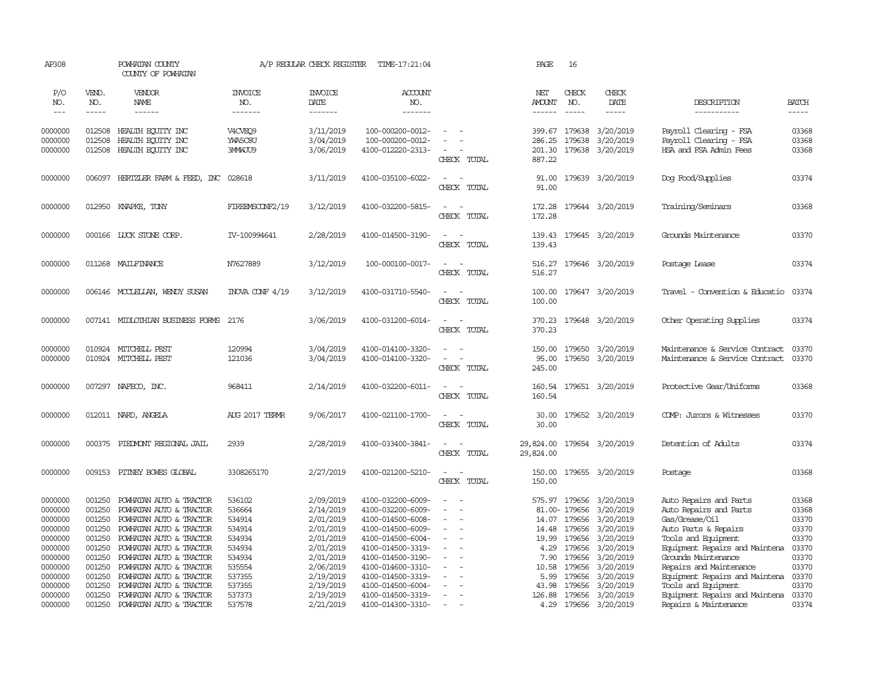| AP308                                                                                                                 |                                                                                                            | POWHATAN COUNTY<br>COUNTY OF POWHATAN                                                                                                                                                                                                                                                                 |                                                                                                            | A/P REGULAR CHECK REGISTER                                                                                                                  | TIME-17:21:04                                                                                                                                                                                                                       |                                                                                                                                                                        | PAGE                                                               | 16                                                                                                            |                                                                                                                                                           |                                                                                                                                                                                                                                                                                                  |                                                                                                 |
|-----------------------------------------------------------------------------------------------------------------------|------------------------------------------------------------------------------------------------------------|-------------------------------------------------------------------------------------------------------------------------------------------------------------------------------------------------------------------------------------------------------------------------------------------------------|------------------------------------------------------------------------------------------------------------|---------------------------------------------------------------------------------------------------------------------------------------------|-------------------------------------------------------------------------------------------------------------------------------------------------------------------------------------------------------------------------------------|------------------------------------------------------------------------------------------------------------------------------------------------------------------------|--------------------------------------------------------------------|---------------------------------------------------------------------------------------------------------------|-----------------------------------------------------------------------------------------------------------------------------------------------------------|--------------------------------------------------------------------------------------------------------------------------------------------------------------------------------------------------------------------------------------------------------------------------------------------------|-------------------------------------------------------------------------------------------------|
| P/O<br>NO.<br>$\frac{1}{2}$                                                                                           | VEND.<br>NO.<br>$- - - - -$                                                                                | VENDOR<br>NAME<br>$- - - - - -$                                                                                                                                                                                                                                                                       | <b>INVOICE</b><br>NO.<br>-------                                                                           | <b>INVOICE</b><br>DATE<br>$- - - - - - -$                                                                                                   | ACCOUNT<br>NO.<br>-------                                                                                                                                                                                                           |                                                                                                                                                                        | NET<br><b>AMOUNT</b><br>$- - - - - -$                              | CHECK<br>NO.<br>$\frac{1}{2}$                                                                                 | CHECK<br>DATE<br>$- - - - -$                                                                                                                              | DESCRIPTION<br>-----------                                                                                                                                                                                                                                                                       | <b>BATCH</b><br>$- - - - -$                                                                     |
| 0000000<br>0000000<br>0000000                                                                                         | 012508<br>012508<br>012508                                                                                 | HEALTH ECUTTY INC<br>HEALTH EQUITY INC<br>HEALTH ECUTTY INC                                                                                                                                                                                                                                           | V4CVEO9<br>YWA5C8U<br>3MMWJU9                                                                              | 3/11/2019<br>3/04/2019<br>3/06/2019                                                                                                         | 100-000200-0012-<br>100-000200-0012-<br>4100-012220-2313-                                                                                                                                                                           | $\equiv$<br>CHECK TOTAL                                                                                                                                                | 286.25<br>201.30<br>887.22                                         | 399.67 179638<br>179638                                                                                       | 3/20/2019<br>3/20/2019<br>179638 3/20/2019                                                                                                                | Payroll Clearing - FSA<br>Payroll Clearing - FSA<br>HSA and FSA Admin Fees                                                                                                                                                                                                                       | 03368<br>03368<br>03368                                                                         |
| 0000000                                                                                                               |                                                                                                            | 006097 HERTZLER FARM & FEED, INC 028618                                                                                                                                                                                                                                                               |                                                                                                            | 3/11/2019                                                                                                                                   | 4100-035100-6022-                                                                                                                                                                                                                   | $\equiv$<br>CHECK TOTAL                                                                                                                                                | 91.00<br>91.00                                                     |                                                                                                               | 179639 3/20/2019                                                                                                                                          | Dog Food/Supplies                                                                                                                                                                                                                                                                                | 03374                                                                                           |
| 0000000                                                                                                               |                                                                                                            | 012950 KNAPKE, TONY                                                                                                                                                                                                                                                                                   | FIREEMSCONF2/19                                                                                            | 3/12/2019                                                                                                                                   | 4100-032200-5815-                                                                                                                                                                                                                   | $\sim$<br>CHECK TOTAL                                                                                                                                                  | 172.28<br>172.28                                                   |                                                                                                               | 179644 3/20/2019                                                                                                                                          | Training/Seminars                                                                                                                                                                                                                                                                                | 03368                                                                                           |
| 0000000                                                                                                               |                                                                                                            | 000166 LUCK STONE CORP.                                                                                                                                                                                                                                                                               | IV-100994641                                                                                               | 2/28/2019                                                                                                                                   | 4100-014500-3190-                                                                                                                                                                                                                   | $\overline{\phantom{a}}$<br>$\sim$<br>CHECK TOTAL                                                                                                                      | 139.43<br>139.43                                                   |                                                                                                               | 179645 3/20/2019                                                                                                                                          | Grounds Maintenance                                                                                                                                                                                                                                                                              | 03370                                                                                           |
| 0000000                                                                                                               |                                                                                                            | 011268 MAILFINANCE                                                                                                                                                                                                                                                                                    | N7627889                                                                                                   | 3/12/2019                                                                                                                                   | 100-000100-0017-                                                                                                                                                                                                                    | $\sim$<br>$\sim$<br>CHECK TOTAL                                                                                                                                        | 516.27<br>516.27                                                   |                                                                                                               | 179646 3/20/2019                                                                                                                                          | Postage Lease                                                                                                                                                                                                                                                                                    | 03374                                                                                           |
| 0000000                                                                                                               |                                                                                                            | 006146 MCCLELLAN, WENDY SUSAN                                                                                                                                                                                                                                                                         | INOVA CONF 4/19                                                                                            | 3/12/2019                                                                                                                                   | 4100-031710-5540-                                                                                                                                                                                                                   | $\sim$<br>$\sim$<br>CHECK TOTAL                                                                                                                                        | 100.00<br>100.00                                                   |                                                                                                               | 179647 3/20/2019                                                                                                                                          | Travel - Convention & Educatio                                                                                                                                                                                                                                                                   | 03374                                                                                           |
| 0000000                                                                                                               |                                                                                                            | 007141 MIDLOTHIAN BUSINESS FORMS                                                                                                                                                                                                                                                                      | 2176                                                                                                       | 3/06/2019                                                                                                                                   | 4100-031200-6014-                                                                                                                                                                                                                   | $\sim$<br>$\sim$<br>CHECK TOTAL                                                                                                                                        | 370.23<br>370.23                                                   |                                                                                                               | 179648 3/20/2019                                                                                                                                          | Other Operating Supplies                                                                                                                                                                                                                                                                         | 03374                                                                                           |
| 0000000<br>0000000                                                                                                    |                                                                                                            | 010924 MITCHELL PEST<br>010924 MITCHELL PEST                                                                                                                                                                                                                                                          | 120994<br>121036                                                                                           | 3/04/2019<br>3/04/2019                                                                                                                      | 4100-014100-3320-<br>4100-014100-3320-                                                                                                                                                                                              | $\equiv$<br>CHECK TOTAL                                                                                                                                                | 150.00<br>95.00<br>245.00                                          | 179650                                                                                                        | 3/20/2019<br>179650 3/20/2019                                                                                                                             | Maintenance & Service Contract<br>Maintenance & Service Contract                                                                                                                                                                                                                                 | 03370<br>03370                                                                                  |
| 0000000                                                                                                               | 007297                                                                                                     | NAFECO, INC.                                                                                                                                                                                                                                                                                          | 968411                                                                                                     | 2/14/2019                                                                                                                                   | 4100-032200-6011-                                                                                                                                                                                                                   | $\sim$<br>$\sim$<br>CHECK TOTAL                                                                                                                                        | 160.54<br>160.54                                                   |                                                                                                               | 179651 3/20/2019                                                                                                                                          | Protective Gear/Uniforms                                                                                                                                                                                                                                                                         | 03368                                                                                           |
| 0000000                                                                                                               | 012011                                                                                                     | NARD, ANGELA                                                                                                                                                                                                                                                                                          | AUG 2017 TERMR                                                                                             | 9/06/2017                                                                                                                                   | 4100-021100-1700-                                                                                                                                                                                                                   | $\overline{\phantom{a}}$<br>CHECK TOTAL                                                                                                                                | 30.00<br>30.00                                                     |                                                                                                               | 179652 3/20/2019                                                                                                                                          | COMP: Jurors & Witnesses                                                                                                                                                                                                                                                                         | 03370                                                                                           |
| 0000000                                                                                                               | 000375                                                                                                     | PIEDMONT REGIONAL JAIL                                                                                                                                                                                                                                                                                | 2939                                                                                                       | 2/28/2019                                                                                                                                   | 4100-033400-3841-                                                                                                                                                                                                                   | $\sim$<br>$\sim$<br>CHECK TOTAL                                                                                                                                        | 29,824.00<br>29,824.00                                             |                                                                                                               | 179654 3/20/2019                                                                                                                                          | Detention of Adults                                                                                                                                                                                                                                                                              | 03374                                                                                           |
| 0000000                                                                                                               |                                                                                                            | 009153 PITNEY BOWES GLOBAL                                                                                                                                                                                                                                                                            | 3308265170                                                                                                 | 2/27/2019                                                                                                                                   | 4100-021200-5210-                                                                                                                                                                                                                   | $\sim$<br>$\sim$<br>CHECK TOTAL                                                                                                                                        | 150.00<br>150.00                                                   |                                                                                                               | 179655 3/20/2019                                                                                                                                          | Postage                                                                                                                                                                                                                                                                                          | 03368                                                                                           |
| 0000000<br>0000000<br>0000000<br>0000000<br>0000000<br>0000000<br>0000000<br>0000000<br>0000000<br>0000000<br>0000000 | 001250<br>001250<br>001250<br>001250<br>001250<br>001250<br>001250<br>001250<br>001250<br>001250<br>001250 | POWHATAN AUTO & TRACTOR<br>POWHATAN AUTO & TRACTOR<br>POWHATAN AUTO & TRACTOR<br>POWHATAN AUTO & TRACTOR<br>POWHATAN AUTO & TRACTOR<br>POWHATAN AUTO & TRACTOR<br>POWHATAN AUTO & TRACTOR<br>POWHATAN AUTO & TRACTOR<br>POWHATAN AUTO & TRACTOR<br>POWHATAN AUTO & TRACTOR<br>POWHATAN AUTO & TRACTOR | 536102<br>536664<br>534914<br>534914<br>534934<br>534934<br>534934<br>535554<br>537355<br>537355<br>537373 | 2/09/2019<br>2/14/2019<br>2/01/2019<br>2/01/2019<br>2/01/2019<br>2/01/2019<br>2/01/2019<br>2/06/2019<br>2/19/2019<br>2/19/2019<br>2/19/2019 | 4100-032200-6009-<br>4100-032200-6009-<br>4100-014500-6008-<br>4100-014500-6009-<br>4100-014500-6004-<br>4100-014500-3319-<br>4100-014500-3190-<br>4100-014600-3310-<br>4100-014500-3319-<br>4100-014500-6004-<br>4100-014500-3319- | $\sim$<br>$\sim$<br>$\sim$<br>$\sim$<br>$\equiv$<br>$\overline{\phantom{a}}$<br>$\overline{\phantom{a}}$<br>$\equiv$<br>$\sim$<br>$\blacksquare$<br>$\sim$<br>$\equiv$ | 14.48<br>19.99<br>4.29<br>7.90<br>10.58<br>5.99<br>43.98<br>126.88 | 81.00- 179656<br>14.07 179656<br>179656<br>179656<br>179656<br>179656<br>179656<br>179656<br>179656<br>179656 | 575.97 179656 3/20/2019<br>3/20/2019<br>3/20/2019<br>3/20/2019<br>3/20/2019<br>3/20/2019<br>3/20/2019<br>3/20/2019<br>3/20/2019<br>3/20/2019<br>3/20/2019 | Auto Repairs and Parts<br>Auto Repairs and Parts<br>Gas/Grease/Oil<br>Auto Parts & Repairs<br>Tools and Equipment<br>Equipment Repairs and Maintena<br>Grounds Maintenance<br>Repairs and Maintenance<br>Equipment Repairs and Maintena<br>Tools and Equipment<br>Equipment Repairs and Maintena | 03368<br>03368<br>03370<br>03370<br>03370<br>03370<br>03370<br>03370<br>03370<br>03370<br>03370 |
| 0000000                                                                                                               | 001250                                                                                                     | POWHATAN AUTO & TRACTOR                                                                                                                                                                                                                                                                               | 537578                                                                                                     | 2/21/2019                                                                                                                                   | 4100-014300-3310-                                                                                                                                                                                                                   | $\overline{\phantom{a}}$                                                                                                                                               |                                                                    |                                                                                                               | 4.29 179656 3/20/2019                                                                                                                                     | Repairs & Maintenance                                                                                                                                                                                                                                                                            | 03374                                                                                           |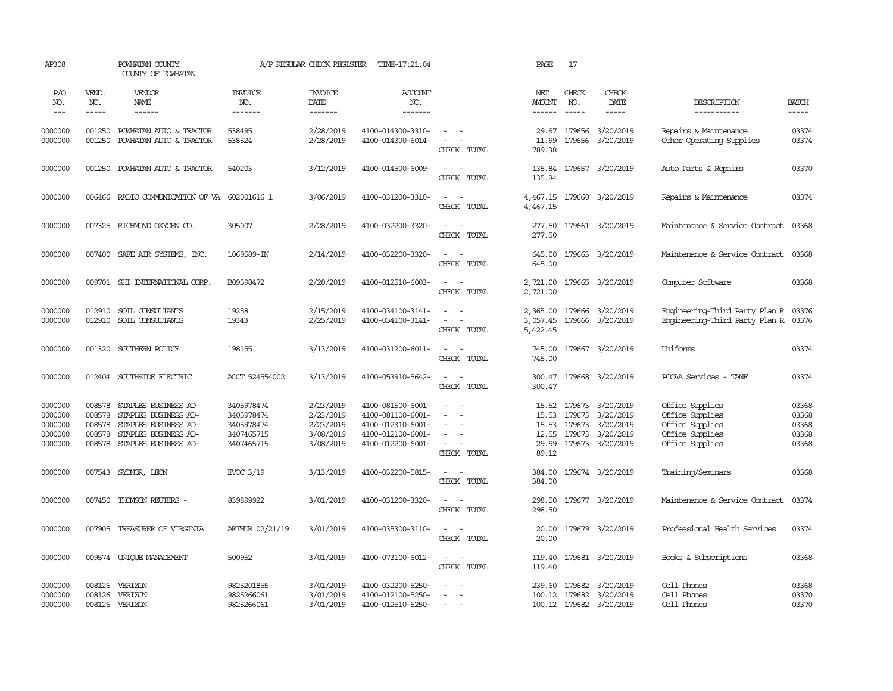| AP308                                               |                                                | POWHATAN COUNTY<br>COUNTY OF POWHATAN                                                                                |                                                                    | A/P REGULAR CHECK REGISTER                                    | TIME-17:21:04                                                                                         |                                                                                                               | PAGE                                      | 17                               |                                                                             |                                                                                             |                                           |
|-----------------------------------------------------|------------------------------------------------|----------------------------------------------------------------------------------------------------------------------|--------------------------------------------------------------------|---------------------------------------------------------------|-------------------------------------------------------------------------------------------------------|---------------------------------------------------------------------------------------------------------------|-------------------------------------------|----------------------------------|-----------------------------------------------------------------------------|---------------------------------------------------------------------------------------------|-------------------------------------------|
| P/O<br>NO.<br>$\frac{1}{2}$                         | VEND.<br>NO.<br>$\cdots\cdots\cdots$           | VENDOR<br>NAME                                                                                                       | <b>INVOICE</b><br>NO.<br>-------                                   | <b>INVOICE</b><br>DATE<br>--------                            | <b>ACCOUNT</b><br>NO.<br>-------                                                                      |                                                                                                               | NET<br>AMOUNT                             | CHECK<br>NO.                     | CHECK<br>DATE<br>-----                                                      | DESCRIPTION<br>-----------                                                                  | <b>BATCH</b><br>$- - - - -$               |
| 0000000<br>0000000                                  | 001250<br>001250                               | POWHATAN AUTO & TRACTOR<br>POWHATAN AUTO & TRACTOR                                                                   | 538495<br>538524                                                   | 2/28/2019<br>2/28/2019                                        | 4100-014300-3310-<br>4100-014300-6014-                                                                | $\omega_{\rm{max}}$ and $\omega_{\rm{max}}$<br>$\sim$<br>$\overline{\phantom{a}}$<br>CHECK TOTAL              | 29.97<br>11.99<br>789.38                  | 179656                           | 179656 3/20/2019<br>3/20/2019                                               | Repairs & Maintenance<br>Other Operating Supplies                                           | 03374<br>03374                            |
| 0000000                                             | 001250                                         | POWHATAN AUTO & TRACTOR                                                                                              | 540203                                                             | 3/12/2019                                                     | 4100-014500-6009-                                                                                     | $\sim$<br>$\sim$<br>CHECK TOTAL                                                                               | 135.84<br>135.84                          |                                  | 179657 3/20/2019                                                            | Auto Parts & Repairs                                                                        | 03370                                     |
| 0000000                                             | 006466                                         | RADIO COMMUNICATION OF VA 602001616 1                                                                                |                                                                    | 3/06/2019                                                     | 4100-031200-3310-                                                                                     | $\sim$<br>$\sim$<br>CHECK TOTAL                                                                               | 4,467.15<br>4,467.15                      |                                  | 179660 3/20/2019                                                            | Repairs & Maintenance                                                                       | 03374                                     |
| 0000000                                             |                                                | 007325 RICHMOND OXYGEN CO.                                                                                           | 305007                                                             | 2/28/2019                                                     | 4100-032200-3320-                                                                                     | $\sim$<br>$\sim$<br>CHECK TOTAL                                                                               | 277.50<br>277.50                          |                                  | 179661 3/20/2019                                                            | Maintenance & Service Contract                                                              | 03368                                     |
| 0000000                                             |                                                | 007400 SAFE AIR SYSTEMS, INC.                                                                                        | 1069589-IN                                                         | 2/14/2019                                                     | 4100-032200-3320-                                                                                     | $\sim$<br>$\sim$<br>CHECK TOTAL                                                                               | 645.00<br>645.00                          |                                  | 179663 3/20/2019                                                            | Maintenance & Service Contract                                                              | 03368                                     |
| 0000000                                             | 009701                                         | SHI INTERNATIONAL CORP.                                                                                              | B09598472                                                          | 2/28/2019                                                     | 4100-012510-6003-                                                                                     | $\sim$<br>$\sim$<br>CHECK TOTAL                                                                               | 2,721.00<br>2,721.00                      |                                  | 179665 3/20/2019                                                            | Computer Software                                                                           | 03368                                     |
| 0000000<br>0000000                                  | 012910<br>012910                               | SOIL CONSULTANTS<br>SOIL CONSULTANTS                                                                                 | 19258<br>19343                                                     | 2/15/2019<br>2/25/2019                                        | 4100-034100-3141-<br>4100-034100-3141-                                                                | $\sim$<br>$\sim$<br>$\sim$ $-$<br>CHECK TOTAL                                                                 | 2,365.00<br>3,057.45<br>5,422.45          |                                  | 179666 3/20/2019<br>179666 3/20/2019                                        | Engineering-Third Party Plan R<br>Engineering-Third Party Plan R 03376                      | 03376                                     |
| 0000000                                             | 001320                                         | SOUTHERN POLICE                                                                                                      | 198155                                                             | 3/13/2019                                                     | 4100-031200-6011-                                                                                     | $\sim$<br>$\sim$<br>CHECK TOTAL                                                                               | 745.00<br>745.00                          |                                  | 179667 3/20/2019                                                            | Uniforms                                                                                    | 03374                                     |
| 0000000                                             |                                                | 012404 SOUTHSIDE ELECTRIC                                                                                            | ACCT 524554002                                                     | 3/13/2019                                                     | 4100-053910-5642-                                                                                     | $\sim$ $ \sim$<br>CHECK TOTAL                                                                                 | 300.47<br>300.47                          |                                  | 179668 3/20/2019                                                            | PCCAA Services - TANF                                                                       | 03374                                     |
| 0000000<br>0000000<br>0000000<br>0000000<br>0000000 | 008578<br>008578<br>008578<br>008578<br>008578 | STAPLES BUSINESS AD-<br>STAPLES BUSINESS AD-<br>STAPLES BUSINESS AD-<br>STAPLES BUSINESS AD-<br>STAPLES BUSINESS AD- | 3405978474<br>3405978474<br>3405978474<br>3407465715<br>3407465715 | 2/23/2019<br>2/23/2019<br>2/23/2019<br>3/08/2019<br>3/08/2019 | 4100-081500-6001-<br>4100-081100-6001-<br>4100-012310-6001-<br>4100-012100-6001-<br>4100-012200-6001- | $\overline{\phantom{a}}$<br>$\sim$<br>$\equiv$<br>$\sim$<br>$\sim$<br>$\overline{\phantom{a}}$<br>CHECK TOTAL | 15.52<br>15.53<br>12.55<br>29.99<br>89.12 | 179673<br>15.53 179673<br>179673 | 179673 3/20/2019<br>3/20/2019<br>3/20/2019<br>3/20/2019<br>179673 3/20/2019 | Office Supplies<br>Office Supplies<br>Office Supplies<br>Office Supplies<br>Office Supplies | 03368<br>03368<br>03368<br>03368<br>03368 |
| 0000000                                             |                                                | 007543 SYDNOR, LEON                                                                                                  | EVOC 3/19                                                          | 3/13/2019                                                     | 4100-032200-5815-                                                                                     | $\overline{\phantom{a}}$<br>$\sim$<br>CHECK TOTAL                                                             | 384.00<br>384.00                          |                                  | 179674 3/20/2019                                                            | Training/Seminars                                                                           | 03368                                     |
| 0000000                                             | 007450                                         | THOMSON REUTERS -                                                                                                    | 839899922                                                          | 3/01/2019                                                     | 4100-031200-3320-                                                                                     | $\sim$<br>$\sim$<br>CHECK TOTAL                                                                               | 298.50<br>298.50                          |                                  | 179677 3/20/2019                                                            | Maintenance & Service Contract                                                              | 03374                                     |
| 0000000                                             | 007905                                         | TREASURER OF VIRGINIA                                                                                                | ARTHUR 02/21/19                                                    | 3/01/2019                                                     | 4100-035300-3110-                                                                                     | $\equiv$<br>$\overline{\phantom{a}}$<br>CHECK TOTAL                                                           | 20.00<br>20.00                            |                                  | 179679 3/20/2019                                                            | Professional Health Services                                                                | 03374                                     |
| 0000000                                             | 009574                                         | UNIQUE MANAGEMENT                                                                                                    | 500952                                                             | 3/01/2019                                                     | 4100-073100-6012-                                                                                     | $\overline{\phantom{a}}$<br>$\overline{\phantom{a}}$<br>CHECK TOTAL                                           | 119.40<br>119.40                          |                                  | 179681 3/20/2019                                                            | Books & Subscriptions                                                                       | 03368                                     |
| 0000000<br>0000000<br>0000000                       | 008126<br>008126<br>008126                     | VERIZON<br>VERIZON<br>VERIZON                                                                                        | 9825201855<br>9825266061<br>9825266061                             | 3/01/2019<br>3/01/2019<br>3/01/2019                           | 4100-032200-5250-<br>4100-012100-5250-<br>4100-012510-5250-                                           | $\sim$                                                                                                        | 239.60                                    |                                  | 179682 3/20/2019<br>100.12 179682 3/20/2019<br>100.12 179682 3/20/2019      | Cell Phones<br>Cell Phones<br>Cell Phones                                                   | 03368<br>03370<br>03370                   |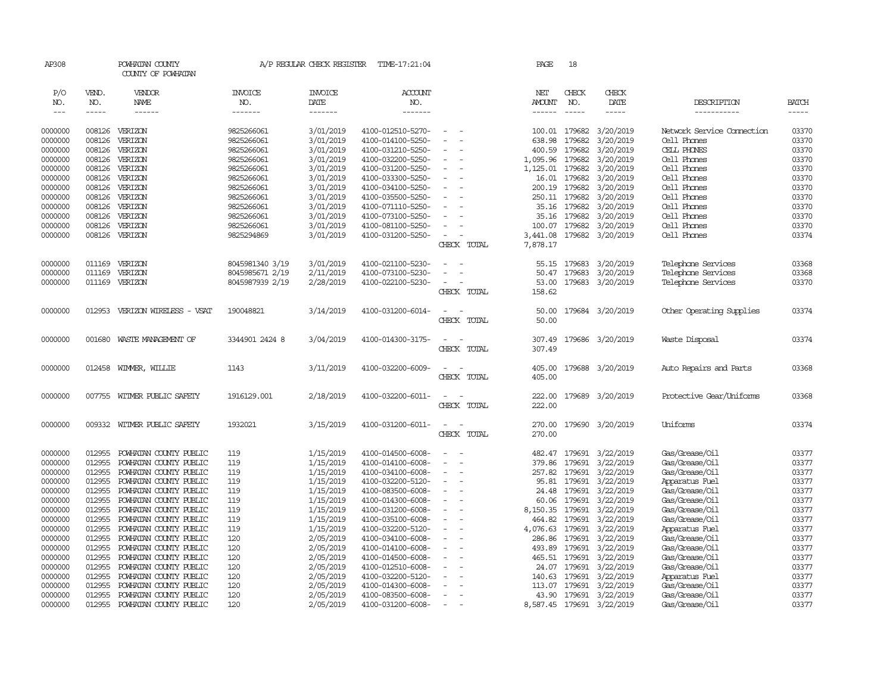| AP308              |        | POWHATAN COUNTY<br>COUNTY OF POWHATAN |                          | A/P REGULAR CHECK REGISTER | TIME-17:21:04                          |                          | PAGE          | 18            |                           |                            |              |
|--------------------|--------|---------------------------------------|--------------------------|----------------------------|----------------------------------------|--------------------------|---------------|---------------|---------------------------|----------------------------|--------------|
| P/O                | VEND.  | VENDOR                                | <b>INVOICE</b>           | <b>INVOICE</b>             | <b>ACCOUNT</b>                         |                          | NET           | CHECK         | CHECK                     |                            |              |
| NO.                | NO.    | NAME                                  | NO.                      | DATE                       | NO.                                    |                          | <b>AMOUNT</b> | NO.           | DATE                      | DESCRIPTION                | <b>BATCH</b> |
| $---$              | -----  | ------                                | -------                  | -------                    | --------                               |                          | $- - - - - -$ | $- - - - -$   | $- - - - -$               | ------------               | $- - - - -$  |
| 0000000            | 008126 | VERIZON                               | 9825266061               | 3/01/2019                  | 4100-012510-5270-                      |                          |               | 100.01 179682 | 3/20/2019                 | Network Service Connection | 03370        |
| 0000000            | 008126 | VERIZON                               | 9825266061               | 3/01/2019                  | 4100-014100-5250-                      |                          | 638.98        | 179682        | 3/20/2019                 | Cell Phones                | 03370        |
| 0000000            | 008126 | VERIZON                               | 9825266061               | 3/01/2019                  | 4100-031210-5250-                      |                          | 400.59        | 179682        | 3/20/2019                 | CELL PHONES                | 03370        |
| 0000000            | 008126 | VERIZON                               | 9825266061               | 3/01/2019                  | 4100-032200-5250-                      | $\sim$                   | 1,095.96      | 179682        | 3/20/2019                 | Cell Phones                | 03370        |
| 0000000            | 008126 | VERIZON                               | 9825266061               | 3/01/2019                  | 4100-031200-5250-                      |                          | 1,125.01      | 179682        | 3/20/2019                 | Cell Phones                | 03370        |
| 0000000            | 008126 | VERIZON                               | 9825266061               | 3/01/2019                  | 4100-033300-5250-                      |                          | 16.01         | 179682        | 3/20/2019                 | Cell Phones                | 03370        |
| 0000000            | 008126 | VERIZON                               | 9825266061               | 3/01/2019                  | 4100-034100-5250-                      |                          |               | 200.19 179682 | 3/20/2019                 | Cell Phones                | 03370        |
| 0000000            | 008126 | VERIZON                               | 9825266061               |                            | 4100-035500-5250-                      |                          |               | 250.11 179682 | 3/20/2019                 | Cell Phones                | 03370        |
| 0000000            | 008126 | VERIZON                               | 9825266061               | 3/01/2019<br>3/01/2019     | 4100-071110-5250-                      |                          | 35.16         | 179682        | 3/20/2019                 | Cell Phones                | 03370        |
| 0000000            | 008126 | VERIZON                               | 9825266061               | 3/01/2019                  | 4100-073100-5250-                      |                          |               | 35.16 179682  | 3/20/2019                 | Cell Phones                | 03370        |
|                    | 008126 | VERIZON                               |                          | 3/01/2019                  |                                        | $\equiv$                 |               | 100.07 179682 | 3/20/2019                 | Cell Phones                | 03370        |
| 0000000<br>0000000 | 008126 | VERIZON                               | 9825266061<br>9825294869 | 3/01/2019                  | 4100-081100-5250-<br>4100-031200-5250- | $\equiv$                 | 3,441.08      | 179682        | 3/20/2019                 | Cell Phones                | 03374        |
|                    |        |                                       |                          |                            |                                        | CHECK TOTAL              | 7,878.17      |               |                           |                            |              |
|                    |        |                                       |                          |                            |                                        |                          |               |               |                           |                            |              |
| 0000000            | 011169 | VERIZON                               | 8045981340 3/19          | 3/01/2019                  | 4100-021100-5230-                      |                          |               | 55.15 179683  | 3/20/2019                 | Telephone Services         | 03368        |
| 0000000            | 011169 | VERIZON                               | 8045985671 2/19          | 2/11/2019                  | 4100-073100-5230-                      |                          | 50.47         | 179683        | 3/20/2019                 | Telephone Services         | 03368        |
| 0000000            | 011169 | VERIZON                               | 8045987939 2/19          | 2/28/2019                  | 4100-022100-5230-                      |                          | 53.00         |               | 179683 3/20/2019          | Telephone Services         | 03370        |
|                    |        |                                       |                          |                            |                                        | CHECK TOTAL              | 158.62        |               |                           |                            |              |
| 0000000            | 012953 | VERIZON WIRELESS - VSAT               | 190048821                | 3/14/2019                  | 4100-031200-6014-                      |                          | 50.00         |               | 179684 3/20/2019          | Other Operating Supplies   | 03374        |
|                    |        |                                       |                          |                            |                                        | CHECK TOTAL              | 50.00         |               |                           |                            |              |
| 0000000            | 001680 | WASTE MANAGEMENT OF                   | 3344901 2424 8           | 3/04/2019                  | 4100-014300-3175-                      | - -                      | 307.49        |               | 179686 3/20/2019          | Waste Disposal             | 03374        |
|                    |        |                                       |                          |                            |                                        | CHECK TOTAL              | 307.49        |               |                           |                            |              |
|                    |        |                                       |                          |                            |                                        |                          |               |               |                           |                            |              |
| 0000000            | 012458 | WIMMER, WILLIE                        | 1143                     | 3/11/2019                  | 4100-032200-6009-                      |                          | 405.00        |               | 179688 3/20/2019          | Auto Repairs and Parts     | 03368        |
|                    |        |                                       |                          |                            |                                        | CHECK TOTAL              | 405.00        |               |                           |                            |              |
| 0000000            | 007755 | WITMER PUBLIC SAFETY                  | 1916129.001              | 2/18/2019                  | 4100-032200-6011-                      | $\overline{\phantom{a}}$ | 222.00        | 179689        | 3/20/2019                 | Protective Gear/Uniforms   | 03368        |
|                    |        |                                       |                          |                            |                                        | CHECK TOTAL              | 222.00        |               |                           |                            |              |
|                    |        |                                       |                          |                            |                                        |                          |               |               |                           |                            |              |
| 0000000            |        | 009332 WITMER PUBLIC SAFETY           | 1932021                  | 3/15/2019                  | 4100-031200-6011-                      | $\equiv$<br>$\sim$       | 270.00        |               | 179690 3/20/2019          | Uniforms                   | 03374        |
|                    |        |                                       |                          |                            |                                        | CHECK TOTAL              | 270.00        |               |                           |                            |              |
| 0000000            | 012955 | POWHATAN COUNTY PUBLIC                | 119                      | 1/15/2019                  | 4100-014500-6008-                      | $\equiv$                 |               |               | 482.47 179691 3/22/2019   | Gas/Grease/0il             | 03377        |
| 0000000            | 012955 | POWHATAN COUNTY PUBLIC                | 119                      | 1/15/2019                  | 4100-014100-6008-                      |                          | 379.86        | 179691        | 3/22/2019                 | Gas/Grease/Oil             | 03377        |
| 0000000            | 012955 | POWHATAN COUNTY PUBLIC                | 119                      | 1/15/2019                  | 4100-034100-6008-                      |                          |               | 257.82 179691 | 3/22/2019                 | Gas/Grease/Oil             | 03377        |
| 0000000            | 012955 | POWHATAN COUNTY PUBLIC                | 119                      | 1/15/2019                  | 4100-032200-5120-                      |                          |               | 95.81 179691  | 3/22/2019                 | Apparatus Fuel             | 03377        |
| 0000000            | 012955 | POWHATAN COUNTY PUBLIC                | 119                      | 1/15/2019                  | 4100-083500-6008-                      |                          | 24.48         | 179691        | 3/22/2019                 | Gas/Grease/Oil             | 03377        |
| 0000000            | 012955 | POWHATAN COUNTY PUBLIC                | 119                      | 1/15/2019                  | 4100-014300-6008-                      |                          | 60.06         | 179691        | 3/22/2019                 | Gas/Grease/Oil             | 03377        |
| 0000000            | 012955 | POWHATAN COUNTY PUBLIC                | 119                      | 1/15/2019                  | 4100-031200-6008-                      |                          | 8,150.35      | 179691        | 3/22/2019                 | Gas/Grease/Oil             | 03377        |
| 0000000            | 012955 | POWHATAN COUNTY PUBLIC                | 119                      | 1/15/2019                  | 4100-035100-6008-                      | ÷                        | 464.82        | 179691        | 3/22/2019                 | Gas/Grease/Oil             | 03377        |
| 0000000            | 012955 | POWHATAN COUNTY PUBLIC                | 119                      | 1/15/2019                  | 4100-032200-5120-                      |                          | 4,076.63      | 179691        | 3/22/2019                 | Apparatus Fuel             | 03377        |
| 0000000            | 012955 | POWHATAN COUNTY PUBLIC                | 120                      | 2/05/2019                  | 4100-034100-6008-                      |                          | 286.86        | 179691        | 3/22/2019                 | Gas/Grease/Oil             | 03377        |
| 0000000            | 012955 | POWHATAN COUNTY PUBLIC                | 120                      | 2/05/2019                  | 4100-014100-6008-                      |                          |               | 493.89 179691 | 3/22/2019                 | Gas/Grease/Oil             | 03377        |
| 0000000            | 012955 | POWHATAN COUNTY PUBLIC                | 120                      | 2/05/2019                  | 4100-014500-6008-                      |                          |               | 465.51 179691 | 3/22/2019                 | Gas/Grease/Oil             | 03377        |
| 0000000            | 012955 | POWHATAN COUNTY PUBLIC                | 120                      | 2/05/2019                  | 4100-012510-6008-                      |                          | 24.07         | 179691        | 3/22/2019                 | Gas/Grease/Oil             | 03377        |
| 0000000            | 012955 | POWHATAN COUNTY PUBLIC                | 120                      | 2/05/2019                  | 4100-032200-5120-                      |                          | 140.63        | 179691        | 3/22/2019                 | Apparatus Fuel             | 03377        |
| 0000000            | 012955 | POWHATAN COUNTY PUBLIC                | 120                      | 2/05/2019                  | 4100-014300-6008-                      |                          | 113.07        | 179691        | 3/22/2019                 | Gas/Grease/Oil             | 03377        |
| 0000000            | 012955 | POWHATAN COUNTY PUBLIC                | 120                      | 2/05/2019                  | 4100-083500-6008-                      |                          | 43.90         | 179691        | 3/22/2019                 | Gas/Grease/0il             | 03377        |
| 0000000            | 012955 | POWHATAN COUNTY PUBLIC                | 120                      | 2/05/2019                  | 4100-031200-6008-                      |                          |               |               | 8,587.45 179691 3/22/2019 | Gas/Grease/Oil             | 03377        |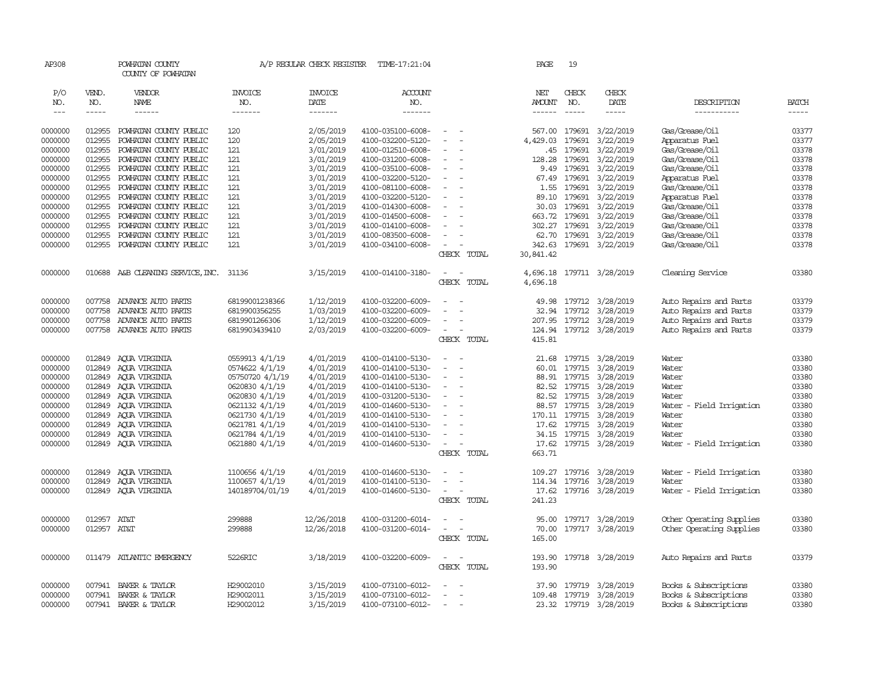| AP308                |              | POWHATAN COUNTY<br>COUNTY OF POWHATAN |                 | A/P REGULAR CHECK REGISTER | TIME-17:21:04     |                          | PAGE             | 19                 |                         |                            |                             |
|----------------------|--------------|---------------------------------------|-----------------|----------------------------|-------------------|--------------------------|------------------|--------------------|-------------------------|----------------------------|-----------------------------|
| P/O                  | VEND.        | <b>VENDOR</b>                         | <b>INVOICE</b>  | <b>INVOICE</b>             | <b>ACCOUNT</b>    |                          | NET              | CHECK              | CHECK                   |                            |                             |
| NO.<br>$\frac{1}{2}$ | NO.<br>----- | <b>NAME</b><br>------                 | NO.<br>-------  | DATE<br>-------            | NO.<br>-------    |                          | AMOUNT<br>------ | NO.<br>$- - - - -$ | DATE<br>$- - - - -$     | DESCRIPTION<br>----------- | <b>BATCH</b><br>$- - - - -$ |
|                      |              |                                       |                 |                            |                   |                          |                  |                    |                         |                            |                             |
| 0000000              | 012955       | POWHATAN COUNTY PUBLIC                | 120             | 2/05/2019                  | 4100-035100-6008- | $\overline{\phantom{a}}$ |                  |                    | 567.00 179691 3/22/2019 | Gas/Grease/Oil             | 03377                       |
| 0000000              | 012955       | POWHATAN COUNTY PUBLIC                | 120             | 2/05/2019                  | 4100-032200-5120- |                          | 4,429.03         | 179691             | 3/22/2019               | Apparatus Fuel             | 03377                       |
| 0000000              | 012955       | POWHATAN COUNTY PUBLIC                | 121             | 3/01/2019                  | 4100-012510-6008- |                          | .45              | 179691             | 3/22/2019               | Gas/Grease/Oil             | 03378                       |
| 0000000              | 012955       | POWHATAN COUNTY PUBLIC                | 121             | 3/01/2019                  | 4100-031200-6008- |                          | 128.28           | 179691             | 3/22/2019               | Gas/Grease/Oil             | 03378                       |
| 0000000              | 012955       | POWHATAN COUNTY PUBLIC                | 121             | 3/01/2019                  | 4100-035100-6008- | $\sim$                   | 9.49             | 179691             | 3/22/2019               | Gas/Grease/Oil             | 03378                       |
| 0000000              | 012955       | POWHATAN COUNTY PUBLIC                | 121             | 3/01/2019                  | 4100-032200-5120- | $\sim$                   | 67.49            | 179691             | 3/22/2019               | Apparatus Fuel             | 03378                       |
| 0000000              | 012955       | POWHATAN COUNTY PUBLIC                | 121             | 3/01/2019                  | 4100-081100-6008- |                          | 1.55             | 179691             | 3/22/2019               | Gas/Grease/Oil             | 03378                       |
| 0000000              | 012955       | POWHATAN COUNTY PUBLIC                | 121             | 3/01/2019                  | 4100-032200-5120- | $\equiv$                 | 89.10            | 179691             | 3/22/2019               | Apparatus Fuel             | 03378                       |
| 0000000              | 012955       | POWHATAN COUNTY PUBLIC                | 121             | 3/01/2019                  | 4100-014300-6008- |                          | 30.03            | 179691             | 3/22/2019               | Gas/Grease/Oil             | 03378                       |
| 0000000              | 012955       | POWHATAN COUNTY PUBLIC                | 121             | 3/01/2019                  | 4100-014500-6008- |                          |                  | 663.72 179691      | 3/22/2019               | Gas/Grease/Oil             | 03378                       |
| 0000000              | 012955       | POWHATAN COUNTY PUBLIC                | 121             | 3/01/2019                  | 4100-014100-6008- |                          |                  | 302.27 179691      | 3/22/2019               | Gas/Grease/Oil             | 03378                       |
| 0000000              | 012955       | POWHATAN COUNTY PUBLIC                | 121             | 3/01/2019                  | 4100-083500-6008- |                          | 62.70            | 179691             | 3/22/2019               | Gas/Grease/Oil             | 03378                       |
| 0000000              | 012955       | POWHATAN COUNTY PUBLIC                | 121             | 3/01/2019                  | 4100-034100-6008- | $\equiv$                 | 342.63           | 179691             | 3/22/2019               | Gas/Grease/Oil             | 03378                       |
|                      |              |                                       |                 |                            |                   | CHECK TOTAL              | 30,841.42        |                    |                         |                            |                             |
|                      |              |                                       |                 |                            |                   |                          |                  |                    |                         |                            |                             |
| 0000000              | 010688       | A&B CLEANING SERVICE, INC.            | 31136           | 3/15/2019                  | 4100-014100-3180- | $\equiv$                 | 4,696.18         |                    | 179711 3/28/2019        | Cleaning Service           | 03380                       |
|                      |              |                                       |                 |                            |                   | CHECK TOTAL              | 4,696.18         |                    |                         |                            |                             |
|                      |              |                                       |                 |                            |                   |                          |                  |                    |                         |                            |                             |
| 0000000              | 007758       | ADVANCE AUTO PARTS                    | 68199001238366  | 1/12/2019                  | 4100-032200-6009- |                          | 49.98            |                    | 179712 3/28/2019        | Auto Repairs and Parts     | 03379                       |
| 0000000              | 007758       | ADVANCE AUTO PARTS                    | 6819900356255   | 1/03/2019                  | 4100-032200-6009- |                          | 32.94            | 179712             | 3/28/2019               | Auto Repairs and Parts     | 03379                       |
| 0000000              | 007758       | ADVANCE AUTO PARTS                    | 6819901266306   | 1/12/2019                  | 4100-032200-6009- |                          | 207.95           |                    | 179712 3/28/2019        | Auto Repairs and Parts     | 03379                       |
| 0000000              | 007758       | ADVANCE AUTO PARTS                    | 6819903439410   | 2/03/2019                  | 4100-032200-6009- | $\equiv$                 |                  |                    | 124.94 179712 3/28/2019 | Auto Repairs and Parts     | 03379                       |
|                      |              |                                       |                 |                            |                   | CHECK TOTAL              | 415.81           |                    |                         |                            |                             |
|                      |              |                                       |                 |                            |                   |                          |                  |                    |                         |                            |                             |
| 0000000              | 012849       | AQUA VIRGINIA                         | 0559913 4/1/19  | 4/01/2019                  | 4100-014100-5130- |                          | 21.68            |                    | 179715 3/28/2019        | Water                      | 03380                       |
| 0000000              | 012849       | AQUA VIRGINIA                         | 0574622 4/1/19  | 4/01/2019                  | 4100-014100-5130- | $\equiv$                 |                  | 60.01 179715       | 3/28/2019               | Water                      | 03380                       |
| 0000000              | 012849       | AQUA VIRGINIA                         | 05750720 4/1/19 | 4/01/2019                  | 4100-014100-5130- | $\equiv$                 |                  | 88.91 179715       | 3/28/2019               | Water                      | 03380                       |
| 0000000              | 012849       | ACUA VIRGINIA                         | 0620830 4/1/19  | 4/01/2019                  | 4100-014100-5130- |                          |                  | 82.52 179715       | 3/28/2019               | Water                      | 03380                       |
| 0000000              | 012849       | AQUA VIRGINIA                         | 0620830 4/1/19  | 4/01/2019                  | 4100-031200-5130- |                          |                  | 82.52 179715       | 3/28/2019               | Water                      | 03380                       |
| 0000000              | 012849       | AQUA VIRGINIA                         | 0621132 4/1/19  | 4/01/2019                  | 4100-014600-5130- | $\equiv$                 |                  | 88.57 179715       | 3/28/2019               | Water - Field Irrigation   | 03380                       |
| 0000000              | 012849       | AQUA VIRGINIA                         | 0621730 4/1/19  | 4/01/2019                  | 4100-014100-5130- |                          |                  | 170.11 179715      | 3/28/2019               | Water                      | 03380                       |
| 0000000              | 012849       | AQUA VIRGINIA                         | 0621781 4/1/19  | 4/01/2019                  | 4100-014100-5130- |                          | 17.62            | 179715             | 3/28/2019               | Water                      | 03380                       |
| 0000000              | 012849       | AQUA VIRGINIA                         | 0621784 4/1/19  | 4/01/2019                  | 4100-014100-5130- |                          |                  | 34.15 179715       | 3/28/2019               | Water                      | 03380                       |
| 0000000              | 012849       | AQUA VIRGINIA                         | 0621880 4/1/19  | 4/01/2019                  | 4100-014600-5130- | $\sim$                   | 17.62            | 179715             | 3/28/2019               | Water - Field Irrigation   | 03380                       |
|                      |              |                                       |                 |                            |                   | CHECK TOTAL              | 663.71           |                    |                         |                            |                             |
| 0000000              | 012849       | AOUA VIRGINIA                         | 1100656 4/1/19  | 4/01/2019                  | 4100-014600-5130- | $\sim$                   |                  |                    | 109.27 179716 3/28/2019 | Water - Field Irrigation   | 03380                       |
| 0000000              | 012849       | AOUA VIRGINIA                         | 1100657 4/1/19  | 4/01/2019                  | 4100-014100-5130- |                          |                  | 114.34 179716      | 3/28/2019               | Water                      | 03380                       |
| 0000000              | 012849       | AQUA VIRGINIA                         | 140189704/01/19 | 4/01/2019                  | 4100-014600-5130- | $\equiv$                 |                  |                    | 17.62 179716 3/28/2019  | Water - Field Irrigation   | 03380                       |
|                      |              |                                       |                 |                            |                   | CHECK TOTAL              | 241.23           |                    |                         |                            |                             |
|                      |              |                                       |                 |                            |                   |                          |                  |                    |                         |                            |                             |
| 0000000              | 012957       | AT&T                                  | 299888          | 12/26/2018                 | 4100-031200-6014- |                          | 95.00            |                    | 179717 3/28/2019        | Other Operating Supplies   | 03380                       |
| 0000000              | 012957 AT&T  |                                       | 299888          | 12/26/2018                 | 4100-031200-6014- | $\sim$                   | 70.00            |                    | 179717 3/28/2019        | Other Operating Supplies   | 03380                       |
|                      |              |                                       |                 |                            |                   | CHECK TOTAL              | 165.00           |                    |                         |                            |                             |
|                      |              |                                       |                 |                            |                   |                          |                  |                    |                         |                            |                             |
| 0000000              |              | 011479 ATLANTIC EMERGENCY             | 5226RIC         | 3/18/2019                  | 4100-032200-6009- | $\sim$                   | 193.90           |                    | 179718 3/28/2019        | Auto Repairs and Parts     | 03379                       |
|                      |              |                                       |                 |                            |                   | CHECK TOTAL              | 193.90           |                    |                         |                            |                             |
|                      |              |                                       |                 |                            |                   |                          |                  |                    |                         |                            |                             |
| 0000000              | 007941       | BAKER & TAYLOR                        | H29002010       | 3/15/2019                  | 4100-073100-6012- |                          | 37.90            | 179719             | 3/28/2019               | Books & Subscriptions      | 03380                       |
| 0000000              | 007941       | BAKER & TAYLOR                        | H29002011       | 3/15/2019                  | 4100-073100-6012- |                          |                  | 109.48 179719      | 3/28/2019               | Books & Subscriptions      | 03380                       |
| 0000000              |              | 007941 BAKER & TAYLOR                 | H29002012       | 3/15/2019                  | 4100-073100-6012- | $\equiv$                 |                  |                    | 23.32 179719 3/28/2019  | Books & Subscriptions      | 03380                       |
|                      |              |                                       |                 |                            |                   |                          |                  |                    |                         |                            |                             |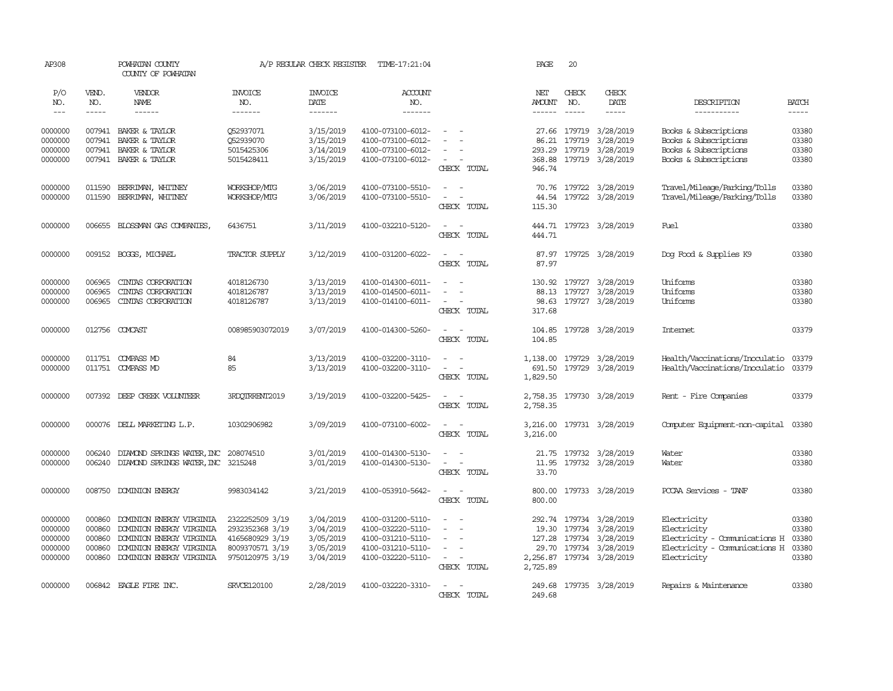| AP308                                               |                                                | POWHATAN COUNTY<br>COUNTY OF POWHATAN                                                                                                    |                                                                                             | A/P REGULAR CHECK REGISTER                                    | TIME-17:21:04                                                                                         |                                                                                                                  | PAGE                           | 20               |                                                                                                                        |                                                                                                             |                                           |
|-----------------------------------------------------|------------------------------------------------|------------------------------------------------------------------------------------------------------------------------------------------|---------------------------------------------------------------------------------------------|---------------------------------------------------------------|-------------------------------------------------------------------------------------------------------|------------------------------------------------------------------------------------------------------------------|--------------------------------|------------------|------------------------------------------------------------------------------------------------------------------------|-------------------------------------------------------------------------------------------------------------|-------------------------------------------|
| P/O<br>NO.<br>$\sim$ $\sim$ $\sim$                  | VEND.<br>NO.<br>$- - - - -$                    | VENDOR<br><b>NAME</b><br>$- - - - - -$                                                                                                   | <b>INVOICE</b><br>NO.<br>-------                                                            | <b>INVOICE</b><br>DATE<br>$- - - - - - -$                     | ACCOUNT<br>NO.<br>$- - - - - - -$                                                                     |                                                                                                                  | NET<br><b>AMOUNT</b>           | CHECK<br>NO.     | CHECK<br>DATE                                                                                                          | DESCRIPTION<br>-----------                                                                                  | <b>BATCH</b><br>$- - - - -$               |
| 0000000<br>0000000<br>0000000                       | 007941<br>007941                               | 007941 BAKER & TAYLOR<br>BAKER & TAYLOR<br>BAKER & TAYLOR                                                                                | 052937071<br>Q52939070<br>5015425306                                                        | 3/15/2019<br>3/15/2019<br>3/14/2019                           | 4100-073100-6012-<br>4100-073100-6012-<br>4100-073100-6012-                                           | $\sim$                                                                                                           | 27.66<br>86.21<br>293.29       | 179719<br>179719 | 179719 3/28/2019<br>3/28/2019<br>3/28/2019                                                                             | Books & Subscriptions<br>Books & Subscriptions<br>Books & Subscriptions                                     | 03380<br>03380<br>03380                   |
| 0000000                                             | 007941                                         | BAKER & TAYLOR                                                                                                                           | 5015428411                                                                                  | 3/15/2019                                                     | 4100-073100-6012-                                                                                     | $\sim$<br>$\sim$<br>CHECK TOTAL                                                                                  | 368.88<br>946.74               |                  | 179719 3/28/2019                                                                                                       | Books & Subscriptions                                                                                       | 03380                                     |
| 0000000<br>0000000                                  | 011590<br>011590                               | BERRIMAN, WHITNEY<br>BERRIMAN, WHITNEY                                                                                                   | WORKSHOP/MIG<br>WORKSHOP/MIG                                                                | 3/06/2019<br>3/06/2019                                        | 4100-073100-5510-<br>4100-073100-5510-                                                                | $\omega_{\rm{max}}$ and $\omega_{\rm{max}}$<br>$\sim$<br>$\sim$ $-$<br>CHECK TOTAL                               | 70.76<br>115.30                |                  | 179722 3/28/2019<br>44.54 179722 3/28/2019                                                                             | Travel/Mileage/Parking/Tolls<br>Travel/Mileage/Parking/Tolls                                                | 03380<br>03380                            |
| 0000000                                             |                                                | 006655 BLOSSMAN GAS COMPANIES,                                                                                                           | 6436751                                                                                     | 3/11/2019                                                     | 4100-032210-5120-                                                                                     | $\sim$ $  -$<br>CHECK TOTAL                                                                                      | 444.71                         |                  | 444.71 179723 3/28/2019                                                                                                | Fuel                                                                                                        | 03380                                     |
| 0000000                                             |                                                | 009152 BOGGS, MICHAEL                                                                                                                    | TRACTOR SUPPLY                                                                              | 3/12/2019                                                     | 4100-031200-6022-                                                                                     | $\sim$ $  -$<br>CHECK TOTAL                                                                                      | 87.97                          |                  | 87.97 179725 3/28/2019                                                                                                 | Dog Food & Supplies K9                                                                                      | 03380                                     |
| 0000000<br>0000000<br>0000000                       | 006965<br>006965<br>006965                     | CINIAS CORPORATION<br>CINIAS CORPORATION<br>CINIAS CORPORATION                                                                           | 4018126730<br>4018126787<br>4018126787                                                      | 3/13/2019<br>3/13/2019<br>3/13/2019                           | 4100-014300-6011-<br>4100-014500-6011-<br>4100-014100-6011-                                           | $\overline{\phantom{a}}$<br>$\sim$<br>$\equiv$<br>$\sim$<br>CHECK TOTAL                                          | 130.92<br>98.63<br>317.68      | 88.13 179727     | 179727 3/28/2019<br>3/28/2019<br>179727 3/28/2019                                                                      | Uniforms<br>Uniforms<br>Uniforms                                                                            | 03380<br>03380<br>03380                   |
| 0000000                                             |                                                | 012756 COMCAST                                                                                                                           | 008985903072019                                                                             | 3/07/2019                                                     | 4100-014300-5260-                                                                                     | $\sim$ $  -$<br>CHECK TOTAL                                                                                      | 104.85<br>104.85               |                  | 179728 3/28/2019                                                                                                       | Internet                                                                                                    | 03379                                     |
| 0000000<br>0000000                                  |                                                | 011751 COMPASS MD<br>011751 COMPASS MD                                                                                                   | 84<br>85                                                                                    | 3/13/2019<br>3/13/2019                                        | 4100-032200-3110-<br>4100-032200-3110-                                                                | $\sim$ 10 $\sim$ 10 $\sim$<br>$\sim$ $ -$<br>CHECK TOTAL                                                         | 1,138.00<br>691.50<br>1,829.50 |                  | 179729 3/28/2019<br>179729 3/28/2019                                                                                   | Health/Vaccinations/Inoculatio<br>Health/Vaccinations/Inoculatio                                            | 03379<br>03379                            |
| 0000000                                             |                                                | 007392 DEEP CREEK VOLUNTEER                                                                                                              | 3RDQTRRENT2019                                                                              | 3/19/2019                                                     | 4100-032200-5425-                                                                                     | $\sim$ $  -$<br>CHECK TOTAL                                                                                      | 2,758.35<br>2,758.35           |                  | 179730 3/28/2019                                                                                                       | Rent - Fire Companies                                                                                       | 03379                                     |
| 0000000                                             |                                                | 000076 DELL MARKETING L.P.                                                                                                               | 10302906982                                                                                 | 3/09/2019                                                     | 4100-073100-6002-                                                                                     | $\sim$ $ \sim$<br>CHECK TOTAL                                                                                    | 3,216.00<br>3,216.00           |                  | 179731 3/28/2019                                                                                                       | Computer Equipment-non-capital                                                                              | 03380                                     |
| 0000000<br>0000000                                  | 006240<br>006240                               | DIAMOND SPRINGS WATER, INC 208074510<br>DIAMOND SPRINGS WATER, INC 3215248                                                               |                                                                                             | 3/01/2019<br>3/01/2019                                        | 4100-014300-5130-<br>4100-014300-5130-                                                                | $\sim$<br>$\sim$<br>$\omega_{\rm{max}}$ and $\omega_{\rm{max}}$<br>CHECK TOTAL                                   | 21.75<br>11.95<br>33.70        |                  | 179732 3/28/2019<br>179732 3/28/2019                                                                                   | Water<br>Water                                                                                              | 03380<br>03380                            |
| 0000000                                             | 008750                                         | DOMINION ENERGY                                                                                                                          | 9983034142                                                                                  | 3/21/2019                                                     | 4100-053910-5642-                                                                                     | $\sim$<br>$\sim$<br>CHECK TOTAL                                                                                  | 800.00<br>800.00               |                  | 179733 3/28/2019                                                                                                       | PCCAA Services - TANF                                                                                       | 03380                                     |
| 0000000<br>0000000<br>0000000<br>0000000<br>0000000 | 000860<br>000860<br>000860<br>000860<br>000860 | DOMINION ENERGY VIRGINIA<br>DOMINION ENERGY VIRGINIA<br>DOMINION ENERGY VIRGINIA<br>DOMINION ENERGY VIRGINIA<br>DOMINION ENERGY VIRGINIA | 2322252509 3/19<br>2932352368 3/19<br>4165680929 3/19<br>8009370571 3/19<br>9750120975 3/19 | 3/04/2019<br>3/04/2019<br>3/05/2019<br>3/05/2019<br>3/04/2019 | 4100-031200-5110-<br>4100-032220-5110-<br>4100-031210-5110-<br>4100-031210-5110-<br>4100-032220-5110- | $\overline{\phantom{a}}$<br>$\sim$<br>$\sim$<br>$\sim$<br>$\overline{\phantom{a}}$<br>$\sim$ $ -$<br>CHECK TOTAL | 127.28<br>29.70<br>2,725.89    |                  | 292.74 179734 3/28/2019<br>19.30 179734 3/28/2019<br>179734 3/28/2019<br>179734 3/28/2019<br>2,256.87 179734 3/28/2019 | Electricity<br>Electricity<br>Electricity - Comunications H<br>Electricity - Comunications H<br>Electricity | 03380<br>03380<br>03380<br>03380<br>03380 |
| 0000000                                             |                                                | 006842 EAGLE FIRE INC.                                                                                                                   | SRVCE120100                                                                                 | 2/28/2019                                                     | 4100-032220-3310-                                                                                     | $\sim$<br>$\sim$<br>CHECK TOTAL                                                                                  | 249.68<br>249.68               |                  | 179735 3/28/2019                                                                                                       | Repairs & Maintenance                                                                                       | 03380                                     |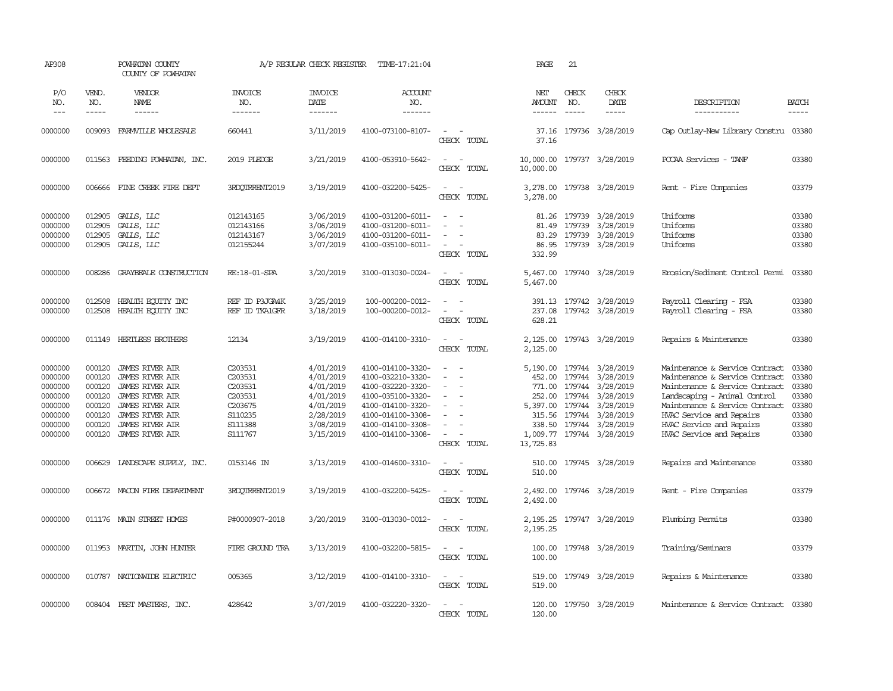| AP308                                                                                |                                                                              | POWHATAN COUNTY<br>COUNTY OF POWHATAN                                                                                                                                                                        |                                                                                      | A/P REGULAR CHECK REGISTER                                                                           | TIME-17:21:04                                                                                                                                                        |                                                                                                                     | PAGE                                                                    | 21                            |                                                                                                                                                                                |                                                                                                                                                                                                                                                                |                                                             |
|--------------------------------------------------------------------------------------|------------------------------------------------------------------------------|--------------------------------------------------------------------------------------------------------------------------------------------------------------------------------------------------------------|--------------------------------------------------------------------------------------|------------------------------------------------------------------------------------------------------|----------------------------------------------------------------------------------------------------------------------------------------------------------------------|---------------------------------------------------------------------------------------------------------------------|-------------------------------------------------------------------------|-------------------------------|--------------------------------------------------------------------------------------------------------------------------------------------------------------------------------|----------------------------------------------------------------------------------------------------------------------------------------------------------------------------------------------------------------------------------------------------------------|-------------------------------------------------------------|
| P/O<br>NO.<br>$---$                                                                  | VEND.<br>NO.<br>-----                                                        | <b>VENDOR</b><br>NAME<br>$- - - - - -$                                                                                                                                                                       | <b>INVOICE</b><br>NO.<br>-------                                                     | <b>INVOICE</b><br>DATE<br>--------                                                                   | <b>ACCOUNT</b><br>NO.<br>-------                                                                                                                                     |                                                                                                                     | NET<br>AMOUNT<br>-------                                                | CHECK<br>NO.<br>$\frac{1}{2}$ | CHECK<br>DATE<br>$- - - - -$                                                                                                                                                   | DESCRIPTION<br>------------                                                                                                                                                                                                                                    | <b>BATCH</b><br>$- - - - -$                                 |
| 0000000                                                                              | 009093                                                                       | FARMVILLE WHOLESALE                                                                                                                                                                                          | 660441                                                                               | 3/11/2019                                                                                            | 4100-073100-8107-                                                                                                                                                    | $\sim$<br>$\sim$<br>CHECK TOTAL                                                                                     | 37.16<br>37.16                                                          |                               | 179736 3/28/2019                                                                                                                                                               | Cap Outlay-New Library Constru 03380                                                                                                                                                                                                                           |                                                             |
| 0000000                                                                              |                                                                              | 011563 FEEDING POWHATAN, INC.                                                                                                                                                                                | 2019 PLEDGE                                                                          | 3/21/2019                                                                                            | 4100-053910-5642-                                                                                                                                                    | $\sim$<br>$\sim$<br>CHECK TOTAL                                                                                     | 10,000.00<br>10,000.00                                                  |                               | 179737 3/28/2019                                                                                                                                                               | POCAA Services - TANF                                                                                                                                                                                                                                          | 03380                                                       |
| 0000000                                                                              | 006666                                                                       | FINE CREEK FIRE DEPT                                                                                                                                                                                         | 3RDQTRRENT2019                                                                       | 3/19/2019                                                                                            | 4100-032200-5425-                                                                                                                                                    | $\omega_{\rm{max}}$ and $\omega_{\rm{max}}$<br>CHECK TOTAL                                                          | 3,278.00<br>3,278.00                                                    |                               | 179738 3/28/2019                                                                                                                                                               | Rent - Fire Companies                                                                                                                                                                                                                                          | 03379                                                       |
| 0000000<br>0000000<br>0000000<br>0000000                                             | 012905<br>012905<br>012905<br>012905                                         | GALLS, LLC<br>GALLS, LLC<br>GALLS, LLC<br>GALLS, LLC                                                                                                                                                         | 012143165<br>012143166<br>012143167<br>012155244                                     | 3/06/2019<br>3/06/2019<br>3/06/2019<br>3/07/2019                                                     | 4100-031200-6011-<br>4100-031200-6011-<br>4100-031200-6011-<br>4100-035100-6011-                                                                                     | $\equiv$<br>$\equiv$<br>$\sim$<br>CHECK TOTAL                                                                       | 81.49<br>83.29<br>86.95<br>332.99                                       | 179739<br>179739              | 81.26 179739 3/28/2019<br>3/28/2019<br>3/28/2019<br>179739 3/28/2019                                                                                                           | Uniforms<br>Uniforms<br>Uniforms<br>Uniforms                                                                                                                                                                                                                   | 03380<br>03380<br>03380<br>03380                            |
| 0000000                                                                              | 008286                                                                       | GRAYBEALE CONSTRUCTION                                                                                                                                                                                       | RE: 18-01-SPA                                                                        | 3/20/2019                                                                                            | 3100-013030-0024-                                                                                                                                                    | $\sim$<br>$\sim$<br>CHECK TOTAL                                                                                     | 5,467.00<br>5,467.00                                                    |                               | 179740 3/28/2019                                                                                                                                                               | Enosion/Sediment Control Permi                                                                                                                                                                                                                                 | 03380                                                       |
| 0000000<br>0000000                                                                   | 012508<br>012508                                                             | HEALTH EQUITY INC<br>HEALTH ECUTTY INC                                                                                                                                                                       | REF ID P3JGA4K<br>REF ID TKA1GFR                                                     | 3/25/2019<br>3/18/2019                                                                               | 100-000200-0012-<br>100-000200-0012-                                                                                                                                 | $\equiv$<br>$\sim$<br>$\sim$<br>CHECK TOTAL                                                                         | 237.08<br>628.21                                                        |                               | 391.13 179742 3/28/2019<br>179742 3/28/2019                                                                                                                                    | Payroll Clearing - FSA<br>Payroll Clearing - FSA                                                                                                                                                                                                               | 03380<br>03380                                              |
| 0000000                                                                              |                                                                              | 011149 HERTLESS BROTHERS                                                                                                                                                                                     | 12134                                                                                | 3/19/2019                                                                                            | 4100-014100-3310-                                                                                                                                                    | $\sim$<br>$\sim$ $-$<br>CHECK TOTAL                                                                                 | 2,125.00<br>2,125.00                                                    |                               | 179743 3/28/2019                                                                                                                                                               | Repairs & Maintenance                                                                                                                                                                                                                                          | 03380                                                       |
| 0000000<br>0000000<br>0000000<br>0000000<br>0000000<br>0000000<br>0000000<br>0000000 | 000120<br>000120<br>000120<br>000120<br>000120<br>000120<br>000120<br>000120 | <b>JAMES RIVER AIR</b><br><b>JAMES RIVER AIR</b><br><b>JAMES RIVER AIR</b><br><b>JAMES RIVER AIR</b><br><b>JAMES RIVER AIR</b><br><b>JAMES RIVER AIR</b><br><b>JAMES RIVER AIR</b><br><b>JAMES RIVER AIR</b> | C203531<br>C203531<br>C203531<br>C203531<br>C203675<br>S110235<br>S111388<br>S111767 | 4/01/2019<br>4/01/2019<br>4/01/2019<br>4/01/2019<br>4/01/2019<br>2/28/2019<br>3/08/2019<br>3/15/2019 | 4100-014100-3320-<br>4100-032210-3320-<br>4100-032220-3320-<br>4100-035100-3320-<br>4100-014100-3320-<br>4100-014100-3308-<br>4100-014100-3308-<br>4100-014100-3308- | $\sim$<br>$\equiv$<br>$\sim$<br>$\sim$<br>$\sim$<br>$\equiv$<br>$\equiv$<br>$\overline{\phantom{a}}$<br>CHECK TOTAL | 452.00<br>771.00<br>252.00<br>5,397.00<br>315.56<br>338.50<br>13,725.83 |                               | 5,190.00 179744 3/28/2019<br>179744 3/28/2019<br>179744 3/28/2019<br>179744 3/28/2019<br>179744 3/28/2019<br>179744 3/28/2019<br>179744 3/28/2019<br>1,009.77 179744 3/28/2019 | Maintenance & Service Contract<br>Maintenance & Service Contract<br>Maintenance & Service Contract 03380<br>Landscaping - Animal Control<br>Maintenance & Service Contract<br>HVAC Service and Repairs<br>HVAC Service and Repairs<br>HVAC Service and Repairs | 03380<br>03380<br>03380<br>03380<br>03380<br>03380<br>03380 |
| 0000000                                                                              | 006629                                                                       | LANDSCAPE SUPPLY, INC.                                                                                                                                                                                       | 0153146 IN                                                                           | 3/13/2019                                                                                            | 4100-014600-3310-                                                                                                                                                    | $\overline{\phantom{a}}$<br>$\sim$<br>CHECK TOTAL                                                                   | 510.00<br>510.00                                                        |                               | 179745 3/28/2019                                                                                                                                                               | Repairs and Maintenance                                                                                                                                                                                                                                        | 03380                                                       |
| 0000000                                                                              |                                                                              | 006672 MACON FIRE DEPARIMENT                                                                                                                                                                                 | 3RDOTRRENT2019                                                                       | 3/19/2019                                                                                            | 4100-032200-5425-                                                                                                                                                    | CHECK TOTAL                                                                                                         | 2,492.00<br>2,492.00                                                    |                               | 179746 3/28/2019                                                                                                                                                               | Rent - Fire Companies                                                                                                                                                                                                                                          | 03379                                                       |
| 0000000                                                                              |                                                                              | 011176 MAIN STREET HOMES                                                                                                                                                                                     | P#0000907-2018                                                                       | 3/20/2019                                                                                            | 3100-013030-0012-                                                                                                                                                    | $\sim$<br>CHECK TOTAL                                                                                               | 2,195.25<br>2,195.25                                                    |                               | 179747 3/28/2019                                                                                                                                                               | Plumbing Permits                                                                                                                                                                                                                                               | 03380                                                       |
| 0000000                                                                              |                                                                              | 011953 MARTIN, JOHN HUNTER                                                                                                                                                                                   | FIRE GROUND TRA                                                                      | 3/13/2019                                                                                            | 4100-032200-5815-                                                                                                                                                    | $\overline{\phantom{a}}$<br>CHECK TOTAL                                                                             | 100.00<br>100.00                                                        |                               | 179748 3/28/2019                                                                                                                                                               | Training/Seminars                                                                                                                                                                                                                                              | 03379                                                       |
| 0000000                                                                              |                                                                              | 010787 NATIONWIDE ELECTRIC                                                                                                                                                                                   | 005365                                                                               | 3/12/2019                                                                                            | 4100-014100-3310-                                                                                                                                                    | $\sim$<br>$\sim$<br>CHECK TOTAL                                                                                     | 519.00<br>519.00                                                        |                               | 179749 3/28/2019                                                                                                                                                               | Repairs & Maintenance                                                                                                                                                                                                                                          | 03380                                                       |
| 0000000                                                                              |                                                                              | 008404 PEST MASTERS, INC.                                                                                                                                                                                    | 428642                                                                               | 3/07/2019                                                                                            | 4100-032220-3320-                                                                                                                                                    | $\sim$<br>$\sim$<br>CHECK<br><b>TOTAL</b>                                                                           | 120.00                                                                  |                               | 120.00 179750 3/28/2019                                                                                                                                                        | Maintenance & Service Contract 03380                                                                                                                                                                                                                           |                                                             |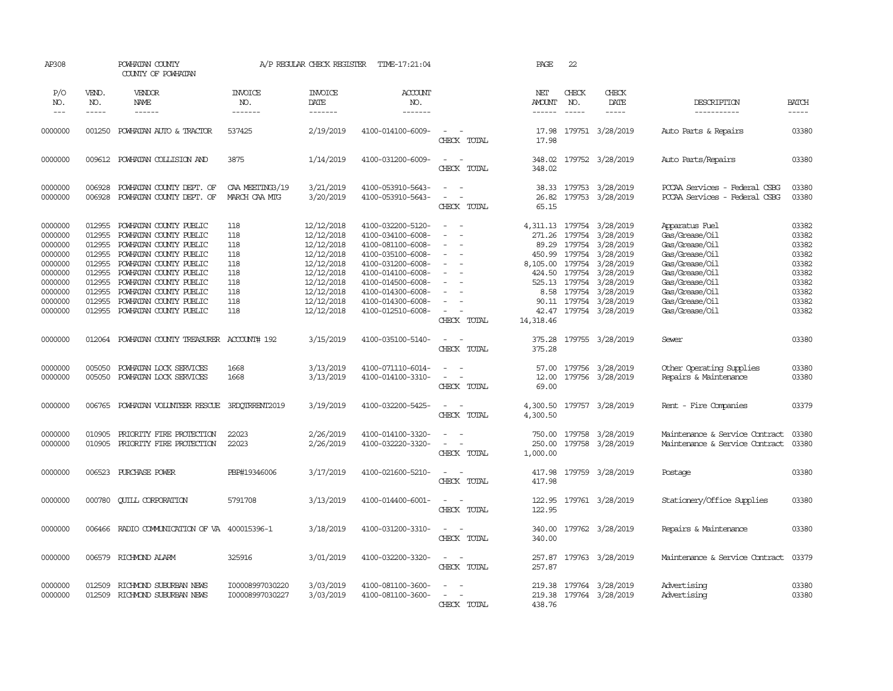| AP308                                                                                                      |                                                                                                  | POWHATAN COUNTY<br>COUNTY OF POWHATAN                                                                                                                                                                                                                            |                                                                    | A/P REGULAR CHECK REGISTER                                                                                                               | TIME-17:21:04                                                                                                                                                                                                  |                                                                                                               | PAGE                                                                            | 22                                                       |                                                                                                                                                                                |                                                                                                                                                                                  |                                                                                        |
|------------------------------------------------------------------------------------------------------------|--------------------------------------------------------------------------------------------------|------------------------------------------------------------------------------------------------------------------------------------------------------------------------------------------------------------------------------------------------------------------|--------------------------------------------------------------------|------------------------------------------------------------------------------------------------------------------------------------------|----------------------------------------------------------------------------------------------------------------------------------------------------------------------------------------------------------------|---------------------------------------------------------------------------------------------------------------|---------------------------------------------------------------------------------|----------------------------------------------------------|--------------------------------------------------------------------------------------------------------------------------------------------------------------------------------|----------------------------------------------------------------------------------------------------------------------------------------------------------------------------------|----------------------------------------------------------------------------------------|
| P/O<br>NO.<br>$\frac{1}{2}$                                                                                | VEND.<br>NO.<br>$- - - - -$                                                                      | VENDOR<br><b>NAME</b><br>------                                                                                                                                                                                                                                  | <b>INVOICE</b><br>NO.<br>-------                                   | <b>INVOICE</b><br>DATE<br>-------                                                                                                        | ACCOUNT<br>NO.<br>--------                                                                                                                                                                                     |                                                                                                               | NET<br><b>AMOUNT</b><br>$- - - - - -$                                           | CHECK<br>NO.<br>$\frac{1}{2}$                            | CHECK<br>DATE<br>$- - - - -$                                                                                                                                                   | DESCRIPTION<br>-----------                                                                                                                                                       | <b>BATCH</b><br>-----                                                                  |
| 0000000                                                                                                    | 001250                                                                                           | POWHATAN AUTO & TRACTOR                                                                                                                                                                                                                                          | 537425                                                             | 2/19/2019                                                                                                                                | 4100-014100-6009-                                                                                                                                                                                              | $\sim$<br>CHECK TOTAL                                                                                         | 17.98<br>17.98                                                                  |                                                          | 179751 3/28/2019                                                                                                                                                               | Auto Parts & Repairs                                                                                                                                                             | 03380                                                                                  |
| 0000000                                                                                                    | 009612                                                                                           | POWHATAN COLLISION AND                                                                                                                                                                                                                                           | 3875                                                               | 1/14/2019                                                                                                                                | 4100-031200-6009-                                                                                                                                                                                              | $\sim$<br>$\sim$<br>CHECK TOTAL                                                                               | 348.02<br>348.02                                                                |                                                          | 179752 3/28/2019                                                                                                                                                               | Auto Parts/Repairs                                                                                                                                                               | 03380                                                                                  |
| 0000000<br>0000000                                                                                         | 006928<br>006928                                                                                 | POWHATAN COUNTY DEPT. OF<br>POWHATAN COUNTY DEPT. OF                                                                                                                                                                                                             | CAA MEETING3/19<br>MARCH CAA MTG                                   | 3/21/2019<br>3/20/2019                                                                                                                   | 4100-053910-5643-<br>4100-053910-5643-                                                                                                                                                                         | $\sim$<br>$\overline{\phantom{a}}$<br>$\sim$<br>$\overline{\phantom{a}}$<br>CHECK TOTAL                       | 38.33<br>26.82<br>65.15                                                         |                                                          | 179753 3/28/2019<br>179753 3/28/2019                                                                                                                                           | PCCAA Services - Federal CSBG<br>PCCAA Services - Federal CSBG                                                                                                                   | 03380<br>03380                                                                         |
| 0000000<br>0000000<br>0000000<br>0000000<br>0000000<br>0000000<br>0000000<br>0000000<br>0000000<br>0000000 | 012955<br>012955<br>012955<br>012955<br>012955<br>012955<br>012955<br>012955<br>012955<br>012955 | POWHATAN COUNTY PUBLIC<br>POWHATAN COUNTY PUBLIC<br>POWHATAN COUNTY PUBLIC<br>POWHATAN COUNTY PUBLIC<br>POWHATAN COUNTY PUBLIC<br>POWHATAN COUNTY PUBLIC<br>POWHATAN COUNTY PUBLIC<br>POWHATAN COUNTY PUBLIC<br>POWHATAN COUNTY PUBLIC<br>POWHATAN COUNTY PUBLIC | 118<br>118<br>118<br>118<br>118<br>118<br>118<br>118<br>118<br>118 | 12/12/2018<br>12/12/2018<br>12/12/2018<br>12/12/2018<br>12/12/2018<br>12/12/2018<br>12/12/2018<br>12/12/2018<br>12/12/2018<br>12/12/2018 | 4100-032200-5120-<br>4100-034100-6008-<br>4100-081100-6008-<br>4100-035100-6008-<br>4100-031200-6008-<br>4100-014100-6008-<br>4100-014500-6008-<br>4100-014300-6008-<br>4100-014300-6008-<br>4100-012510-6008- | $\sim$<br>- 11<br>$\sim$<br>$\sim$<br>$\overline{a}$<br>$\equiv$<br>$\sim$<br>$\sim$<br>$\sim$<br>CHECK TOTAL | 271.26<br>89.29<br>450.99<br>8,105.00<br>424.50<br>525.13<br>42.47<br>14,318.46 | 179754<br>179754<br>179754<br>179754<br>179754<br>179754 | 4,311.13 179754 3/28/2019<br>3/28/2019<br>3/28/2019<br>3/28/2019<br>3/28/2019<br>3/28/2019<br>3/28/2019<br>8.58 179754 3/28/2019<br>90.11 179754 3/28/2019<br>179754 3/28/2019 | Apparatus Fuel<br>Gas/Grease/Oil<br>Gas/Grease/Oil<br>Gas/Grease/Oil<br>Gas/Grease/Oil<br>Gas/Grease/Oil<br>Gas/Grease/Oil<br>Gas/Grease/Oil<br>Gas/Grease/Oil<br>Gas/Grease/Oil | 03382<br>03382<br>03382<br>03382<br>03382<br>03382<br>03382<br>03382<br>03382<br>03382 |
| 0000000                                                                                                    | 012064                                                                                           | POWHATAN COUNTY TREASURER ACCOUNT# 192                                                                                                                                                                                                                           |                                                                    | 3/15/2019                                                                                                                                | 4100-035100-5140-                                                                                                                                                                                              | $\sim$<br>$\overline{a}$<br>CHECK TOTAL                                                                       | 375.28<br>375.28                                                                |                                                          | 179755 3/28/2019                                                                                                                                                               | Sewer                                                                                                                                                                            | 03380                                                                                  |
| 0000000<br>0000000                                                                                         | 005050<br>005050                                                                                 | POWHATAN LOCK SERVICES<br>POWHATAN LOCK SERVICES                                                                                                                                                                                                                 | 1668<br>1668                                                       | 3/13/2019<br>3/13/2019                                                                                                                   | 4100-071110-6014-<br>4100-014100-3310-                                                                                                                                                                         | $\sim$<br>$\sim$<br>$\sim$<br>$\sim$<br>CHECK TOTAL                                                           | 57.00<br>12.00<br>69.00                                                         |                                                          | 179756 3/28/2019<br>179756 3/28/2019                                                                                                                                           | Other Operating Supplies<br>Repairs & Maintenance                                                                                                                                | 03380<br>03380                                                                         |
| 0000000                                                                                                    | 006765                                                                                           | POWHATAN VOLUNTEER RESCUE                                                                                                                                                                                                                                        | 3RDOTRRENT2019                                                     | 3/19/2019                                                                                                                                | 4100-032200-5425-                                                                                                                                                                                              | $\sim$<br>$\sim$<br>CHECK TOTAL                                                                               | 4,300.50<br>4,300.50                                                            |                                                          | 179757 3/28/2019                                                                                                                                                               | Rent - Fire Companies                                                                                                                                                            | 03379                                                                                  |
| 0000000<br>0000000                                                                                         | 010905<br>010905                                                                                 | PRIORITY FIRE PROTECTION<br>PRIORITY FIRE PROTECTION                                                                                                                                                                                                             | 22023<br>22023                                                     | 2/26/2019<br>2/26/2019                                                                                                                   | 4100-014100-3320-<br>4100-032220-3320-                                                                                                                                                                         | $\overline{\phantom{a}}$<br>$\equiv$<br>CHECK TOTAL                                                           | 750.00<br>250.00<br>1,000.00                                                    | 179758<br>179758                                         | 3/28/2019<br>3/28/2019                                                                                                                                                         | Maintenance & Service Contract<br>Maintenance & Service Contract                                                                                                                 | 03380<br>03380                                                                         |
| 0000000                                                                                                    | 006523                                                                                           | PURCHASE POWER                                                                                                                                                                                                                                                   | PBP#19346006                                                       | 3/17/2019                                                                                                                                | 4100-021600-5210-                                                                                                                                                                                              | $\sim$<br>$\sim$<br>CHECK TOTAL                                                                               | 417.98<br>417.98                                                                |                                                          | 179759 3/28/2019                                                                                                                                                               | Postage                                                                                                                                                                          | 03380                                                                                  |
| 0000000                                                                                                    | 000780                                                                                           | <b>QUILL CORPORATION</b>                                                                                                                                                                                                                                         | 5791708                                                            | 3/13/2019                                                                                                                                | 4100-014400-6001-                                                                                                                                                                                              | $\sim$<br>- -<br>CHECK TOTAL                                                                                  | 122.95<br>122.95                                                                |                                                          | 179761 3/28/2019                                                                                                                                                               | Stationery/Office Supplies                                                                                                                                                       | 03380                                                                                  |
| 0000000                                                                                                    |                                                                                                  | 006466 RADIO COMMUNICATION OF VA 400015396-1                                                                                                                                                                                                                     |                                                                    | 3/18/2019                                                                                                                                | 4100-031200-3310-                                                                                                                                                                                              | $\sim$<br>$\sim$<br>CHECK TOTAL                                                                               | 340.00<br>340.00                                                                |                                                          | 179762 3/28/2019                                                                                                                                                               | Repairs & Maintenance                                                                                                                                                            | 03380                                                                                  |
| 0000000                                                                                                    |                                                                                                  | 006579 RICHMOND ALARM                                                                                                                                                                                                                                            | 325916                                                             | 3/01/2019                                                                                                                                | 4100-032200-3320-                                                                                                                                                                                              | $\sim$ $\sim$<br>CHECK TOTAL                                                                                  | 257.87<br>257.87                                                                |                                                          | 179763 3/28/2019                                                                                                                                                               | Maintenance & Service Contract                                                                                                                                                   | 03379                                                                                  |
| 0000000<br>0000000                                                                                         | 012509<br>012509                                                                                 | RICHMOND SUBURBAN NEWS<br>RICHMOND SUBURBAN NEWS                                                                                                                                                                                                                 | I00008997030220<br>I00008997030227                                 | 3/03/2019<br>3/03/2019                                                                                                                   | 4100-081100-3600-<br>4100-081100-3600-                                                                                                                                                                         | $\overline{\phantom{a}}$<br>$\sim$<br>$\sim$<br>CHECK TOTAL                                                   | 219.38<br>219.38<br>438.76                                                      |                                                          | 179764 3/28/2019<br>179764 3/28/2019                                                                                                                                           | Advertising<br>Advertising                                                                                                                                                       | 03380<br>03380                                                                         |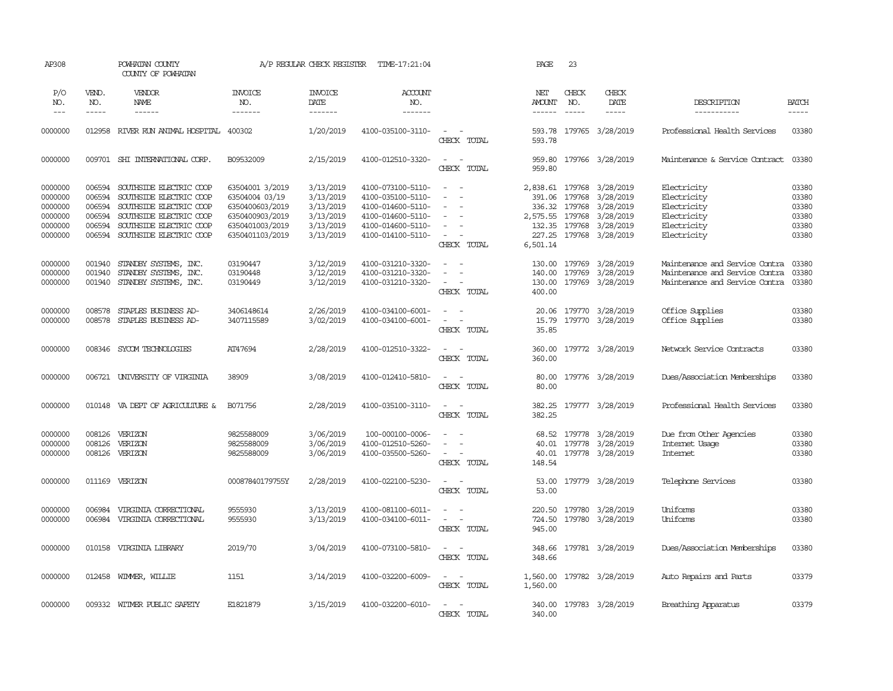| AP308                                                          |                                                          | POWHATAN COUNTY<br>COUNTY OF POWHATAN                                                                                                                          |                                                                                                               | A/P REGULAR CHECK REGISTER                                                 | TIME-17:21:04                                                                                                              |                                                                                                                                   | PAGE                                               | 23                                                                                                                                                                                                                                                                                                                                                                                                                                                                                         |                                                                                            |                                                                                                    |                                                    |
|----------------------------------------------------------------|----------------------------------------------------------|----------------------------------------------------------------------------------------------------------------------------------------------------------------|---------------------------------------------------------------------------------------------------------------|----------------------------------------------------------------------------|----------------------------------------------------------------------------------------------------------------------------|-----------------------------------------------------------------------------------------------------------------------------------|----------------------------------------------------|--------------------------------------------------------------------------------------------------------------------------------------------------------------------------------------------------------------------------------------------------------------------------------------------------------------------------------------------------------------------------------------------------------------------------------------------------------------------------------------------|--------------------------------------------------------------------------------------------|----------------------------------------------------------------------------------------------------|----------------------------------------------------|
| P/O<br>NO.<br>$---$                                            | VEND.<br>NO.<br>-----                                    | VENDOR<br>NAME                                                                                                                                                 | INVOICE<br>NO.<br>-------                                                                                     | <b>INVOICE</b><br>DATE<br>-------                                          | ACCOUNT<br>NO.<br>-------                                                                                                  |                                                                                                                                   | NET<br>AMOUNT<br>------                            | CHECK<br>NO.<br>$\frac{1}{2} \left( \frac{1}{2} \right) \left( \frac{1}{2} \right) \left( \frac{1}{2} \right) \left( \frac{1}{2} \right) \left( \frac{1}{2} \right) \left( \frac{1}{2} \right) \left( \frac{1}{2} \right) \left( \frac{1}{2} \right) \left( \frac{1}{2} \right) \left( \frac{1}{2} \right) \left( \frac{1}{2} \right) \left( \frac{1}{2} \right) \left( \frac{1}{2} \right) \left( \frac{1}{2} \right) \left( \frac{1}{2} \right) \left( \frac{1}{2} \right) \left( \frac$ | CHECK<br>DATE<br>$- - - - -$                                                               | DESCRIPTION<br>-----------                                                                         | BATCH<br>-----                                     |
| 0000000                                                        | 012958                                                   | RIVER RUN ANIMAL HOSPITAL                                                                                                                                      | 400302                                                                                                        | 1/20/2019                                                                  | 4100-035100-3110-                                                                                                          | $\sim$<br>$\sim$<br>CHECK TOTAL                                                                                                   | 593.78<br>593.78                                   |                                                                                                                                                                                                                                                                                                                                                                                                                                                                                            | 179765 3/28/2019                                                                           | Professional Health Services                                                                       | 03380                                              |
| 0000000                                                        |                                                          | 009701 SHI INTERNATIONAL CORP.                                                                                                                                 | B09532009                                                                                                     | 2/15/2019                                                                  | 4100-012510-3320-                                                                                                          | $\sim$<br>$\sim$<br>CHECK TOTAL                                                                                                   | 959.80<br>959.80                                   |                                                                                                                                                                                                                                                                                                                                                                                                                                                                                            | 179766 3/28/2019                                                                           | Maintenance & Service Contract                                                                     | 03380                                              |
| 0000000<br>0000000<br>0000000<br>0000000<br>0000000<br>0000000 | 006594<br>006594<br>006594<br>006594<br>006594<br>006594 | SOUTHSIDE ELECTRIC COOP<br>SOUTHSIDE ELECTRIC COOP<br>SOUTHSIDE ELECTRIC COOP<br>SOUTHSIDE ELECTRIC COOP<br>SOUTHSIDE ELECTRIC COOP<br>SOUTHSIDE ELECTRIC COOP | 63504001 3/2019<br>63504004 03/19<br>6350400603/2019<br>6350400903/2019<br>6350401003/2019<br>6350401103/2019 | 3/13/2019<br>3/13/2019<br>3/13/2019<br>3/13/2019<br>3/13/2019<br>3/13/2019 | 4100-073100-5110-<br>4100-035100-5110-<br>4100-014600-5110-<br>4100-014600-5110-<br>4100-014600-5110-<br>4100-014100-5110- | $\sim$<br>$\sim$<br>$\overline{\phantom{a}}$<br>$\sim$<br>$\sim$<br>$\equiv$<br>$\overline{\phantom{a}}$<br>$\sim$<br>CHECK TOTAL | 391.06<br>336.32<br>2,575.55<br>227.25<br>6,501.14 | 179768<br>179768<br>179768<br>132.35 179768<br>179768                                                                                                                                                                                                                                                                                                                                                                                                                                      | 2,838.61 179768 3/28/2019<br>3/28/2019<br>3/28/2019<br>3/28/2019<br>3/28/2019<br>3/28/2019 | Electricity<br>Electricity<br>Electricity<br>Electricity<br>Electricity<br>Electricity             | 03380<br>03380<br>03380<br>03380<br>03380<br>03380 |
| 0000000<br>0000000<br>0000000                                  | 001940<br>001940<br>001940                               | STANDBY SYSTEMS, INC.<br>STANDBY SYSTEMS, INC.<br>STANDBY SYSTEMS, INC.                                                                                        | 03190447<br>03190448<br>03190449                                                                              | 3/12/2019<br>3/12/2019<br>3/12/2019                                        | 4100-031210-3320-<br>4100-031210-3320-<br>4100-031210-3320-                                                                | $\sim$<br>$\sim$<br>$\sim$<br>$\sim$<br>$\sim$<br>CHECK TOTAL                                                                     | 140.00<br>130.00<br>400.00                         | 179769                                                                                                                                                                                                                                                                                                                                                                                                                                                                                     | 130.00 179769 3/28/2019<br>3/28/2019<br>179769 3/28/2019                                   | Maintenance and Service Contra<br>Maintenance and Service Contra<br>Maintenance and Service Contra | 03380<br>03380<br>03380                            |
| 0000000<br>0000000                                             | 008578<br>008578                                         | STAPLES BUSINESS AD-<br>STAPLES BUSINESS AD-                                                                                                                   | 3406148614<br>3407115589                                                                                      | 2/26/2019<br>3/02/2019                                                     | 4100-034100-6001-<br>4100-034100-6001-                                                                                     | $\sim$<br>$\sim$<br>$\sim$<br>$\sim$ $-$<br>CHECK TOTAL                                                                           | 20.06<br>15.79<br>35.85                            |                                                                                                                                                                                                                                                                                                                                                                                                                                                                                            | 179770 3/28/2019<br>179770 3/28/2019                                                       | Office Supplies<br>Office Supplies                                                                 | 03380<br>03380                                     |
| 0000000                                                        | 008346                                                   | SYCOM TECHNOLOGIES                                                                                                                                             | AT47694                                                                                                       | 2/28/2019                                                                  | 4100-012510-3322-                                                                                                          | $\sim$<br>$\sim$<br>CHECK TOTAL                                                                                                   | 360.00<br>360.00                                   |                                                                                                                                                                                                                                                                                                                                                                                                                                                                                            | 179772 3/28/2019                                                                           | Network Service Contracts                                                                          | 03380                                              |
| 0000000                                                        | 006721                                                   | UNIVERSITY OF VIRGINIA                                                                                                                                         | 38909                                                                                                         | 3/08/2019                                                                  | 4100-012410-5810-                                                                                                          | $\sim$<br>$\sim$<br>CHECK TOTAL                                                                                                   | 80.00<br>80.00                                     |                                                                                                                                                                                                                                                                                                                                                                                                                                                                                            | 179776 3/28/2019                                                                           | Dues/Association Memberships                                                                       | 03380                                              |
| 0000000                                                        |                                                          | 010148 VA DEPT OF AGRICULTURE &                                                                                                                                | B071756                                                                                                       | 2/28/2019                                                                  | 4100-035100-3110-                                                                                                          | $\sim$ $ \sim$<br>CHECK TOTAL                                                                                                     | 382.25<br>382.25                                   |                                                                                                                                                                                                                                                                                                                                                                                                                                                                                            | 179777 3/28/2019                                                                           | Professional Health Services                                                                       | 03380                                              |
| 0000000<br>0000000<br>0000000                                  | 008126<br>008126<br>008126                               | VERIZON<br>VERIZON<br>VERIZON                                                                                                                                  | 9825588009<br>9825588009<br>9825588009                                                                        | 3/06/2019<br>3/06/2019<br>3/06/2019                                        | 100-000100-0006-<br>4100-012510-5260-<br>4100-035500-5260-                                                                 | $\overline{\phantom{a}}$<br>$\overline{\phantom{a}}$<br>$\sim$<br>$\sim$<br>$\sim$<br>CHECK TOTAL                                 | 68.52<br>40.01<br>40.01<br>148.54                  |                                                                                                                                                                                                                                                                                                                                                                                                                                                                                            | 179778 3/28/2019<br>179778 3/28/2019<br>179778 3/28/2019                                   | Due from Other Agencies<br>Internet Usage<br><b>Internet</b>                                       | 03380<br>03380<br>03380                            |
| 0000000                                                        | 011169                                                   | VERIZON                                                                                                                                                        | 00087840179755Y                                                                                               | 2/28/2019                                                                  | 4100-022100-5230-                                                                                                          | $\sim$<br>$\sim$<br>CHECK TOTAL                                                                                                   | 53.00<br>53.00                                     |                                                                                                                                                                                                                                                                                                                                                                                                                                                                                            | 179779 3/28/2019                                                                           | Telephone Services                                                                                 | 03380                                              |
| 0000000<br>0000000                                             | 006984<br>006984                                         | VIRGINIA CORRECTIONAL<br>VIRGINIA CORRECTIONAL                                                                                                                 | 9555930<br>9555930                                                                                            | 3/13/2019<br>3/13/2019                                                     | 4100-081100-6011-<br>4100-034100-6011-                                                                                     | $\overline{\phantom{a}}$<br>$\overline{\phantom{a}}$<br>$\overline{\phantom{a}}$<br>$\sim$<br>CHECK TOTAL                         | 220.50<br>724.50<br>945.00                         | 179780<br>179780                                                                                                                                                                                                                                                                                                                                                                                                                                                                           | 3/28/2019<br>3/28/2019                                                                     | Uniforms<br>Uniforms                                                                               | 03380<br>03380                                     |
| 0000000                                                        | 010158                                                   | VIRGINIA LIBRARY                                                                                                                                               | 2019/70                                                                                                       | 3/04/2019                                                                  | 4100-073100-5810-                                                                                                          | $\sim$<br>$\sim$<br>CHECK TOTAL                                                                                                   | 348.66<br>348.66                                   |                                                                                                                                                                                                                                                                                                                                                                                                                                                                                            | 179781 3/28/2019                                                                           | Dues/Association Memberships                                                                       | 03380                                              |
| 0000000                                                        |                                                          | 012458 WIMMER, WILLIE                                                                                                                                          | 1151                                                                                                          | 3/14/2019                                                                  | 4100-032200-6009-                                                                                                          | $\sim$<br>$\sim$<br>CHECK TOTAL                                                                                                   | 1,560.00<br>1,560.00                               |                                                                                                                                                                                                                                                                                                                                                                                                                                                                                            | 179782 3/28/2019                                                                           | Auto Repairs and Parts                                                                             | 03379                                              |
| 0000000                                                        |                                                          | 009332 WITMER PUBLIC SAFETY                                                                                                                                    | E1821879                                                                                                      | 3/15/2019                                                                  | 4100-032200-6010-                                                                                                          | $\sim$<br>$\sim$<br><b>CHECK</b><br>TOTAL                                                                                         | 340.00                                             |                                                                                                                                                                                                                                                                                                                                                                                                                                                                                            | 340.00 179783 3/28/2019                                                                    | Breathing Apparatus                                                                                | 03379                                              |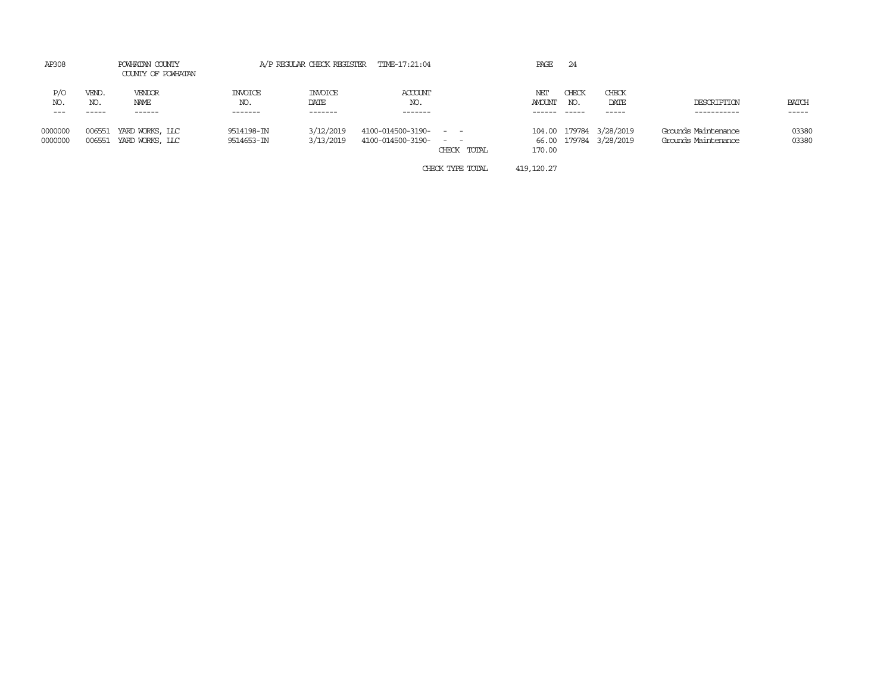| AP308               |                  | POWHATAN COUNTY<br>COUNTY OF POWHATAN |                                   |                                    | A/P REGULAR CHECK REGISTER TIME-17:21:04 |                                      | PAGE                 | 24           |                                             |                                            |                       |
|---------------------|------------------|---------------------------------------|-----------------------------------|------------------------------------|------------------------------------------|--------------------------------------|----------------------|--------------|---------------------------------------------|--------------------------------------------|-----------------------|
| P/O<br>NO.<br>$---$ | VEND.<br>NO.     | VENDOR<br>NAME<br>------              | <b>INVOICE</b><br>NO.<br>-------- | <b>INVOICE</b><br>DATE<br>-------- | ACCOUNT<br>NO.<br>-------                |                                      | NET<br><b>AMOUNT</b> | CHECK<br>NO. | CHECK<br>DATE<br>------                     | DESCRIPTION<br>-----------                 | <b>BATCH</b><br>----- |
| 0000000<br>0000000  | 006551<br>006551 | YARD WORKS, LLC<br>YARD WORKS, LLC    | 9514198-IN<br>9514653-IN          | 3/12/2019<br>3/13/2019             | 4100-014500-3190-<br>4100-014500-3190-   | $ -$<br>$\sim$ $\sim$<br>CHECK TOTAL | 66.00<br>170.00      |              | 104.00 179784 3/28/2019<br>179784 3/28/2019 | Grounds Maintenance<br>Grounds Maintenance | 03380<br>03380        |

CHECK TYPE TOTAL 419,120.27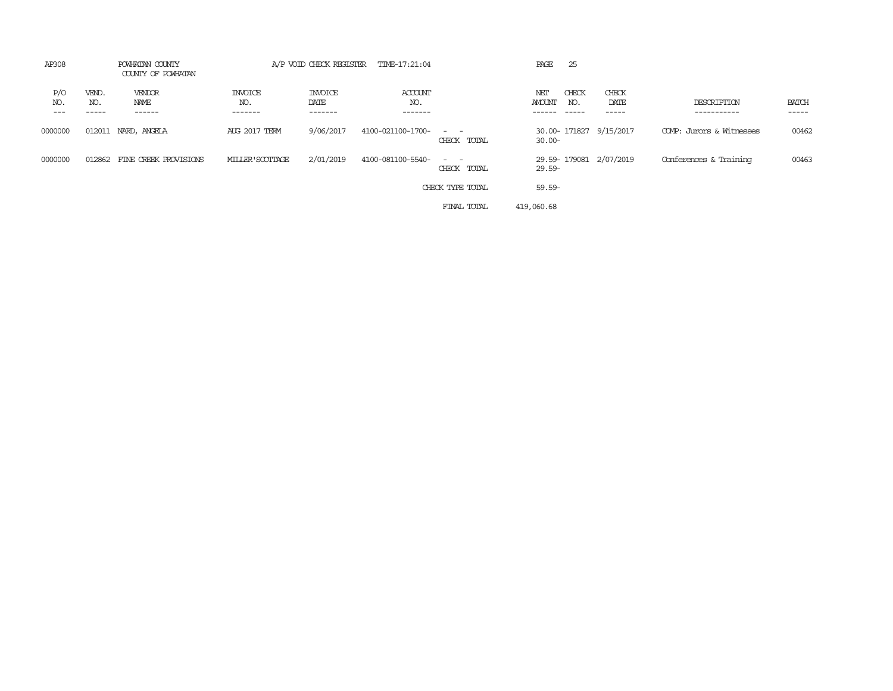| AP308                 |                       | POWHATAN COUNTY<br>COUNTY OF POWHATAN |                                  |                                   | A/P VOID CHECK REGISTER TIME-17:21:04 |                                                                                                                                          | PAGE<br>25                                                    |                        |                            |                       |
|-----------------------|-----------------------|---------------------------------------|----------------------------------|-----------------------------------|---------------------------------------|------------------------------------------------------------------------------------------------------------------------------------------|---------------------------------------------------------------|------------------------|----------------------------|-----------------------|
| P/O<br>NO.<br>$- - -$ | VEND.<br>NO.<br>----- | VENDOR<br>NAME<br>------              | <b>INVOICE</b><br>NO.<br>------- | <b>INVOICE</b><br>DATE<br>------- | ACCOUNT<br>NO.<br>-------             |                                                                                                                                          | CHECK<br>NET<br><b>AMOUNT</b><br>NO.<br>$- - - - -$<br>------ | CHECK<br>DATE<br>----- | DESCRIPTION<br>----------- | <b>BATCH</b><br>----- |
| 0000000               |                       | 012011 NARD, ANGELA                   | <b>AUG 2017 TERM</b>             | 9/06/2017                         | 4100-021100-1700-                     | $\frac{1}{2} \left( \frac{1}{2} \right) \left( \frac{1}{2} \right) \left( \frac{1}{2} \right) \left( \frac{1}{2} \right)$<br>CHECK TOTAL | 30.00-171827 9/15/2017<br>$30.00 -$                           |                        | COMP: Jurors & Witnesses   | 00462                 |
| 0000000               | 012862                | FINE CREEK PROVISIONS                 | MILLER'SCOTTAGE                  | 2/01/2019                         | 4100-081100-5540-                     | $\frac{1}{2} \left( \frac{1}{2} \right) \left( \frac{1}{2} \right) = \frac{1}{2} \left( \frac{1}{2} \right)$<br>CHECK TOTAL              | 29.59-179081 2/07/2019<br>29.59-                              |                        | Conferences & Training     | 00463                 |
|                       |                       |                                       |                                  |                                   |                                       | CHECK TYPE TOTAL                                                                                                                         | 59.59-                                                        |                        |                            |                       |
|                       |                       |                                       |                                  |                                   |                                       | FINAL TOTAL                                                                                                                              | 419,060.68                                                    |                        |                            |                       |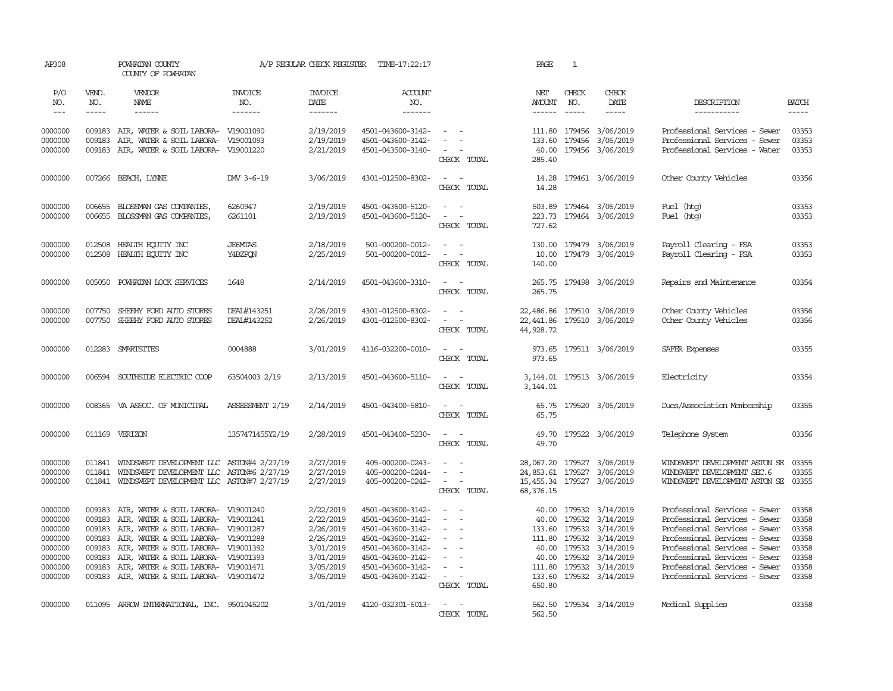| AP308                                                                                |                                                          | POWHATAN COUNTY<br>COUNTY OF POWHATAN                                                                                                                                                                                                                                                                                                                                                                                                                                                                    |                                          | A/P REGULAR CHECK REGISTER                                                                           | TIME-17:22:17                                                                                                                                                        |                                                                                                                                                                                        | PAGE                      | $\mathbf{1}$                  |                                                                                                                                                                          |                                                                                                                                                                                                                                                                      |                                                                      |
|--------------------------------------------------------------------------------------|----------------------------------------------------------|----------------------------------------------------------------------------------------------------------------------------------------------------------------------------------------------------------------------------------------------------------------------------------------------------------------------------------------------------------------------------------------------------------------------------------------------------------------------------------------------------------|------------------------------------------|------------------------------------------------------------------------------------------------------|----------------------------------------------------------------------------------------------------------------------------------------------------------------------|----------------------------------------------------------------------------------------------------------------------------------------------------------------------------------------|---------------------------|-------------------------------|--------------------------------------------------------------------------------------------------------------------------------------------------------------------------|----------------------------------------------------------------------------------------------------------------------------------------------------------------------------------------------------------------------------------------------------------------------|----------------------------------------------------------------------|
| P/O<br>NO.<br>$\sim$ $\sim$ $\sim$                                                   | VEND.<br>NO.<br>$- - - - -$                              | VENDOR<br>NAME<br>$\begin{array}{cccccccccc} \multicolumn{2}{c}{} & \multicolumn{2}{c}{} & \multicolumn{2}{c}{} & \multicolumn{2}{c}{} & \multicolumn{2}{c}{} & \multicolumn{2}{c}{} & \multicolumn{2}{c}{} & \multicolumn{2}{c}{} & \multicolumn{2}{c}{} & \multicolumn{2}{c}{} & \multicolumn{2}{c}{} & \multicolumn{2}{c}{} & \multicolumn{2}{c}{} & \multicolumn{2}{c}{} & \multicolumn{2}{c}{} & \multicolumn{2}{c}{} & \multicolumn{2}{c}{} & \multicolumn{2}{c}{} & \multicolumn{2}{c}{} & \mult$ | <b>INVOICE</b><br>NO.<br>$- - - - - - -$ | <b>INVOICE</b><br>DATE<br>-------                                                                    | <b>ACCOUNT</b><br>NO.<br>-------                                                                                                                                     |                                                                                                                                                                                        | NET<br>AMOUNT<br>------   | CHECK<br>NO.                  | CHECK<br>DATE<br>$\cdots \cdots \cdots$                                                                                                                                  | DESCRIPTION<br>-----------                                                                                                                                                                                                                                           | <b>BATCH</b><br>$- - - - -$                                          |
| 0000000<br>0000000<br>0000000                                                        | 009183                                                   | 009183 AIR, WATER & SOIL LABORA- V19001090<br>AIR, WATER & SOIL LABORA- V19001093<br>009183 AIR, WATER & SOIL LABORA- V19001220                                                                                                                                                                                                                                                                                                                                                                          |                                          | 2/19/2019<br>2/19/2019<br>2/21/2019                                                                  | 4501-043600-3142-<br>4501-043600-3142-<br>4501-043500-3140-                                                                                                          | $\sim$ $ \sim$<br>$\sim$<br>$\sim$ $  -$<br>CHECK TOTAL                                                                                                                                | 133.60<br>40.00<br>285.40 |                               | 111.80 179456 3/06/2019<br>179456 3/06/2019<br>179456 3/06/2019                                                                                                          | Professional Services - Sewer<br>Professional Services - Sewer<br>Professional Services - Water                                                                                                                                                                      | 03353<br>03353<br>03353                                              |
| 0000000                                                                              |                                                          | 007266 BEACH, LYNNE                                                                                                                                                                                                                                                                                                                                                                                                                                                                                      | DW 3-6-19                                | 3/06/2019                                                                                            | 4301-012500-8302-                                                                                                                                                    | $\sim$ $ -$<br>CHECK TOTAL                                                                                                                                                             | 14.28<br>14.28            |                               | 179461 3/06/2019                                                                                                                                                         | Other County Vehicles                                                                                                                                                                                                                                                | 03356                                                                |
| 0000000<br>0000000                                                                   | 006655<br>006655                                         | BLOSSMAN GAS COMPANIES,<br>BLOSSMAN GAS COMPANIES,                                                                                                                                                                                                                                                                                                                                                                                                                                                       | 6260947<br>6261101                       | 2/19/2019<br>2/19/2019                                                                               | 4501-043600-5120-<br>4501-043600-5120-                                                                                                                               | $\omega_{\rm{max}}$ and $\omega_{\rm{max}}$<br>$\sim$<br>$\sim$ $-$<br>CHECK TOTAL                                                                                                     | 727.62                    |                               | 503.89 179464 3/06/2019<br>223.73 179464 3/06/2019                                                                                                                       | Fuel (htg)<br>Fuel (htg)                                                                                                                                                                                                                                             | 03353<br>03353                                                       |
| 0000000<br>0000000                                                                   | 012508<br>012508                                         | HEALTH EQUITY INC<br>HEALTH EQUITY INC                                                                                                                                                                                                                                                                                                                                                                                                                                                                   | <b>JEGMIAS</b><br>Y4BZPON                | 2/18/2019<br>2/25/2019                                                                               | 501-000200-0012-<br>501-000200-0012-                                                                                                                                 | $\sim$<br>$\sim$<br>$\omega_{\rm{max}}$ and $\omega_{\rm{max}}$<br>CHECK TOTAL                                                                                                         | 130.00<br>10.00<br>140.00 |                               | 179479 3/06/2019<br>179479 3/06/2019                                                                                                                                     | Payroll Clearing - FSA<br>Payroll Clearing - FSA                                                                                                                                                                                                                     | 03353<br>03353                                                       |
| 0000000                                                                              | 005050                                                   | POWHATAN LOCK SERVICES                                                                                                                                                                                                                                                                                                                                                                                                                                                                                   | 1648                                     | 2/14/2019                                                                                            | 4501-043600-3310-                                                                                                                                                    | $\alpha = 1$ , $\alpha = 1$<br>CHECK TOTAL                                                                                                                                             | 265.75                    |                               | 265.75 179498 3/06/2019                                                                                                                                                  | Repairs and Maintenance                                                                                                                                                                                                                                              | 03354                                                                |
| 0000000<br>0000000                                                                   | 007750<br>007750                                         | SHEEHY FORD AUTO STORES<br>SHEEHY FORD AUTO STORES                                                                                                                                                                                                                                                                                                                                                                                                                                                       | DEAL#143251<br>DEAL#143252               | 2/26/2019<br>2/26/2019                                                                               | 4301-012500-8302-<br>4301-012500-8302-                                                                                                                               | $\sim$ $ -$<br>$\sim$ $ -$<br>CHECK TOTAL                                                                                                                                              | 22,441.86<br>44,928.72    |                               | 22,486.86 179510 3/06/2019<br>179510 3/06/2019                                                                                                                           | Other County Vehicles<br>Other County Vehicles                                                                                                                                                                                                                       | 03356<br>03356                                                       |
| 0000000                                                                              |                                                          | 012283 SMARTSITES                                                                                                                                                                                                                                                                                                                                                                                                                                                                                        | 0004888                                  | 3/01/2019                                                                                            | 4116-032200-0010-                                                                                                                                                    | $\sim$ $ -$<br>CHECK TOTAL                                                                                                                                                             | 973.65<br>973.65          |                               | 179511 3/06/2019                                                                                                                                                         | SAFER Expenses                                                                                                                                                                                                                                                       | 03355                                                                |
| 0000000                                                                              |                                                          | 006594 SOUTHSIDE ELECTRIC COOP                                                                                                                                                                                                                                                                                                                                                                                                                                                                           | 63504003 2/19                            | 2/13/2019                                                                                            | 4501-043600-5110-                                                                                                                                                    | $\sim$ $ -$<br>CHECK TOTAL                                                                                                                                                             | 3,144.01                  |                               | 3, 144.01 179513 3/06/2019                                                                                                                                               | Electricity                                                                                                                                                                                                                                                          | 03354                                                                |
| 0000000                                                                              |                                                          | 008365 VA ASSOC. OF MUNICIPAL                                                                                                                                                                                                                                                                                                                                                                                                                                                                            | ASSESSMENT 2/19                          | 2/14/2019                                                                                            | 4501-043400-5810-                                                                                                                                                    | $\omega_{\rm{max}}$ and $\omega_{\rm{max}}$<br>CHECK TOTAL                                                                                                                             | 65.75                     |                               | 65.75 179520 3/06/2019                                                                                                                                                   | Dues/Association Membership                                                                                                                                                                                                                                          | 03355                                                                |
| 0000000                                                                              |                                                          | 011169 VERIZON                                                                                                                                                                                                                                                                                                                                                                                                                                                                                           | 1357471455Y2/19                          | 2/28/2019                                                                                            | 4501-043400-5230-                                                                                                                                                    | $\sim$ $ \sim$<br>CHECK TOTAL                                                                                                                                                          | 49.70                     |                               | 49.70 179522 3/06/2019                                                                                                                                                   | Telephone System                                                                                                                                                                                                                                                     | 03356                                                                |
| 0000000<br>0000000<br>0000000                                                        | 011841<br>011841                                         | WINDSWEPT DEVELOPMENT LLC ASTON#4 2/27/19<br>WINDSWEPT DEVELOPMENT LLC ASTON#6 2/27/19<br>011841 WINDSWEPT DEVELOPMENT LLC ASTON#7 2/27/19                                                                                                                                                                                                                                                                                                                                                               |                                          | 2/27/2019<br>2/27/2019<br>2/27/2019                                                                  | 405-000200-0243-<br>405-000200-0244-<br>405-000200-0242-                                                                                                             | $\sim$<br>$\sim$<br>$\sim$<br>$\sim$<br>$\alpha = 1$ , $\alpha = 1$<br>CHECK TOTAL                                                                                                     | 28,067.20<br>68,376.15    |                               | 179527 3/06/2019<br>24,853.61 179527 3/06/2019<br>15,455.34 179527 3/06/2019                                                                                             | WINDSWEPT DEVELOPMENT ASTON SE<br>WINDSWEPT DEVELOPMENT SEC.6<br>WINDSWEPT DEVELOPMENT ASTON SE 03355                                                                                                                                                                | 03355<br>03355                                                       |
| 0000000<br>0000000<br>0000000<br>0000000<br>0000000<br>0000000<br>0000000<br>0000000 | 009183<br>009183<br>009183<br>009183<br>009183<br>009183 | AIR, WATER & SOIL LABORA- V19001240<br>009183 AIR, WATER & SOIL LABORA- V19001241<br>AIR, WATER & SOIL LABORA- V19001287<br>AIR, WATER & SOIL LABORA- V19001288<br>AIR, WATER & SOIL LABORA- V19001392<br>AIR, WATER & SOIL LABORA- V19001393<br>AIR, WATER & SOIL LABORA- V19001471<br>009183 AIR, WATER & SOIL LABORA- V19001472                                                                                                                                                                       |                                          | 2/22/2019<br>2/22/2019<br>2/26/2019<br>2/26/2019<br>3/01/2019<br>3/01/2019<br>3/05/2019<br>3/05/2019 | 4501-043600-3142-<br>4501-043600-3142-<br>4501-043600-3142-<br>4501-043600-3142-<br>4501-043600-3142-<br>4501-043600-3142-<br>4501-043600-3142-<br>4501-043600-3142- | $\sim$<br>$\omega_{\rm{max}}$ and $\omega_{\rm{max}}$<br>$\sim$<br>$\sim$<br>$\overline{a}$<br>$\sim$<br>$\sim$<br>$\overline{\phantom{a}}$<br>$\sim$<br>$\sim$ $ \sim$<br>CHECK TOTAL | 40.00<br>111.80<br>650.80 | 111.80 179532<br>40.00 179532 | 179532 3/14/2019<br>40.00 179532 3/14/2019<br>133.60 179532 3/14/2019<br>3/14/2019<br>3/14/2019<br>40.00 179532 3/14/2019<br>179532 3/14/2019<br>133.60 179532 3/14/2019 | Professional Services - Sewer<br>Professional Services - Sewer<br>Professional Services - Sewer<br>Professional Services - Sewer<br>Professional Services - Sewer<br>Professional Services - Sewer<br>Professional Services - Sewer<br>Professional Services - Sewer | 03358<br>03358<br>03358<br>03358<br>03358<br>03358<br>03358<br>03358 |
| 0000000                                                                              |                                                          | 011095 ARROW INTERNATIONAL, INC. 9501045202                                                                                                                                                                                                                                                                                                                                                                                                                                                              |                                          | 3/01/2019                                                                                            | 4120-032301-6013-                                                                                                                                                    | $\sim$ $ -$<br>CHECK TOTAL                                                                                                                                                             | 562.50<br>562.50          |                               | 179534 3/14/2019                                                                                                                                                         | Medical Supplies                                                                                                                                                                                                                                                     | 03358                                                                |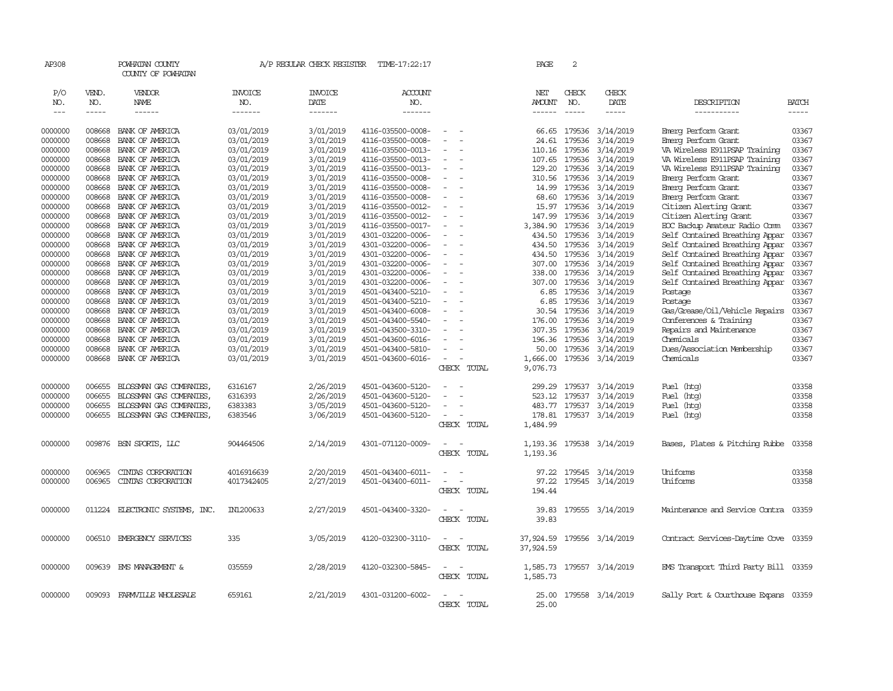| AP308                       |                             | POWHATAN COUNTY<br>COUNTY OF POWHATAN |                                  | A/P REGULAR CHECK REGISTER        | TIME-17:22:17                          |                          | PAGE                           | 2                             |                              |                                               |                             |
|-----------------------------|-----------------------------|---------------------------------------|----------------------------------|-----------------------------------|----------------------------------------|--------------------------|--------------------------------|-------------------------------|------------------------------|-----------------------------------------------|-----------------------------|
| P/O<br>NO.<br>$\frac{1}{2}$ | VEND.<br>NO.<br>$- - - - -$ | VENDOR<br>NAME<br>------              | <b>INVOICE</b><br>NO.<br>------- | <b>INVOICE</b><br>DATE<br>------- | ACCOUNT<br>NO.<br>-------              |                          | NET<br><b>AMOUNT</b><br>------ | CHECK<br>NO.<br>$\frac{1}{2}$ | CHECK<br>DATE<br>$- - - - -$ | DESCRIPTION<br>-----------                    | <b>BATCH</b><br>$- - - - -$ |
|                             |                             |                                       |                                  |                                   |                                        |                          |                                |                               |                              |                                               |                             |
| 0000000                     | 008668                      | BANK OF AMERICA                       | 03/01/2019                       | 3/01/2019                         | 4116-035500-0008-                      |                          | 66.65                          | 179536                        | 3/14/2019                    | Einerg Perform Grant                          | 03367                       |
| 0000000                     | 008668                      | BANK OF AMERICA                       | 03/01/2019                       | 3/01/2019                         | 4116-035500-0008-                      | $\sim$                   | 24.61                          | 179536                        | 3/14/2019                    | Emerg Perform Grant                           | 03367                       |
| 0000000                     | 008668                      | BANK OF AMERICA                       | 03/01/2019                       | 3/01/2019                         | 4116-035500-0013-                      | $\equiv$                 | 110.16                         | 179536                        | 3/14/2019                    | VA Wireless E911PSAP Training                 | 03367                       |
| 0000000                     | 008668                      | BANK OF AMERICA                       | 03/01/2019                       | 3/01/2019                         | 4116-035500-0013-                      |                          | 107.65                         | 179536                        | 3/14/2019                    | VA Wireless E911PSAP Training                 | 03367                       |
| 0000000                     | 008668                      | BANK OF AMERICA                       | 03/01/2019                       | 3/01/2019                         | 4116-035500-0013-                      | $\equiv$                 | 129.20                         | 179536                        | 3/14/2019                    | VA Wireless E911PSAP Training                 | 03367                       |
| 0000000                     | 008668                      | BANK OF AMERICA                       | 03/01/2019                       | 3/01/2019                         | 4116-035500-0008-                      | $\overline{\phantom{a}}$ | 310.56                         | 179536                        | 3/14/2019                    | Emerg Perform Grant                           | 03367<br>03367              |
| 0000000                     | 008668<br>008668            | BANK OF AMERICA<br>BANK OF AMERICA    | 03/01/2019                       | 3/01/2019                         | 4116-035500-0008-                      |                          | 14.99                          | 179536<br>179536              | 3/14/2019                    | Emerg Perform Grant                           | 03367                       |
| 0000000<br>0000000          | 008668                      | BANK OF AMERICA                       | 03/01/2019<br>03/01/2019         | 3/01/2019<br>3/01/2019            | 4116-035500-0008-<br>4116-035500-0012- |                          | 68.60<br>15.97                 | 179536                        | 3/14/2019<br>3/14/2019       | Emerg Perform Grant<br>Citizen Alerting Grant | 03367                       |
| 0000000                     | 008668                      | BANK OF AMERICA                       | 03/01/2019                       | 3/01/2019                         | 4116-035500-0012-                      | $\equiv$                 | 147.99                         | 179536                        | 3/14/2019                    | Citizen Alerting Grant                        | 03367                       |
| 0000000                     | 008668                      | BANK OF AMERICA                       | 03/01/2019                       | 3/01/2019                         | 4116-035500-0017-                      | $\equiv$                 | 3,384.90 179536                |                               | 3/14/2019                    | ECC Backup Amateur Radio Comm                 | 03367                       |
| 0000000                     | 008668                      | BANK OF AMERICA                       | 03/01/2019                       | 3/01/2019                         | 4301-032200-0006-                      | $\sim$                   |                                | 434.50 179536                 | 3/14/2019                    | Self Contained Breathing Appar                | 03367                       |
| 0000000                     | 008668                      | BANK OF AMERICA                       | 03/01/2019                       | 3/01/2019                         | 4301-032200-0006-                      | $\sim$                   | 434.50                         | 179536                        | 3/14/2019                    | Self Contained Breathing Appar                | 03367                       |
| 0000000                     | 008668                      | BANK OF AMERICA                       | 03/01/2019                       | 3/01/2019                         | 4301-032200-0006-                      |                          | 434.50                         | 179536                        | 3/14/2019                    | Self Contained Breathing Appar                | 03367                       |
| 0000000                     | 008668                      | BANK OF AMERICA                       | 03/01/2019                       | 3/01/2019                         | 4301-032200-0006-                      | $\sim$                   | 307.00                         | 179536                        | 3/14/2019                    | Self Contained Breathing Appar                | 03367                       |
| 0000000                     | 008668                      | BANK OF AMERICA                       | 03/01/2019                       | 3/01/2019                         | 4301-032200-0006-                      | $\overline{\phantom{a}}$ | 338.00                         | 179536                        | 3/14/2019                    | Self Contained Breathing Appar                | 03367                       |
| 0000000                     | 008668                      | BANK OF AMERICA                       | 03/01/2019                       | 3/01/2019                         | 4301-032200-0006-                      | $\equiv$                 | 307.00                         | 179536                        | 3/14/2019                    | Self Contained Breathing Appar                | 03367                       |
| 0000000                     | 008668                      | BANK OF AMERICA                       | 03/01/2019                       | 3/01/2019                         | 4501-043400-5210-                      |                          | 6.85                           | 179536                        | 3/14/2019                    | Postage                                       | 03367                       |
| 0000000                     | 008668                      | BANK OF AMERICA                       | 03/01/2019                       | 3/01/2019                         | 4501-043400-5210-                      | $\equiv$                 | 6.85                           | 179536                        | 3/14/2019                    | Postage                                       | 03367                       |
| 0000000                     | 008668                      | BANK OF AMERICA                       | 03/01/2019                       | 3/01/2019                         | 4501-043400-6008-                      |                          | 30.54                          | 179536                        | 3/14/2019                    | Gas/Grease/Oil/Vehicle Repairs                | 03367                       |
| 0000000                     | 008668                      | BANK OF AMERICA                       | 03/01/2019                       | 3/01/2019                         | 4501-043400-5540-                      |                          | 176.00                         | 179536                        | 3/14/2019                    | Conferences & Training                        | 03367                       |
| 0000000                     | 008668                      | BANK OF AMERICA                       | 03/01/2019                       | 3/01/2019                         | 4501-043500-3310-                      | $\sim$                   | 307.35                         | 179536                        | 3/14/2019                    | Repairs and Maintenance                       | 03367                       |
| 0000000                     | 008668                      | BANK OF AMERICA                       | 03/01/2019                       | 3/01/2019                         | 4501-043600-6016-                      |                          | 196.36                         | 179536                        | 3/14/2019                    | Chemicals                                     | 03367                       |
| 0000000                     | 008668                      | BANK OF AMERICA                       | 03/01/2019                       | 3/01/2019                         | 4501-043400-5810-                      | $\sim$                   | 50.00                          | 179536                        | 3/14/2019                    | Dues/Association Membership                   | 03367                       |
| 0000000                     | 008668                      | BANK OF AMERICA                       | 03/01/2019                       | 3/01/2019                         | 4501-043600-6016-                      |                          | 1,666.00                       |                               | 179536 3/14/2019             | Chemicals                                     | 03367                       |
|                             |                             |                                       |                                  |                                   |                                        | CHECK TOTAL              | 9,076.73                       |                               |                              |                                               |                             |
| 0000000                     | 006655                      | BLOSSMAN GAS COMPANIES,               | 6316167                          | 2/26/2019                         | 4501-043600-5120-                      |                          | 299.29                         | 179537                        | 3/14/2019                    | (htg)<br>Fuel                                 | 03358                       |
| 0000000                     | 006655                      | BLOSSMAN GAS COMPANIES,               | 6316393                          | 2/26/2019                         | 4501-043600-5120-                      | $\equiv$                 | 523.12                         | 179537                        | 3/14/2019                    | (htg)<br>Fuel                                 | 03358                       |
| 0000000                     | 006655                      | BLOSSMAN GAS COMPANIES                | 6383383                          | 3/05/2019                         | 4501-043600-5120-                      |                          |                                |                               | 483.77 179537 3/14/2019      | Fuel<br>(htg)                                 | 03358                       |
| 0000000                     | 006655                      | BLOSSMAN GAS COMPANIES                | 6383546                          | 3/06/2019                         | 4501-043600-5120-                      | $\equiv$                 | 178.81                         |                               | 179537 3/14/2019             | Fuel (htg)                                    | 03358                       |
|                             |                             |                                       |                                  |                                   |                                        | CHECK TOTAL              | 1,484.99                       |                               |                              |                                               |                             |
| 0000000                     | 009876                      | BSN SPORTS, LLC                       | 904464506                        | 2/14/2019                         | 4301-071120-0009-                      | $\overline{\phantom{a}}$ | 1,193.36                       |                               | 179538 3/14/2019             | Bases, Plates & Pitching Rubbe                | 03358                       |
|                             |                             |                                       |                                  |                                   |                                        | CHECK TOTAL              | 1,193.36                       |                               |                              |                                               |                             |
| 0000000                     | 006965                      | CINIAS CORPORATION                    | 4016916639                       | 2/20/2019                         | 4501-043400-6011-                      | $\equiv$                 | 97.22                          |                               | 179545 3/14/2019             | Uniforms                                      | 03358                       |
| 0000000                     | 006965                      | CINIAS CORPORATION                    | 4017342405                       | 2/27/2019                         | 4501-043400-6011-                      | $\equiv$                 | 97.22                          |                               | 179545 3/14/2019             | Uniforms                                      | 03358                       |
|                             |                             |                                       |                                  |                                   |                                        | CHECK TOTAL              | 194.44                         |                               |                              |                                               |                             |
| 0000000                     | 011224                      | ELECTRONIC SYSTEMS, INC.              | IN1200633                        | 2/27/2019                         | 4501-043400-3320-                      | $\sim$                   | 39.83                          |                               | 179555 3/14/2019             | Maintenance and Service Contra                | 03359                       |
|                             |                             |                                       |                                  |                                   |                                        | CHECK TOTAL              | 39.83                          |                               |                              |                                               |                             |
| 0000000                     | 006510                      | EMERGENCY SERVICES                    | 335                              | 3/05/2019                         | 4120-032300-3110-                      | $\overline{\phantom{a}}$ | 37,924.59                      |                               | 179556 3/14/2019             | Contract Services-Daytime Cove 03359          |                             |
|                             |                             |                                       |                                  |                                   |                                        | CHECK TOTAL              | 37,924.59                      |                               |                              |                                               |                             |
| 0000000                     |                             | 009639 EMS MANAGEMENT &               | 035559                           | 2/28/2019                         | 4120-032300-5845-                      | $\overline{\phantom{a}}$ | 1,585.73                       |                               | 179557 3/14/2019             | EMS Transport Third Party Bill 03359          |                             |
|                             |                             |                                       |                                  |                                   |                                        | CHECK TOTAL              | 1,585.73                       |                               |                              |                                               |                             |
| 0000000                     | 009093                      | FARMVILLE WHOLESALE                   | 659161                           | 2/21/2019                         | 4301-031200-6002-                      | $\sim$<br>$\sim$         | 25.00                          |                               | 179558 3/14/2019             | Sally Port & Courthouse Expans 03359          |                             |
|                             |                             |                                       |                                  |                                   |                                        | CHECK TOTAL              | 25.00                          |                               |                              |                                               |                             |
|                             |                             |                                       |                                  |                                   |                                        |                          |                                |                               |                              |                                               |                             |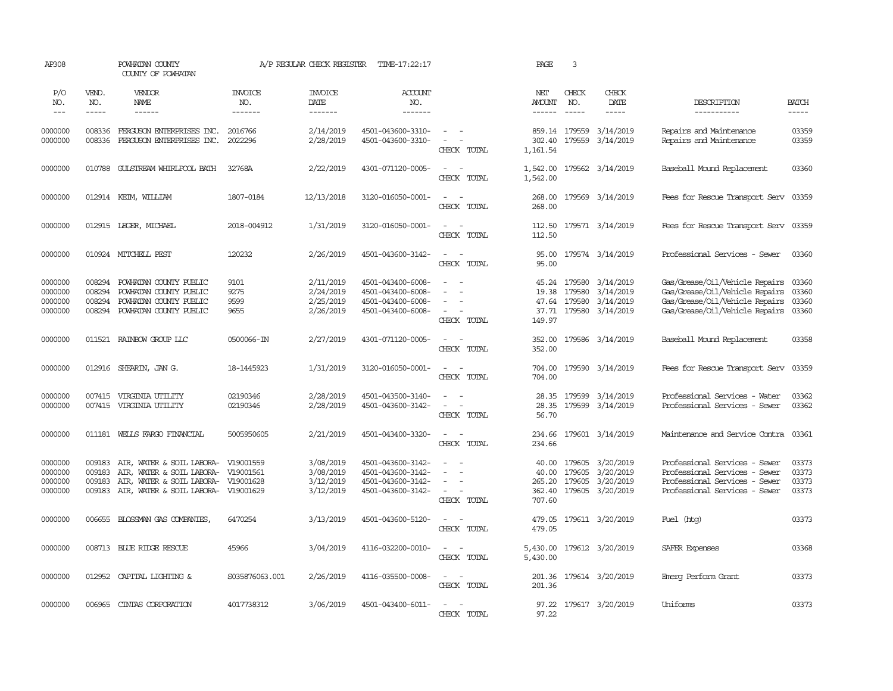| AP308                                    |                                      | POWHATAN COUNTY<br>COUNTY OF POWHATAN                                                                                                |                                  | A/P REGULAR CHECK REGISTER                       | TIME-17:22:17                                                                    |                                                                                           | PAGE                                         | 3                                                |                                                  |                                                                                                                                            |                                  |
|------------------------------------------|--------------------------------------|--------------------------------------------------------------------------------------------------------------------------------------|----------------------------------|--------------------------------------------------|----------------------------------------------------------------------------------|-------------------------------------------------------------------------------------------|----------------------------------------------|--------------------------------------------------|--------------------------------------------------|--------------------------------------------------------------------------------------------------------------------------------------------|----------------------------------|
| P/O<br>NO.<br>$\frac{1}{2}$              | VEND.<br>NO.<br>-----                | VENDOR<br><b>NAME</b><br>------                                                                                                      | <b>INVOICE</b><br>NO.<br>------- | <b>INVOICE</b><br>DATE                           | ACCOUNT<br>NO.<br>-------                                                        |                                                                                           | NET<br>AMOUNT                                | CHECK<br>NO.<br>$- - - - -$                      | CHECK<br>DATE<br>$- - - - -$                     | DESCRIPTION                                                                                                                                | <b>BATCH</b><br>-----            |
|                                          |                                      |                                                                                                                                      |                                  | -------                                          |                                                                                  |                                                                                           | $- - - - - -$                                |                                                  |                                                  | -----------                                                                                                                                |                                  |
| 0000000<br>0000000                       | 008336<br>008336                     | FERGUSON ENTERPRISES INC.<br>FERGUSON ENTERPRISES INC.                                                                               | 2016766<br>2022296               | 2/14/2019<br>2/28/2019                           | 4501-043600-3310-<br>4501-043600-3310-                                           | $\sim$ $ \sim$<br>$\sim$<br>$\sim$<br>CHECK TOTAL                                         | 302.40<br>1,161.54                           | 859.14 179559<br>179559                          | 3/14/2019<br>3/14/2019                           | Repairs and Maintenance<br>Repairs and Maintenance                                                                                         | 03359<br>03359                   |
| 0000000                                  |                                      | 010788 GULSTREAM WHIRLPOOL BATH                                                                                                      | 32768A                           | 2/22/2019                                        | 4301-071120-0005-                                                                | $\sim$ $\sim$<br>CHECK TOTAL                                                              | 1,542.00<br>1,542.00                         |                                                  | 179562 3/14/2019                                 | Baseball Mound Replacement                                                                                                                 | 03360                            |
| 0000000                                  |                                      | 012914 KEIM, WIILIAM                                                                                                                 | 1807-0184                        | 12/13/2018                                       | 3120-016050-0001-                                                                | $\sim$<br>$\sim$<br>CHECK TOTAL                                                           | 268.00<br>268.00                             |                                                  | 179569 3/14/2019                                 | Fees for Rescue Transport Serv 03359                                                                                                       |                                  |
| 0000000                                  |                                      | 012915 LEGER, MICHAEL                                                                                                                | 2018-004912                      | 1/31/2019                                        | 3120-016050-0001-                                                                | $\sim$ $ \sim$<br>CHECK TOTAL                                                             | 112.50<br>112.50                             |                                                  | 179571 3/14/2019                                 | Fees for Rescue Transport Serv 03359                                                                                                       |                                  |
| 0000000                                  |                                      | 010924 MITCHELL PEST                                                                                                                 | 120232                           | 2/26/2019                                        | 4501-043600-3142-                                                                | $\sim$<br>$\sim$<br>CHECK TOTAL                                                           | 95.00<br>95.00                               |                                                  | 179574 3/14/2019                                 | Professional Services - Sewer                                                                                                              | 03360                            |
| 0000000<br>0000000<br>0000000<br>0000000 | 008294<br>008294<br>008294<br>008294 | POWHATAN COUNTY PUBLIC<br>POWHATAN COUNTY PUBLIC<br>POWHATAN COUNTY PUBLIC<br>POWHATAN COUNTY PUBLIC                                 | 9101<br>9275<br>9599<br>9655     | 2/11/2019<br>2/24/2019<br>2/25/2019<br>2/26/2019 | 4501-043400-6008-<br>4501-043400-6008-<br>4501-043400-6008-<br>4501-043400-6008- | $\sim$<br>$\sim$<br>$\overline{\phantom{a}}$<br>$\sim$<br>CHECK TOTAL                     | 19.38<br>37.71<br>149.97                     | 45.24 179580<br>179580<br>47.64 179580<br>179580 | 3/14/2019<br>3/14/2019<br>3/14/2019<br>3/14/2019 | Gas/Grease/Oil/Vehicle Repairs 03360<br>Gas/Grease/Oil/Vehicle Repairs<br>Gas/Grease/Oil/Vehicle Repairs<br>Gas/Grease/Oil/Vehicle Repairs | 03360<br>03360<br>03360          |
| 0000000                                  |                                      | 011521 RAINBOW GROUP LLC                                                                                                             | 0500066-IN                       | 2/27/2019                                        | 4301-071120-0005-                                                                | $\sim$ $  -$<br>CHECK TOTAL                                                               | 352.00<br>352.00                             |                                                  | 179586 3/14/2019                                 | Baseball Mound Replacement                                                                                                                 | 03358                            |
| 0000000                                  | 012916                               | SHEARIN, JAN G.                                                                                                                      | 18-1445923                       | 1/31/2019                                        | 3120-016050-0001-                                                                | $\sim$ $  -$<br>CHECK TOTAL                                                               | 704.00<br>704.00                             |                                                  | 179590 3/14/2019                                 | Fees for Rescue Transport Serv                                                                                                             | 03359                            |
| 0000000<br>0000000                       | 007415                               | VIRGINIA UTILITY<br>007415 VIRGINIA UTILITY                                                                                          | 02190346<br>02190346             | 2/28/2019<br>2/28/2019                           | 4501-043500-3140-<br>4501-043600-3142-                                           | $\sim$<br>$\sim$<br>$\overline{\phantom{a}}$<br>$\sim$<br>CHECK TOTAL                     | 28.35<br>28.35<br>56.70                      | 179599                                           | 3/14/2019<br>179599 3/14/2019                    | Professional Services - Water<br>Professional Services - Sewer                                                                             | 03362<br>03362                   |
| 0000000                                  |                                      | 011181 WELLS FARGO FINANCIAL                                                                                                         | 5005950605                       | 2/21/2019                                        | 4501-043400-3320-                                                                | $\sim$ $ -$<br>CHECK TOTAL                                                                | 234.66<br>234.66                             |                                                  | 179601 3/14/2019                                 | Maintenance and Service Contra                                                                                                             | 03361                            |
| 0000000<br>0000000<br>0000000<br>0000000 | 009183<br>009183<br>009183<br>009183 | AIR, WATER & SOIL LABORA- V19001559<br>AIR, WATER & SOIL LABORA-<br>AIR, WATER & SOIL LABORA- V19001628<br>AIR, WATER & SOIL LABORA- | V19001561<br>V19001629           | 3/08/2019<br>3/08/2019<br>3/12/2019<br>3/12/2019 | 4501-043600-3142-<br>4501-043600-3142-<br>4501-043600-3142-<br>4501-043600-3142- | $\equiv$<br>$\overline{\phantom{a}}$<br>$\sim$<br>$\overline{\phantom{a}}$<br>CHECK TOTAL | 40.00<br>40.00<br>265.20<br>362.40<br>707.60 | 179605<br>179605<br>179605<br>179605             | 3/20/2019<br>3/20/2019<br>3/20/2019<br>3/20/2019 | Professional Services - Sewer<br>Professional Services - Sewer<br>Professional Services - Sewer<br>Professional Services - Sewer           | 03373<br>03373<br>03373<br>03373 |
| 0000000                                  |                                      | 006655 BLOSSMAN GAS COMPANIES,                                                                                                       | 6470254                          | 3/13/2019                                        | 4501-043600-5120-                                                                | CHECK TOTAL                                                                               | 479.05<br>479.05                             |                                                  | 179611 3/20/2019                                 | Fuel (htg)                                                                                                                                 | 03373                            |
| 0000000                                  |                                      | 008713 BLUE RIDGE RESCUE                                                                                                             | 45966                            | 3/04/2019                                        | 4116-032200-0010-                                                                | $\omega_{\rm{max}}$ and $\omega_{\rm{max}}$<br>CHECK TOTAL                                | 5,430.00<br>5,430.00                         |                                                  | 179612 3/20/2019                                 | SAFER Expenses                                                                                                                             | 03368                            |
| 0000000                                  |                                      | 012952 CAPITAL LIGHTING &                                                                                                            | S035876063.001                   | 2/26/2019                                        | 4116-035500-0008-                                                                | $\sim$<br>$\sim$<br>CHECK TOTAL                                                           | 201.36                                       |                                                  | 201.36 179614 3/20/2019                          | Emerg Perform Grant                                                                                                                        | 03373                            |
| 0000000                                  |                                      | 006965 CINTAS CORPORATION                                                                                                            | 4017738312                       | 3/06/2019                                        | 4501-043400-6011-                                                                | $\overline{\phantom{a}}$<br>$\sim$<br>CHECK TOTAL                                         | 97.22                                        |                                                  | 97.22 179617 3/20/2019                           | Uniforms                                                                                                                                   | 03373                            |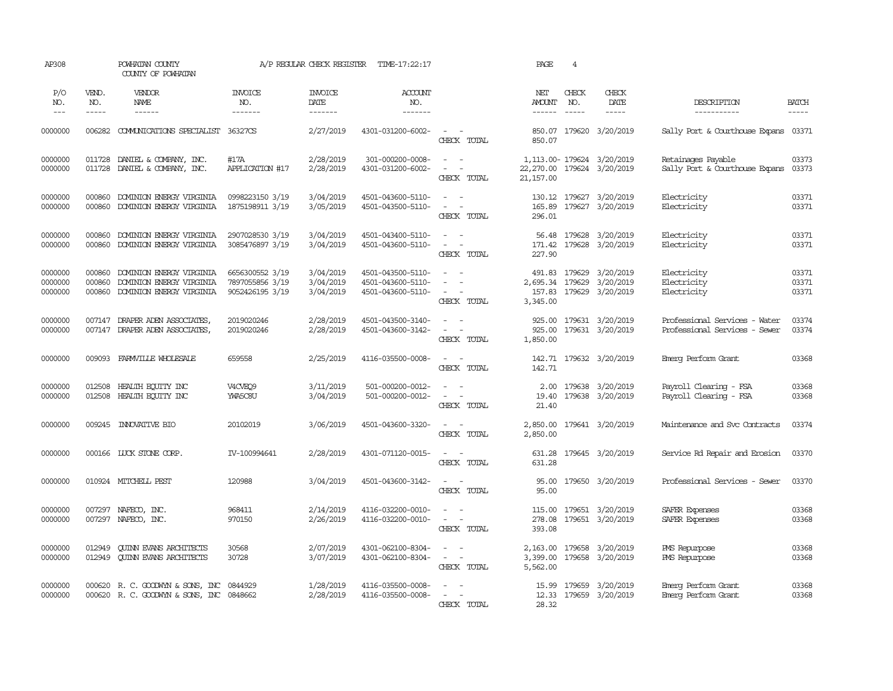| AP308                         |                             | POWHATAN COUNTY<br>COUNTY OF POWHATAN                                            |                                                       | A/P REGULAR CHECK REGISTER          | TIME-17:22:17                                               |                                                                                      | PAGE                                     | $\overline{4}$                |                                                                   |                                                                |                             |
|-------------------------------|-----------------------------|----------------------------------------------------------------------------------|-------------------------------------------------------|-------------------------------------|-------------------------------------------------------------|--------------------------------------------------------------------------------------|------------------------------------------|-------------------------------|-------------------------------------------------------------------|----------------------------------------------------------------|-----------------------------|
| P/O<br>NO.<br>$---$           | VEND.<br>NO.<br>$- - - - -$ | VENDOR<br>NAME<br>$- - - - - -$                                                  | <b>INVOICE</b><br>NO.<br>-------                      | <b>INVOICE</b><br>DATE<br>-------   | <b>ACCOUNT</b><br>NO.<br>-------                            |                                                                                      | NET<br>AMOUNT<br>$- - - - - -$           | CHECK<br>NO.<br>$\frac{1}{2}$ | CHECK<br>DATE<br>$- - - - -$                                      | DESCRIPTION<br>-----------                                     | <b>BATCH</b><br>$- - - - -$ |
| 0000000                       | 006282                      | COMUNICATIONS SPECIALIST                                                         | 36327CS                                               | 2/27/2019                           | 4301-031200-6002-                                           | $\sim$ $ \sim$<br>CHECK TOTAL                                                        | 850.07                                   |                               | 850.07 179620 3/20/2019                                           | Sally Port & Courthouse Expans 03371                           |                             |
| 0000000<br>0000000            | 011728<br>011728            | DANIEL & COMPANY, INC.<br>DANIEL & COMPANY, INC.                                 | #17A<br>APPLICATION #17                               | 2/28/2019<br>2/28/2019              | 301-000200-0008-<br>4301-031200-6002-                       | $\sim$ $ \sim$<br>$\omega_{\rm{max}}$ and $\omega_{\rm{max}}$<br>CHECK TOTAL         | 22,270.00 179624 3/20/2019<br>21, 157.00 |                               | 1, 113.00-179624 3/20/2019                                        | Retainages Payable<br>Sally Port & Courthouse Expans           | 03373<br>03373              |
| 0000000<br>0000000            | 000860<br>000860            | DOMINION ENERGY VIRGINIA<br>DOMINION ENERGY VIRGINIA                             | 0998223150 3/19<br>1875198911 3/19                    | 3/04/2019<br>3/05/2019              | 4501-043600-5110-<br>4501-043500-5110-                      | $\sim$<br>$\sim$<br>$\sim$<br>$\sim$ $-$<br>CHECK TOTAL                              | 165.89<br>296.01                         |                               | 130.12 179627 3/20/2019<br>179627 3/20/2019                       | Electricity<br>Electricity                                     | 03371<br>03371              |
| 0000000<br>0000000            | 000860<br>000860            | DOMINION ENERGY VIRGINIA<br>DOMINION ENERGY VIRGINIA                             | 2907028530 3/19<br>3085476897 3/19                    | 3/04/2019<br>3/04/2019              | 4501-043400-5110-<br>4501-043600-5110-                      | $\sim$ $ -$<br>$\sim$ $ \sim$<br>CHECK TOTAL                                         | 227.90                                   |                               | 56.48 179628 3/20/2019<br>171.42 179628 3/20/2019                 | Electricity<br>Electricity                                     | 03371<br>03371              |
| 0000000<br>0000000<br>0000000 | 000860<br>000860<br>000860  | DOMINION ENERGY VIRGINIA<br>DOMINION ENERGY VIRGINIA<br>DOMINION ENERGY VIRGINIA | 6656300552 3/19<br>7897055856 3/19<br>9052426195 3/19 | 3/04/2019<br>3/04/2019<br>3/04/2019 | 4501-043500-5110-<br>4501-043600-5110-<br>4501-043600-5110- | $\sim$<br>$\equiv$<br>$\sim$ $ \sim$<br>CHECK TOTAL                                  | 491.83<br>3,345.00                       | 179629                        | 3/20/2019<br>2,695.34 179629 3/20/2019<br>157.83 179629 3/20/2019 | Electricity<br>Electricity<br>Electricity                      | 03371<br>03371<br>03371     |
| 0000000<br>0000000            | 007147                      | DRAPER ADEN ASSOCIATES,<br>007147 DRAPER ADEN ASSOCIATES,                        | 2019020246<br>2019020246                              | 2/28/2019<br>2/28/2019              | 4501-043500-3140-<br>4501-043600-3142-                      | $\sim$ $ \sim$<br>$\sim$ $ -$<br>CHECK TOTAL                                         | 1,850.00                                 |                               | 925.00 179631 3/20/2019<br>925.00 179631 3/20/2019                | Professional Services - Water<br>Professional Services - Sewer | 03374<br>03374              |
| 0000000                       | 009093                      | FARMVILLE WHOLESALE                                                              | 659558                                                | 2/25/2019                           | 4116-035500-0008-                                           | $\sim$ $ \sim$<br>CHECK TOTAL                                                        | 142.71                                   |                               | 142.71 179632 3/20/2019                                           | Emerg Perform Grant                                            | 03368                       |
| 0000000<br>0000000            | 012508<br>012508            | HEALTH EQUITY INC<br>HEALTH EQUITY INC                                           | V4CVEQ9<br>YWA5C8U                                    | 3/11/2019<br>3/04/2019              | 501-000200-0012-<br>501-000200-0012-                        | $\sim$<br>$\mathcal{L}_{\rm{max}}$ , $\mathcal{L}_{\rm{max}}$<br>CHECK TOTAL         | 19.40<br>21.40                           |                               | 2.00 179638 3/20/2019<br>179638 3/20/2019                         | Payroll Clearing - FSA<br>Payroll Clearing - FSA               | 03368<br>03368              |
| 0000000                       | 009245                      | <b>INIOVATIVE BIO</b>                                                            | 20102019                                              | 3/06/2019                           | 4501-043600-3320-                                           | $\sim$ $ \sim$<br>CHECK TOTAL                                                        | 2,850.00                                 |                               | 2,850.00 179641 3/20/2019                                         | Maintenance and Svc Contracts                                  | 03374                       |
| 0000000                       |                             | 000166 LUCK STONE CORP.                                                          | IV-100994641                                          | 2/28/2019                           | 4301-071120-0015-                                           | $\sim$ $ \sim$<br>CHECK TOTAL                                                        | 631.28<br>631.28                         |                               | 179645 3/20/2019                                                  | Service Rd Repair and Erosion                                  | 03370                       |
| 0000000                       |                             | 010924 MITCHELL PEST                                                             | 120988                                                | 3/04/2019                           | 4501-043600-3142-                                           | $\sim$ $  -$<br>CHECK TOTAL                                                          | 95.00<br>95.00                           |                               | 179650 3/20/2019                                                  | Professional Services - Sewer                                  | 03370                       |
| 0000000<br>0000000            | 007297<br>007297            | NAFECO, INC.<br>NAFECO, INC.                                                     | 968411<br>970150                                      | 2/14/2019<br>2/26/2019              | 4116-032200-0010-<br>4116-032200-0010-                      | $\sim$<br>$\sim$<br>$\sim$<br>CHECK TOTAL                                            | 115.00<br>278.08<br>393.08               |                               | 179651 3/20/2019<br>179651 3/20/2019                              | SAFER Expenses<br>SAFER Expenses                               | 03368<br>03368              |
| 0000000<br>0000000            | 012949<br>012949            | <b>QUINN EVANS ARCHITECTS</b><br><b>QUINN EVANS ARCHITECTS</b>                   | 30568<br>30728                                        | 2/07/2019<br>3/07/2019              | 4301-062100-8304-<br>4301-062100-8304-                      | $\omega_{\rm{max}}$<br>$\mathcal{L} = \mathcal{L} \times \mathcal{L}$<br>CHECK TOTAL | 5,562.00                                 |                               | 2,163.00 179658 3/20/2019<br>3,399.00 179658 3/20/2019            | PMS Repurpose<br>PMS Repurpose                                 | 03368<br>03368              |
| 0000000<br>0000000            | 000620                      | R. C. GOODWIN & SONS, INC<br>000620 R. C. GOODWIN & SONS, INC 0848662            | 0844929                                               | 1/28/2019<br>2/28/2019              | 4116-035500-0008-<br>4116-035500-0008-                      | $\sim$<br>$\sim$<br>$\sim$<br>CHECK TOTAL                                            | 15.99<br>28.32                           |                               | 179659 3/20/2019<br>12.33 179659 3/20/2019                        | Emerg Perform Grant<br>Emerg Perform Grant                     | 03368<br>03368              |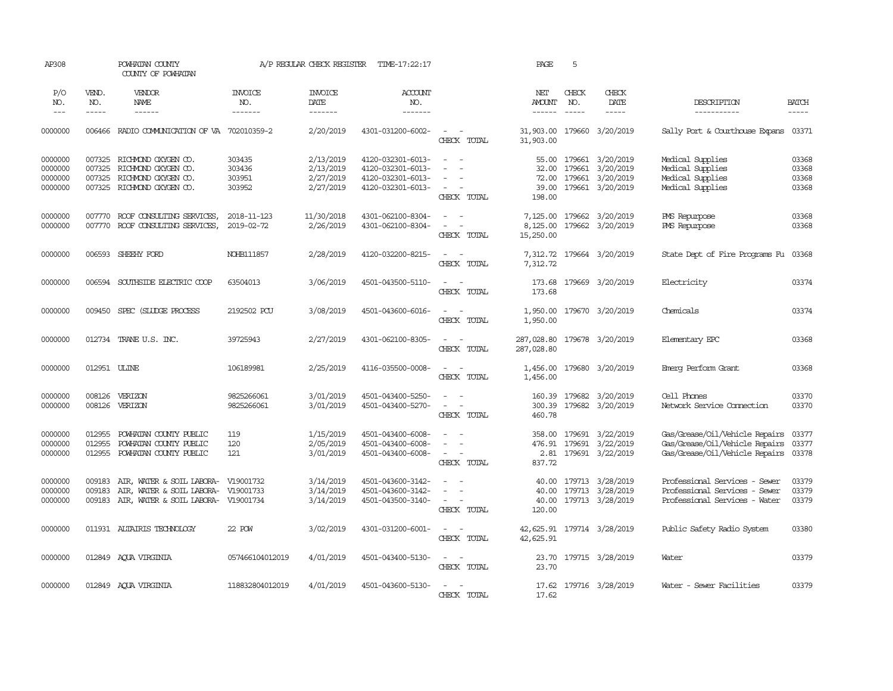| AP308                                    |                             | POWHATAN COUNTY<br>COUNTY OF POWHATAN                                                                                    |                                      | A/P REGULAR CHECK REGISTER                       | TIME-17:22:17                                                                    |                                                                                                                                          | PAGE                                      | 5            |                                                                                    |                                                                                                    |                                  |
|------------------------------------------|-----------------------------|--------------------------------------------------------------------------------------------------------------------------|--------------------------------------|--------------------------------------------------|----------------------------------------------------------------------------------|------------------------------------------------------------------------------------------------------------------------------------------|-------------------------------------------|--------------|------------------------------------------------------------------------------------|----------------------------------------------------------------------------------------------------|----------------------------------|
| P/O<br>NO.<br>$---$                      | VEND.<br>NO.<br>$- - - - -$ | VENDOR<br>NAME<br>------                                                                                                 | <b>INVOICE</b><br>NO.<br>-------     | <b>INVOICE</b><br>DATE<br>-------                | ACCOUNT<br>NO.<br>-------                                                        |                                                                                                                                          | NET<br>AMOUNT                             | CHECK<br>NO. | CHECK<br>DATE<br>-----                                                             | DESCRIPTION<br>-----------                                                                         | <b>BATCH</b><br>-----            |
| 0000000                                  | 006466                      | RADIO COMMUNICATION OF VA 702010359-2                                                                                    |                                      | 2/20/2019                                        | 4301-031200-6002-                                                                | $\sim$ 100 $\sim$<br>CHECK TOTAL                                                                                                         | 31,903.00<br>31,903.00                    |              | 179660 3/20/2019                                                                   | Sally Port & Courthouse Expans                                                                     | 03371                            |
| 0000000<br>0000000<br>0000000<br>0000000 | 007325<br>007325<br>007325  | RICHMOND OXYGEN CO.<br>RICHMOND OXYGEN CO.<br>RICHMOND OXYGEN CO.<br>007325 RICHMOND OXYGEN CO.                          | 303435<br>303436<br>303951<br>303952 | 2/13/2019<br>2/13/2019<br>2/27/2019<br>2/27/2019 | 4120-032301-6013-<br>4120-032301-6013-<br>4120-032301-6013-<br>4120-032301-6013- | $\sim$<br>$\sim$<br>$\sim$<br>$\sim$<br>CHECK TOTAL                                                                                      | 55.00<br>32.00<br>39.00<br>198.00         |              | 179661 3/20/2019<br>179661 3/20/2019<br>72.00 179661 3/20/2019<br>179661 3/20/2019 | Medical Supplies<br>Medical Supplies<br>Medical Supplies<br>Medical Supplies                       | 03368<br>03368<br>03368<br>03368 |
| 0000000<br>0000000                       | 007770<br>007770            | ROOF CONSULTING SERVICES,<br>ROOF CONSULTING SERVICES,                                                                   | 2018-11-123<br>2019-02-72            | 11/30/2018<br>2/26/2019                          | 4301-062100-8304-<br>4301-062100-8304-                                           | $\sim$<br>$\sim$<br>$\equiv$<br>$\sim$<br>CHECK TOTAL                                                                                    | 8,125.00<br>15,250.00                     |              | 7,125.00 179662 3/20/2019<br>179662 3/20/2019                                      | PMS Repurpose<br>PMS Repurpose                                                                     | 03368<br>03368                   |
| 0000000                                  | 006593                      | SHEEHY FORD                                                                                                              | NOHB111857                           | 2/28/2019                                        | 4120-032200-8215-                                                                | $\sim$<br>$\sim$<br>CHECK TOTAL                                                                                                          | 7,312.72<br>7,312.72                      |              | 179664 3/20/2019                                                                   | State Dept of Fire Programs Fu                                                                     | 03368                            |
| 0000000                                  |                             | 006594 SOUTHSIDE ELECTRIC COOP                                                                                           | 63504013                             | 3/06/2019                                        | 4501-043500-5110-                                                                | $\sim$ $ \sim$<br>CHECK TOTAL                                                                                                            | 173.68                                    |              | 173.68 179669 3/20/2019                                                            | Electricity                                                                                        | 03374                            |
| 0000000                                  | 009450                      | SPEC (SLUDGE PROCESS                                                                                                     | 2192502 PCU                          | 3/08/2019                                        | 4501-043600-6016-                                                                | $\sim$ $ -$<br>CHECK TOTAL                                                                                                               | 1,950.00                                  |              | 1,950.00 179670 3/20/2019                                                          | Chemicals                                                                                          | 03374                            |
| 0000000                                  |                             | 012734 TRANE U.S. INC.                                                                                                   | 39725943                             | 2/27/2019                                        | 4301-062100-8305-                                                                | $\sim$ $ -$<br>CHECK TOTAL                                                                                                               | 287,028.80 179678 3/20/2019<br>287,028.80 |              |                                                                                    | Elementary EPC                                                                                     | 03368                            |
| 0000000                                  | 012951 ULINE                |                                                                                                                          | 106189981                            | 2/25/2019                                        | 4116-035500-0008-                                                                | $\frac{1}{2} \left( \frac{1}{2} \right) \left( \frac{1}{2} \right) \left( \frac{1}{2} \right) \left( \frac{1}{2} \right)$<br>CHECK TOTAL | 1,456.00<br>1,456.00                      |              | 179680 3/20/2019                                                                   | Emerg Perform Grant                                                                                | 03368                            |
| 0000000<br>0000000                       | 008126<br>008126            | VERIZON<br>VERIZON                                                                                                       | 9825266061<br>9825266061             | 3/01/2019<br>3/01/2019                           | 4501-043400-5250-<br>4501-043400-5270-                                           | $\sim$<br>$\overline{\phantom{a}}$<br>$\sim$ $ \sim$<br>CHECK TOTAL                                                                      | 460.78                                    |              | 160.39 179682 3/20/2019<br>300.39 179682 3/20/2019                                 | Cell Phones<br>Network Service Connection                                                          | 03370<br>03370                   |
| 0000000<br>0000000<br>0000000            | 012955<br>012955<br>012955  | POWHATAN COUNTY PUBLIC<br>POWHATAN COUNTY PUBLIC<br>POWHATAN COUNTY PUBLIC                                               | 119<br>120<br>121                    | 1/15/2019<br>2/05/2019<br>3/01/2019              | 4501-043400-6008-<br>4501-043400-6008-<br>4501-043400-6008-                      | $\overline{\phantom{a}}$<br>$\overline{\phantom{a}}$<br>$\sim$<br>CHECK TOTAL                                                            | 837.72                                    |              | 358.00 179691 3/22/2019<br>476.91 179691 3/22/2019<br>2.81 179691 3/22/2019        | Gas/Grease/Oil/Vehicle Repairs<br>Gas/Grease/Oil/Vehicle Repairs<br>Gas/Grease/Oil/Vehicle Repairs | 03377<br>03377<br>03378          |
| 0000000<br>0000000<br>0000000            | 009183<br>009183            | AIR, WATER & SOIL LABORA- V19001732<br>AIR, WATER & SOIL LABORA- V19001733<br>009183 AIR, WATER & SOIL LABORA- V19001734 |                                      | 3/14/2019<br>3/14/2019<br>3/14/2019              | 4501-043600-3142-<br>4501-043600-3142-<br>4501-043500-3140-                      | $\equiv$<br>$\sim$<br>CHECK TOTAL                                                                                                        | 40.00<br>120.00                           |              | 40.00 179713 3/28/2019<br>179713 3/28/2019<br>40.00 179713 3/28/2019               | Professional Services - Sewer<br>Professional Services - Sewer<br>Professional Services - Water    | 03379<br>03379<br>03379          |
| 0000000                                  |                             | 011931 ALTAIRIS TECHNOLOGY                                                                                               | 22 POW                               | 3/02/2019                                        | 4301-031200-6001-                                                                | $\frac{1}{2} \left( \frac{1}{2} \right) \left( \frac{1}{2} \right) = \frac{1}{2} \left( \frac{1}{2} \right)$<br>CHECK TOTAL              | 42,625.91                                 |              | 42,625.91 179714 3/28/2019                                                         | Public Safety Radio System                                                                         | 03380                            |
| 0000000                                  |                             | 012849 AQUA VIRGINIA                                                                                                     | 057466104012019                      | 4/01/2019                                        | 4501-043400-5130-                                                                | $\sim$<br>$\sim$<br>CHECK TOTAL                                                                                                          | 23.70<br>23.70                            |              | 179715 3/28/2019                                                                   | Water                                                                                              | 03379                            |
| 0000000                                  |                             | 012849 ACUA VIRGINIA                                                                                                     | 118832804012019                      | 4/01/2019                                        | 4501-043600-5130-                                                                | $\overline{\phantom{a}}$<br>CHECK TOTAL                                                                                                  | 17.62<br>17.62                            |              | 179716 3/28/2019                                                                   | Water - Sewer Facilities                                                                           | 03379                            |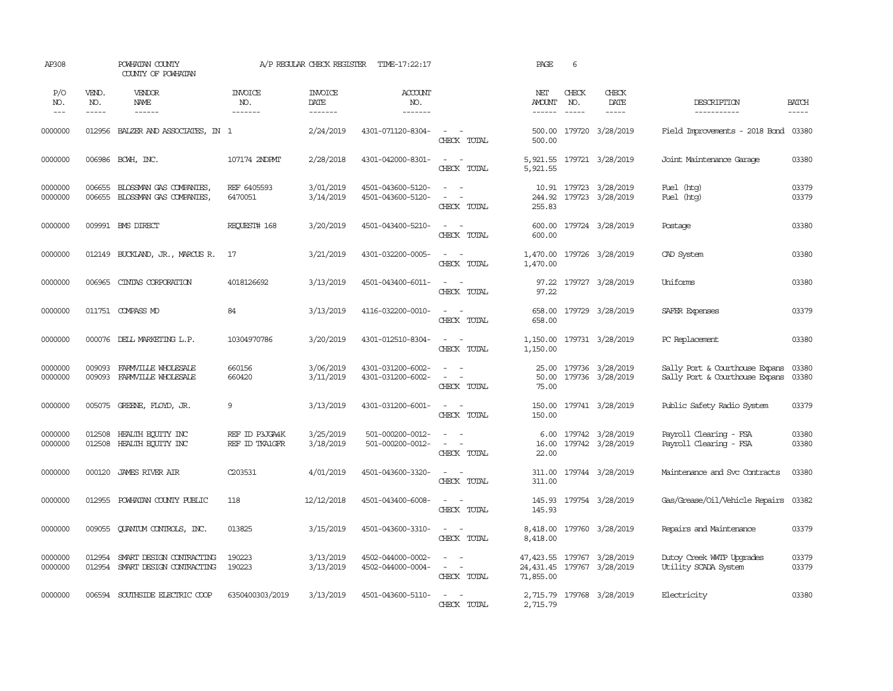| AP308               |                       | POWHATAN COUNTY<br>COUNTY OF POWHATAN                |                                  | A/P REGULAR CHECK REGISTER         | TIME-17:22:17                          |                                                                                                                                            | PAGE                   | 6     |                                                           |                                                                  |                       |
|---------------------|-----------------------|------------------------------------------------------|----------------------------------|------------------------------------|----------------------------------------|--------------------------------------------------------------------------------------------------------------------------------------------|------------------------|-------|-----------------------------------------------------------|------------------------------------------------------------------|-----------------------|
| P/O<br>NO.<br>$---$ | VEND.<br>NO.<br>----- | VENDOR<br>NAME                                       | <b>INVOICE</b><br>NO.<br>------- | <b>INVOICE</b><br>DATE<br>-------- | <b>ACCOUNT</b><br>NO.<br>-------       |                                                                                                                                            | NET<br>AMOUNT NO.      | CHECK | CHECK<br>DATE<br>-----                                    | DESCRIPTION<br>-----------                                       | <b>BATCH</b><br>----- |
| 0000000             | 012956                | BALZER AND ASSOCIATES, IN 1                          |                                  | 2/24/2019                          | 4301-071120-8304-                      | $\sim$ $  -$<br>CHECK TOTAL                                                                                                                | 500.00                 |       | 500.00 179720 3/28/2019                                   | Field Improvements - 2018 Bond 03380                             |                       |
| 0000000             |                       | 006986 BCWH, INC.                                    | 107174 2NDPMT                    | 2/28/2018                          | 4301-042000-8301-                      | $\sim$<br>$\sim$ $-$<br>CHECK TOTAL                                                                                                        | 5,921.55               |       | 5,921.55 179721 3/28/2019                                 | Joint Maintenance Garage                                         | 03380                 |
| 0000000<br>0000000  | 006655<br>006655      | BLOSSMAN GAS COMPANIES,<br>BLOSSMAN GAS COMPANIES,   | REF 6405593<br>6470051           | 3/01/2019<br>3/14/2019             | 4501-043600-5120-<br>4501-043600-5120- | $\sim$ 100 $\sim$<br>$\sim$<br>$\sim$<br>CHECK TOTAL                                                                                       | 244.92<br>255.83       |       | 10.91 179723 3/28/2019<br>179723 3/28/2019                | Fuel (htg)<br>Fuel (htg)                                         | 03379<br>03379        |
| 0000000             |                       | 009991 BMS DIRECT                                    | REQUEST# 168                     | 3/20/2019                          | 4501-043400-5210-                      | $\sim$ $\sim$<br>CHECK TOTAL                                                                                                               | 600.00<br>600.00       |       | 179724 3/28/2019                                          | Postage                                                          | 03380                 |
| 0000000             |                       | 012149 BUCKLAND, JR., MARCUS R.                      | 17                               | 3/21/2019                          | 4301-032200-0005-                      | $\sim$ $  -$<br>CHECK TOTAL                                                                                                                | 1,470.00               |       | 1,470.00 179726 3/28/2019                                 | CAD System                                                       | 03380                 |
| 0000000             | 006965                | CINTAS CORPORATION                                   | 4018126692                       | 3/13/2019                          | 4501-043400-6011-                      | $\sim$ $ \sim$<br>CHECK TOTAL                                                                                                              | 97.22                  |       | 97.22 179727 3/28/2019                                    | Uniforms                                                         | 03380                 |
| 0000000             |                       | 011751 COMPASS MD                                    | 84                               | 3/13/2019                          | 4116-032200-0010-                      | $\sim$ $ \sim$<br>CHECK TOTAL                                                                                                              | 658.00                 |       | 658.00 179729 3/28/2019                                   | SAFER Expenses                                                   | 03379                 |
| 0000000             |                       | 000076 DELL MARKETING L.P.                           | 10304970786                      | 3/20/2019                          | 4301-012510-8304-                      | $\omega_{\rm{max}}$ and $\omega_{\rm{max}}$<br>CHECK TOTAL                                                                                 | 1,150.00               |       | 1,150.00 179731 3/28/2019                                 | PC Replacement                                                   | 03380                 |
| 0000000<br>0000000  | 009093<br>009093      | FARMVILLE WHOLESALE<br>FARMVILLE WHOLESALE           | 660156<br>660420                 | 3/06/2019<br>3/11/2019             | 4301-031200-6002-<br>4301-031200-6002- | $\frac{1}{2} \left( \frac{1}{2} \right) \left( \frac{1}{2} \right) = \frac{1}{2} \left( \frac{1}{2} \right)$<br>$\sim$ $ -$<br>CHECK TOTAL | 75.00                  |       | 25.00 179736 3/28/2019<br>50.00 179736 3/28/2019          | Sally Port & Courthouse Expans<br>Sally Port & Courthouse Expans | 03380<br>03380        |
| 0000000             |                       | 005075 GREENE, FLOYD, JR.                            | 9                                | 3/13/2019                          | 4301-031200-6001-                      | $\sim$ $ -$<br>CHECK TOTAL                                                                                                                 | 150.00                 |       | 150.00 179741 3/28/2019                                   | Public Safety Radio System                                       | 03379                 |
| 0000000<br>0000000  | 012508<br>012508      | HEALTH ECUTTY INC<br>HEALTH EQUITY INC               | REF ID P3JG44K<br>REF ID TKA1GFR | 3/25/2019<br>3/18/2019             | 501-000200-0012-<br>501-000200-0012-   | $\sim$<br>$\sim$<br>$\sim$<br>CHECK TOTAL                                                                                                  | 6.00<br>16.00<br>22.00 |       | 179742 3/28/2019<br>179742 3/28/2019                      | Payroll Clearing - FSA<br>Payroll Clearing - FSA                 | 03380<br>03380        |
| 0000000             | 000120                | <b>JAMES RIVER AIR</b>                               | C203531                          | 4/01/2019                          | 4501-043600-3320-                      | $\sim$ $\sim$<br>CHECK TOTAL                                                                                                               | 311.00                 |       | 311.00 179744 3/28/2019                                   | Maintenance and Svc Contracts                                    | 03380                 |
| 0000000             | 012955                | POWHATAN COUNTY PUBLIC                               | 118                              | 12/12/2018                         | 4501-043400-6008-                      | $\sim$ $ \sim$<br>CHECK TOTAL                                                                                                              | 145.93<br>145.93       |       | 179754 3/28/2019                                          | Gas/Grease/Oil/Vehicle Repairs                                   | 03382                 |
| 0000000             | 009055                | QUANTUM CONTROLS, INC.                               | 013825                           | 3/15/2019                          | 4501-043600-3310-                      | $\frac{1}{2} \left( \frac{1}{2} \right) \left( \frac{1}{2} \right) \left( \frac{1}{2} \right) \left( \frac{1}{2} \right)$<br>CHECK TOTAL   | 8,418.00               |       | 8,418.00 179760 3/28/2019                                 | Repairs and Maintenance                                          | 03379                 |
| 0000000<br>0000000  | 012954<br>012954      | SMART DESIGN CONTRACTING<br>SMART DESIGN CONTRACTING | 190223<br>190223                 | 3/13/2019<br>3/13/2019             | 4502-044000-0002-<br>4502-044000-0004- | $\sim$<br>$\sim$ $ -$<br>CHECK TOTAL                                                                                                       | 71,855.00              |       | 47, 423.55 179767 3/28/2019<br>24,431.45 179767 3/28/2019 | Dutoy Creek WITP Upgrades<br>Utility SCADA System                | 03379<br>03379        |
| 0000000             |                       | 006594 SOUTHSIDE ELECTRIC COOP                       | 6350400303/2019                  | 3/13/2019                          | 4501-043600-5110-                      | $\sim$ $\sim$<br>CHECK TOTAL                                                                                                               | 2,715.79               |       | 2,715.79 179768 3/28/2019                                 | Electricity                                                      | 03380                 |